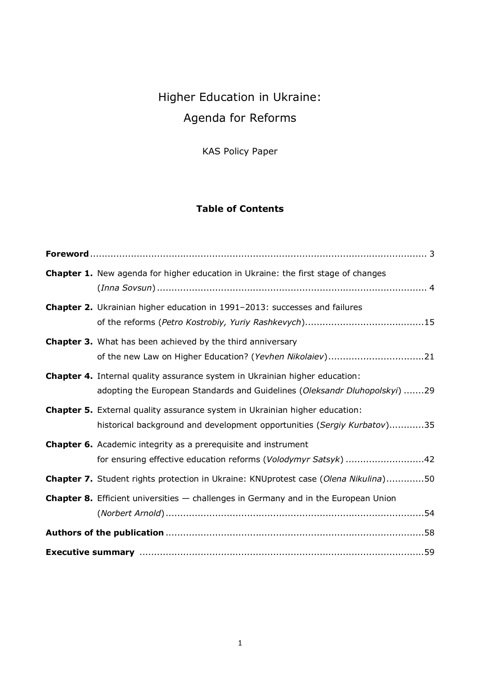# Higher Education in Ukraine: Agenda for Reforms

KAS Policy Paper

## **Table of Contents**

| <b>Chapter 1.</b> New agenda for higher education in Ukraine: the first stage of changes                                                                         |
|------------------------------------------------------------------------------------------------------------------------------------------------------------------|
| Chapter 2. Ukrainian higher education in 1991-2013: successes and failures                                                                                       |
| <b>Chapter 3.</b> What has been achieved by the third anniversary<br>of the new Law on Higher Education? (Yevhen Nikolaiev)21                                    |
| <b>Chapter 4.</b> Internal quality assurance system in Ukrainian higher education:<br>adopting the European Standards and Guidelines (Oleksandr Dluhopolskyi) 29 |
| Chapter 5. External quality assurance system in Ukrainian higher education:<br>historical background and development opportunities (Sergiy Kurbatov)35           |
| <b>Chapter 6.</b> Academic integrity as a prerequisite and instrument<br>for ensuring effective education reforms (Volodymyr Satsyk) 42                          |
| Chapter 7. Student rights protection in Ukraine: KNUprotest case (Olena Nikulina)50                                                                              |
| <b>Chapter 8.</b> Efficient universities - challenges in Germany and in the European Union                                                                       |
|                                                                                                                                                                  |
|                                                                                                                                                                  |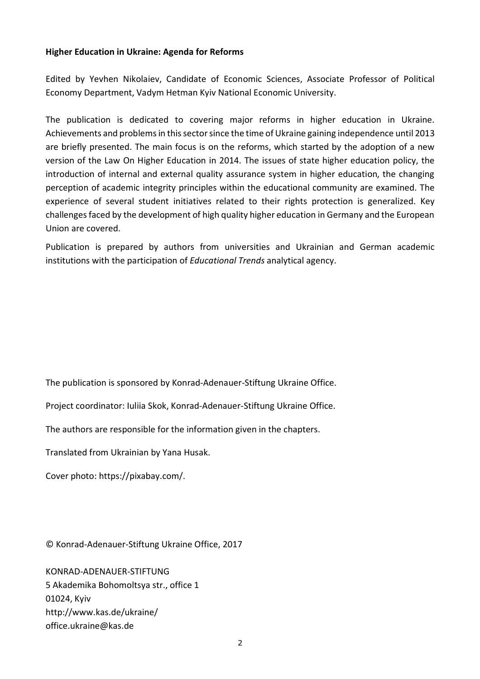### **Higher Education in Ukraine: Agenda for Reforms**

Edited by Yevhen Nikolaiev, Candidate of Economic Sciences, Associate Professor of Political Economy Department, Vadym Hetman Kyiv National Economic University.

The publication is dedicated to covering major reforms in higher education in Ukraine. Achievements and problems in this sector since the time of Ukraine gaining independence until 2013 are briefly presented. The main focus is on the reforms, which started by the adoption of a new version of the Law On Higher Education in 2014. The issues of state higher education policy, the introduction of internal and external quality assurance system in higher education, the changing perception of academic integrity principles within the educational community are examined. The experience of several student initiatives related to their rights protection is generalized. Key challenges faced by the development of high quality higher education in Germany and the European Union are covered.

Publication is prepared by authors from universities and Ukrainian and German academic institutions with the participation of *Educational Trends* analytical agency.

The publication is sponsored by Konrad-Adenauer-Stiftung Ukraine Office.

Project coordinator: Iuliia Skok, Konrad-Adenauer-Stiftung Ukraine Office.

The authors are responsible for the information given in the chapters.

Translated from Ukrainian by Yana Husak.

Cover photo: https://pixabay.com/.

© Konrad-Adenauer-Stiftung Ukraine Office, 2017

KONRAD-ADENAUER-STIFTUNG 5 Akademika Bohomoltsya str., office 1 01024, Kyiv http://www.kas.de/ukraine/ office.ukraine@kas.de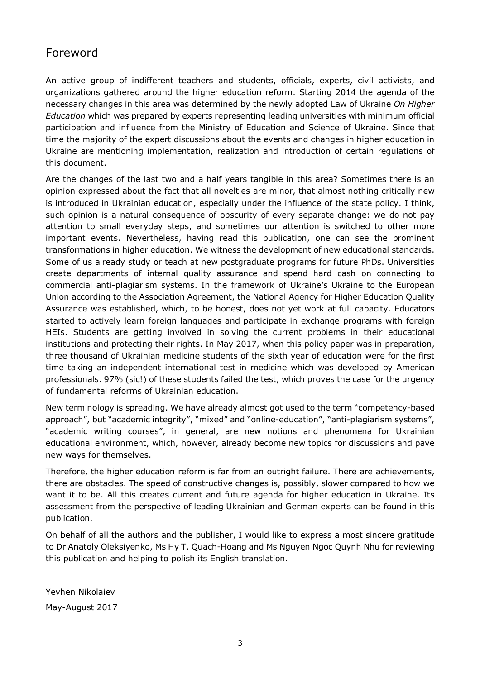# Foreword

An active group of indifferent teachers and students, officials, experts, civil activists, and organizations gathered around the higher education reform. Starting 2014 the agenda of the necessary changes in this area was determined by the newly adopted Law of Ukraine *On Higher Education* which was prepared by experts representing leading universities with minimum official participation and influence from the Ministry of Education and Science of Ukraine. Since that time the majority of the expert discussions about the events and changes in higher education in Ukraine are mentioning implementation, realization and introduction of certain regulations of this document.

Are the changes of the last two and a half years tangible in this area? Sometimes there is an opinion expressed about the fact that all novelties are minor, that almost nothing critically new is introduced in Ukrainian education, especially under the influence of the state policy. I think, such opinion is a natural consequence of obscurity of every separate change: we do not pay attention to small everyday steps, and sometimes our attention is switched to other more important events. Nevertheless, having read this publication, one can see the prominent transformations in higher education. We witness the development of new educational standards. Some of us already study or teach at new postgraduate programs for future PhDs. Universities create departments of internal quality assurance and spend hard cash on connecting to commercial anti-plagiarism systems. In the framework of Ukraine's Ukraine to the European Union according to the Association Agreement, the National Agency for Higher Education Quality Assurance was established, which, to be honest, does not yet work at full capacity. Educators started to actively learn foreign languages and participate in exchange programs with foreign HEIs. Students are getting involved in solving the current problems in their educational institutions and protecting their rights. In May 2017, when this policy paper was in preparation, three thousand of Ukrainian medicine students of the sixth year of education were for the first time taking an independent international test in medicine which was developed by American professionals. 97% (sic!) of these students failed the test, which proves the case for the urgency of fundamental reforms of Ukrainian education.

New terminology is spreading. We have already almost got used to the term "competency-based approach", but "academic integrity", "mixed" and "online-education", "anti-plagiarism systems", "academic writing courses", in general, are new notions and phenomena for Ukrainian educational environment, which, however, already become new topics for discussions and pave new ways for themselves.

Therefore, the higher education reform is far from an outright failure. There are achievements, there are obstacles. The speed of constructive changes is, possibly, slower compared to how we want it to be. All this creates current and future agenda for higher education in Ukraine. Its assessment from the perspective of leading Ukrainian and German experts can be found in this publication.

On behalf of all the authors and the publisher, I would like to express a most sincere gratitude to Dr Anatoly Oleksiyenko, Ms Hy T. Quach-Hoang and Ms Nguyen Ngoc Quynh Nhu for reviewing this publication and helping to polish its English translation.

Yevhen Nikolaiev May-August 2017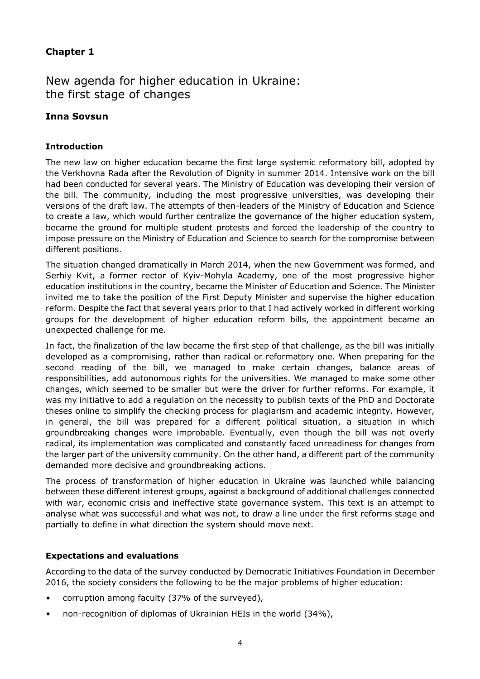### **Chapter 1**

New agenda for higher education in Ukraine: the first stage of changes

### **Inna Sovsun**

#### **Introduction**

The new law on higher education became the first large systemic reformatory bill, adopted by the Verkhovna Rada after the Revolution of Dignity in summer 2014. Intensive work on the bill had been conducted for several years. The Ministry of Education was developing their version of the bill. The community, including the most progressive universities, was developing their versions of the draft law. The attempts of then-leaders of the Ministry of Education and Science to create a law, which would further centralize the governance of the higher education system, became the ground for multiple student protests and forced the leadership of the country to impose pressure on the Ministry of Education and Science to search for the compromise between different positions.

The situation changed dramatically in March 2014, when the new Government was formed, and Serhiy Kvit, a former rector of Kyiv-Mohyla Academy, one of the most progressive higher education institutions in the country, became the Minister of Education and Science. The Minister invited me to take the position of the First Deputy Minister and supervise the higher education reform. Despite the fact that several years prior to that I had actively worked in different working groups for the development of higher education reform bills, the appointment became an unexpected challenge for me.

In fact, the finalization of the law became the first step of that challenge, as the bill was initially developed as a compromising, rather than radical or reformatory one. When preparing for the second reading of the bill, we managed to make certain changes, balance areas of responsibilities, add autonomous rights for the universities. We managed to make some other changes, which seemed to be smaller but were the driver for further reforms. For example, it was my initiative to add a regulation on the necessity to publish texts of the PhD and Doctorate theses online to simplify the checking process for plagiarism and academic integrity. However, in general, the bill was prepared for a different political situation, a situation in which groundbreaking changes were improbable. Eventually, even though the bill was not overly radical, its implementation was complicated and constantly faced unreadiness for changes from the larger part of the university community. On the other hand, a different part of the community demanded more decisive and groundbreaking actions.

The process of transformation of higher education in Ukraine was launched while balancing between these different interest groups, against a background of additional challenges connected with war, economic crisis and ineffective state governance system. This text is an attempt to analyse what was successful and what was not, to draw a line under the first reforms stage and partially to define in what direction the system should move next.

#### **Expectations and evaluations**

According to the data of the survey conducted by Democratic Initiatives Foundation in December 2016, the society considers the following to be the major problems of higher education:

- corruption among faculty (37% of the surveyed),
- non-recognition of diplomas of Ukrainian HEIs in the world (34%),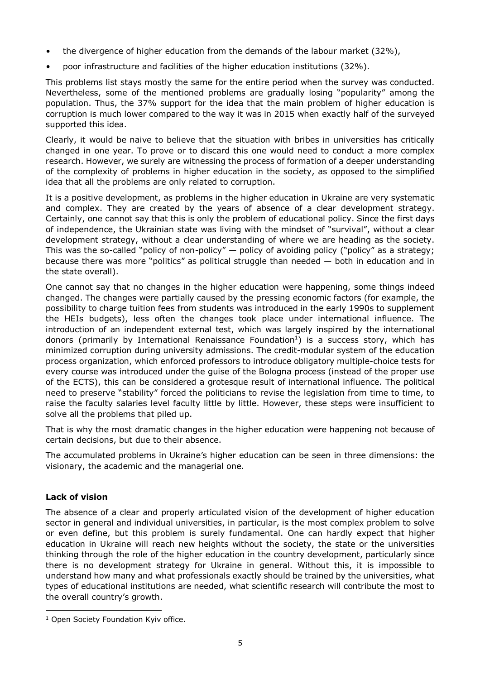- the divergence of higher education from the demands of the labour market (32%),
- poor infrastructure and facilities of the higher education institutions (32%).

This problems list stays mostly the same for the entire period when the survey was conducted. Nevertheless, some of the mentioned problems are gradually losing "popularity" among the population. Thus, the 37% support for the idea that the main problem of higher education is corruption is much lower compared to the way it was in 2015 when exactly half of the surveyed supported this idea.

Clearly, it would be naive to believe that the situation with bribes in universities has critically changed in one year. To prove or to discard this one would need to conduct a more complex research. However, we surely are witnessing the process of formation of a deeper understanding of the complexity of problems in higher education in the society, as opposed to the simplified idea that all the problems are only related to corruption.

It is a positive development, as problems in the higher education in Ukraine are very systematic and complex. They are created by the years of absence of a clear development strategy. Certainly, one cannot say that this is only the problem of educational policy. Since the first days of independence, the Ukrainian state was living with the mindset of "survival", without a clear development strategy, without a clear understanding of where we are heading as the society. This was the so-called "policy of non-policy" — policy of avoiding policy ("policy" as a strategy; because there was more "politics" as political struggle than needed  $-$  both in education and in the state overall).

One cannot say that no changes in the higher education were happening, some things indeed changed. The changes were partially caused by the pressing economic factors (for example, the possibility to charge tuition fees from students was introduced in the early 1990s to supplement the HEIs budgets), less often the changes took place under international influence. The introduction of an independent external test, which was largely inspired by the international donors (primarily by International Renaissance [Foundation](#page-4-0)<sup>1</sup>) is a success story, which has minimized corruption during university admissions. The credit-modular system of the education process organization, which enforced professors to introduce obligatory multiple-choice tests for every course was introduced under the guise of the Bologna process (instead of the proper use of the ECTS), this can be considered a grotesque result of international influence. The political need to preserve "stability" forced the politicians to revise the legislation from time to time, to raise the faculty salaries level faculty little by little. However, these steps were insufficient to solve all the problems that piled up.

That is why the most dramatic changes in the higher education were happening not because of certain decisions, but due to their absence.

The accumulated problems in Ukraine's higher education can be seen in three dimensions: the visionary, the academic and the managerial one.

### **Lack of vision**

 $\overline{a}$ 

The absence of a clear and properly articulated vision of the development of higher education sector in general and individual universities, in particular, is the most complex problem to solve or even define, but this problem is surely fundamental. One can hardly expect that higher education in Ukraine will reach new heights without the society, the state or the universities thinking through the role of the higher education in the country development, particularly since there is no development strategy for Ukraine in general. Without this, it is impossible to understand how many and what professionals exactly should be trained by the universities, what types of educational institutions are needed, what scientific research will contribute the most to the overall country's growth.

<span id="page-4-0"></span><sup>&</sup>lt;sup>1</sup> Open Society Foundation Kyiv office.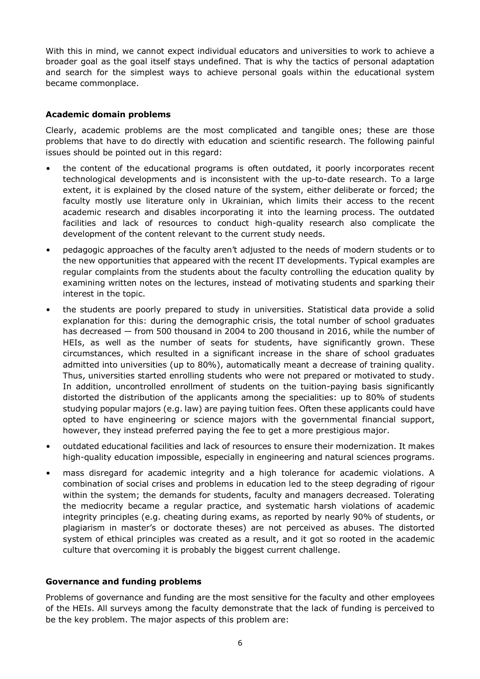With this in mind, we cannot expect individual educators and universities to work to achieve a broader goal as the goal itself stays undefined. That is why the tactics of personal adaptation and search for the simplest ways to achieve personal goals within the educational system became commonplace.

### **Academic domain problems**

Clearly, academic problems are the most complicated and tangible ones; these are those problems that have to do directly with education and scientific research. The following painful issues should be pointed out in this regard:

- the content of the educational programs is often outdated, it poorly incorporates recent technological developments and is inconsistent with the up-to-date research. To a large extent, it is explained by the closed nature of the system, either deliberate or forced; the faculty mostly use literature only in Ukrainian, which limits their access to the recent academic research and disables incorporating it into the learning process. The outdated facilities and lack of resources to conduct high-quality research also complicate the development of the content relevant to the current study needs.
- pedagogic approaches of the faculty aren't adjusted to the needs of modern students or to the new opportunities that appeared with the recent IT developments. Typical examples are regular complaints from the students about the faculty controlling the education quality by examining written notes on the lectures, instead of motivating students and sparking their interest in the topic.
- the students are poorly prepared to study in universities. Statistical data provide a solid explanation for this: during the demographic crisis, the total number of school graduates has decreased — from 500 thousand in 2004 to 200 thousand in 2016, while the number of HEIs, as well as the number of seats for students, have significantly grown. These circumstances, which resulted in a significant increase in the share of school graduates admitted into universities (up to 80%), automatically meant a decrease of training quality. Thus, universities started enrolling students who were not prepared or motivated to study. In addition, uncontrolled enrollment of students on the tuition-paying basis significantly distorted the distribution of the applicants among the specialities: up to 80% of students studying popular majors (e.g. law) are paying tuition fees. Often these applicants could have opted to have engineering or science majors with the governmental financial support, however, they instead preferred paying the fee to get a more prestigious major.
- outdated educational facilities and lack of resources to ensure their modernization. It makes high-quality education impossible, especially in engineering and natural sciences programs.
- mass disregard for academic integrity and a high tolerance for academic violations. A combination of social crises and problems in education led to the steep degrading of rigour within the system; the demands for students, faculty and managers decreased. Tolerating the mediocrity became a regular practice, and systematic harsh violations of academic integrity principles (e.g. cheating during exams, as reported by nearly 90% of students, or plagiarism in master's or doctorate theses) are not perceived as abuses. The distorted system of ethical principles was created as a result, and it got so rooted in the academic culture that overcoming it is probably the biggest current challenge.

#### **Governance and funding problems**

Problems of governance and funding are the most sensitive for the faculty and other employees of the HEIs. All surveys among the faculty demonstrate that the lack of funding is perceived to be the key problem. The major aspects of this problem are: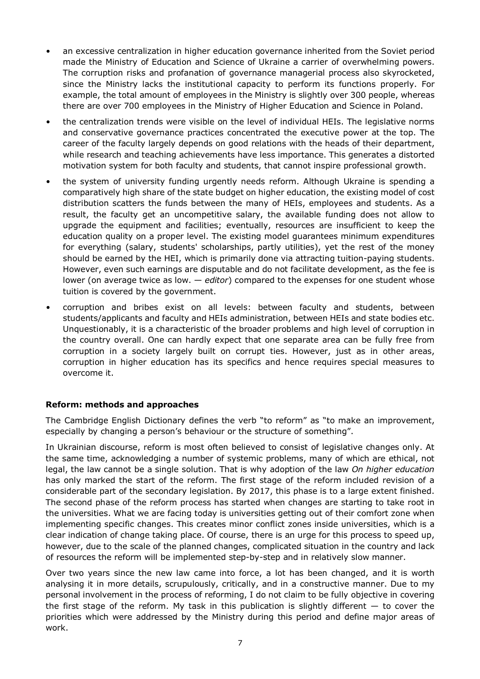- an excessive centralization in higher education governance inherited from the Soviet period made the Ministry of Education and Science of Ukraine a carrier of overwhelming powers. The corruption risks and profanation of governance managerial process also skyrocketed, since the Ministry lacks the institutional capacity to perform its functions properly. For example, the total amount of employees in the Ministry is slightly over 300 people, whereas there are over 700 employees in the Ministry of Higher Education and Science in Poland.
- the centralization trends were visible on the level of individual HEIs. The legislative norms and conservative governance practices concentrated the executive power at the top. The career of the faculty largely depends on good relations with the heads of their department, while research and teaching achievements have less importance. This generates a distorted motivation system for both faculty and students, that cannot inspire professional growth.
- the system of university funding urgently needs reform. Although Ukraine is spending a comparatively high share of the state budget on higher education, the existing model of cost distribution scatters the funds between the many of HEIs, employees and students. As a result, the faculty get an uncompetitive salary, the available funding does not allow to upgrade the equipment and facilities; eventually, resources are insufficient to keep the education quality on a proper level. The existing model guarantees minimum expenditures for everything (salary, students' scholarships, partly utilities), yet the rest of the money should be earned by the HEI, which is primarily done via attracting tuition-paying students. However, even such earnings are disputable and do not facilitate development, as the fee is lower (on average twice as low. — *editor*) compared to the expenses for one student whose tuition is covered by the government.
- corruption and bribes exist on all levels: between faculty and students, between students/applicants and faculty and HEIs administration, between HEIs and state bodies etc. Unquestionably, it is a characteristic of the broader problems and high level of corruption in the country overall. One can hardly expect that one separate area can be fully free from corruption in a society largely built on corrupt ties. However, just as in other areas, corruption in higher education has its specifics and hence requires special measures to overcome it.

#### **Reform: methods and approaches**

The Cambridge English Dictionary defines the verb "to reform" as "to make an improvement, especially by changing a person's behaviour or the structure of something".

In Ukrainian discourse, reform is most often believed to consist of legislative changes only. At the same time, acknowledging a number of systemic problems, many of which are ethical, not legal, the law cannot be a single solution. That is why adoption of the law *On higher education* has only marked the start of the reform. The first stage of the reform included revision of a considerable part of the secondary legislation. By 2017, this phase is to a large extent finished. The second phase of the reform process has started when changes are starting to take root in the universities. What we are facing today is universities getting out of their comfort zone when implementing specific changes. This creates minor conflict zones inside universities, which is a clear indication of change taking place. Of course, there is an urge for this process to speed up, however, due to the scale of the planned changes, complicated situation in the country and lack of resources the reform will be implemented step-by-step and in relatively slow manner.

Over two years since the new law came into force, a lot has been changed, and it is worth analysing it in more details, scrupulously, critically, and in a constructive manner. Due to my personal involvement in the process of reforming, I do not claim to be fully objective in covering the first stage of the reform. My task in this publication is slightly different  $-$  to cover the priorities which were addressed by the Ministry during this period and define major areas of work.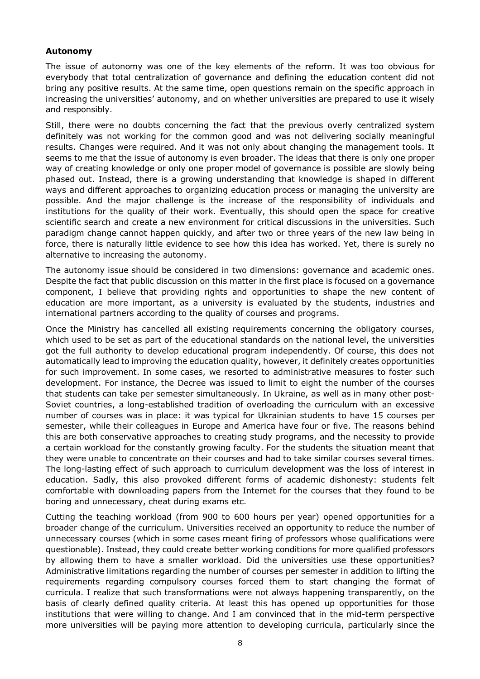#### **Autonomy**

The issue of autonomy was one of the key elements of the reform. It was too obvious for everybody that total centralization of governance and defining the education content did not bring any positive results. At the same time, open questions remain on the specific approach in increasing the universities' autonomy, and on whether universities are prepared to use it wisely and responsibly.

Still, there were no doubts concerning the fact that the previous overly centralized system definitely was not working for the common good and was not delivering socially meaningful results. Changes were required. And it was not only about changing the management tools. It seems to me that the issue of autonomy is even broader. The ideas that there is only one proper way of creating knowledge or only one proper model of governance is possible are slowly being phased out. Instead, there is a growing understanding that knowledge is shaped in different ways and different approaches to organizing education process or managing the university are possible. And the major challenge is the increase of the responsibility of individuals and institutions for the quality of their work. Eventually, this should open the space for creative scientific search and create a new environment for critical discussions in the universities. Such paradigm change cannot happen quickly, and after two or three years of the new law being in force, there is naturally little evidence to see how this idea has worked. Yet, there is surely no alternative to increasing the autonomy.

The autonomy issue should be considered in two dimensions: governance and academic ones. Despite the fact that public discussion on this matter in the first place is focused on a governance component, I believe that providing rights and opportunities to shape the new content of education are more important, as a university is evaluated by the students, industries and international partners according to the quality of courses and programs.

Once the Ministry has cancelled all existing requirements concerning the obligatory courses, which used to be set as part of the educational standards on the national level, the universities got the full authority to develop educational program independently. Of course, this does not automatically lead to improving the education quality, however, it definitely creates opportunities for such improvement. In some cases, we resorted to administrative measures to foster such development. For instance, the Decree was issued to limit to eight the number of the courses that students can take per semester simultaneously. In Ukraine, as well as in many other post-Soviet countries, a long-established tradition of overloading the curriculum with an excessive number of courses was in place: it was typical for Ukrainian students to have 15 courses per semester, while their colleagues in Europe and America have four or five. The reasons behind this are both conservative approaches to creating study programs, and the necessity to provide a certain workload for the constantly growing faculty. For the students the situation meant that they were unable to concentrate on their courses and had to take similar courses several times. The long-lasting effect of such approach to curriculum development was the loss of interest in education. Sadly, this also provoked different forms of academic dishonesty: students felt comfortable with downloading papers from the Internet for the courses that they found to be boring and unnecessary, cheat during exams etc.

Cutting the teaching workload (from 900 to 600 hours per year) opened opportunities for a broader change of the curriculum. Universities received an opportunity to reduce the number of unnecessary courses (which in some cases meant firing of professors whose qualifications were questionable). Instead, they could create better working conditions for more qualified professors by allowing them to have a smaller workload. Did the universities use these opportunities? Administrative limitations regarding the number of courses per semester in addition to lifting the requirements regarding compulsory courses forced them to start changing the format of curricula. I realize that such transformations were not always happening transparently, on the basis of clearly defined quality criteria. At least this has opened up opportunities for those institutions that were willing to change. And I am convinced that in the mid-term perspective more universities will be paying more attention to developing curricula, particularly since the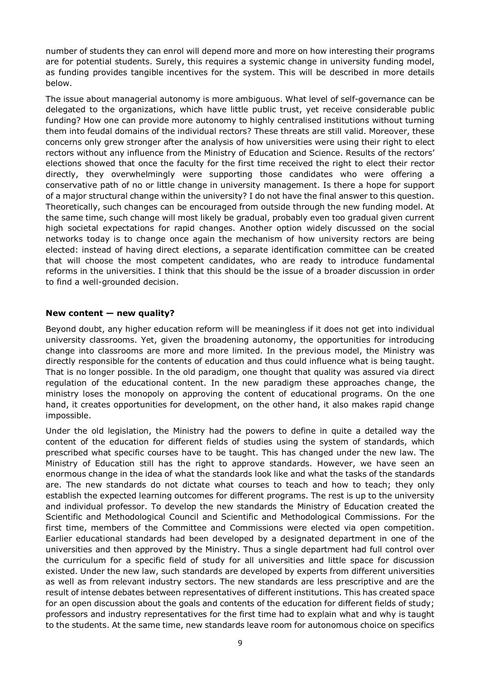number of students they can enrol will depend more and more on how interesting their programs are for potential students. Surely, this requires a systemic change in university funding model, as funding provides tangible incentives for the system. This will be described in more details below.

The issue about managerial autonomy is more ambiguous. What level of self-governance can be delegated to the organizations, which have little public trust, yet receive considerable public funding? How one can provide more autonomy to highly centralised institutions without turning them into feudal domains of the individual rectors? These threats are still valid. Moreover, these concerns only grew stronger after the analysis of how universities were using their right to elect rectors without any influence from the Ministry of Education and Science. Results of the rectors' elections showed that once the faculty for the first time received the right to elect their rector directly, they overwhelmingly were supporting those candidates who were offering a conservative path of no or little change in university management. Is there a hope for support of a major structural change within the university? I do not have the final answer to this question. Theoretically, such changes can be encouraged from outside through the new funding model. At the same time, such change will most likely be gradual, probably even too gradual given current high societal expectations for rapid changes. Another option widely discussed on the social networks today is to change once again the mechanism of how university rectors are being elected: instead of having direct elections, a separate identification committee can be created that will choose the most competent candidates, who are ready to introduce fundamental reforms in the universities. I think that this should be the issue of a broader discussion in order to find a well-grounded decision.

### **New content — new quality?**

Beyond doubt, any higher education reform will be meaningless if it does not get into individual university classrooms. Yet, given the broadening autonomy, the opportunities for introducing change into classrooms are more and more limited. In the previous model, the Ministry was directly responsible for the contents of education and thus could influence what is being taught. That is no longer possible. In the old paradigm, one thought that quality was assured via direct regulation of the educational content. In the new paradigm these approaches change, the ministry loses the monopoly on approving the content of educational programs. On the one hand, it creates opportunities for development, on the other hand, it also makes rapid change impossible.

Under the old legislation, the Ministry had the powers to define in quite a detailed way the content of the education for different fields of studies using the system of standards, which prescribed what specific courses have to be taught. This has changed under the new law. The Ministry of Education still has the right to approve standards. However, we have seen an enormous change in the idea of what the standards look like and what the tasks of the standards are. The new standards do not dictate what courses to teach and how to teach; they only establish the expected learning outcomes for different programs. The rest is up to the university and individual professor. To develop the new standards the Ministry of Education created the Scientific and Methodological Council and Scientific and Methodological Commissions. For the first time, members of the Committee and Commissions were elected via open competition. Earlier educational standards had been developed by a designated department in one of the universities and then approved by the Ministry. Thus a single department had full control over the curriculum for a specific field of study for all universities and little space for discussion existed. Under the new law, such standards are developed by experts from different universities as well as from relevant industry sectors. The new standards are less prescriptive and are the result of intense debates between representatives of different institutions. This has created space for an open discussion about the goals and contents of the education for different fields of study; professors and industry representatives for the first time had to explain what and why is taught to the students. At the same time, new standards leave room for autonomous choice on specifics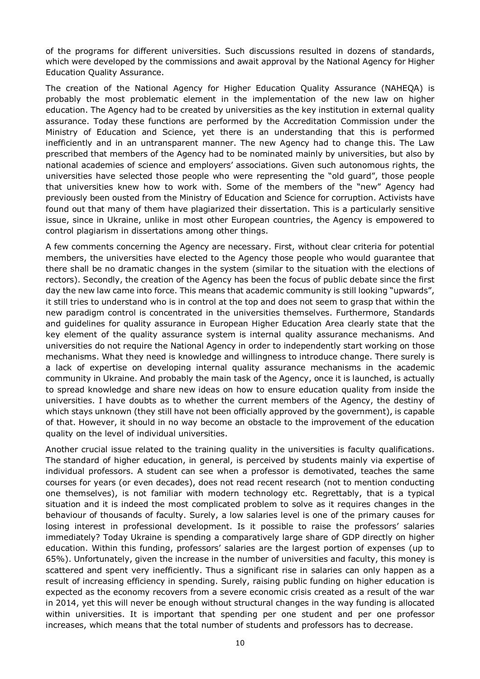of the programs for different universities. Such discussions resulted in dozens of standards, which were developed by the commissions and await approval by the National Agency for Higher Education Quality Assurance.

The creation of the National Agency for Higher Education Quality Assurance (NAHEQA) is probably the most problematic element in the implementation of the new law on higher education. The Agency had to be created by universities as the key institution in external quality assurance. Today these functions are performed by the Accreditation Commission under the Ministry of Education and Science, yet there is an understanding that this is performed inefficiently and in an untransparent manner. The new Agency had to change this. The Law prescribed that members of the Agency had to be nominated mainly by universities, but also by national academies of science and employers' associations. Given such autonomous rights, the universities have selected those people who were representing the "old guard", those people that universities knew how to work with. Some of the members of the "new" Agency had previously been ousted from the Ministry of Education and Science for corruption. Activists have found out that many of them have plagiarized their dissertation. This is a particularly sensitive issue, since in Ukraine, unlike in most other European countries, the Agency is empowered to control plagiarism in dissertations among other things.

A few comments concerning the Agency are necessary. First, without clear criteria for potential members, the universities have elected to the Agency those people who would guarantee that there shall be no dramatic changes in the system (similar to the situation with the elections of rectors). Secondly, the creation of the Agency has been the focus of public debate since the first day the new law came into force. This means that academic community is still looking "upwards", it still tries to understand who is in control at the top and does not seem to grasp that within the new paradigm control is concentrated in the universities themselves. Furthermore, Standards and guidelines for quality assurance in European Higher Education Area clearly state that the key element of the quality assurance system is internal quality assurance mechanisms. And universities do not require the National Agency in order to independently start working on those mechanisms. What they need is knowledge and willingness to introduce change. There surely is a lack of expertise on developing internal quality assurance mechanisms in the academic community in Ukraine. And probably the main task of the Agency, once it is launched, is actually to spread knowledge and share new ideas on how to ensure education quality from inside the universities. I have doubts as to whether the current members of the Agency, the destiny of which stays unknown (they still have not been officially approved by the government), is capable of that. However, it should in no way become an obstacle to the improvement of the education quality on the level of individual universities.

Another crucial issue related to the training quality in the universities is faculty qualifications. The standard of higher education, in general, is perceived by students mainly via expertise of individual professors. A student can see when a professor is demotivated, teaches the same courses for years (or even decades), does not read recent research (not to mention conducting one themselves), is not familiar with modern technology etc. Regrettably, that is a typical situation and it is indeed the most complicated problem to solve as it requires changes in the behaviour of thousands of faculty. Surely, a low salaries level is one of the primary causes for losing interest in professional development. Is it possible to raise the professors' salaries immediately? Today Ukraine is spending a comparatively large share of GDP directly on higher education. Within this funding, professors' salaries are the largest portion of expenses (up to 65%). Unfortunately, given the increase in the number of universities and faculty, this money is scattered and spent very inefficiently. Thus a significant rise in salaries can only happen as a result of increasing efficiency in spending. Surely, raising public funding on higher education is expected as the economy recovers from a severe economic crisis created as a result of the war in 2014, yet this will never be enough without structural changes in the way funding is allocated within universities. It is important that spending per one student and per one professor increases, which means that the total number of students and professors has to decrease.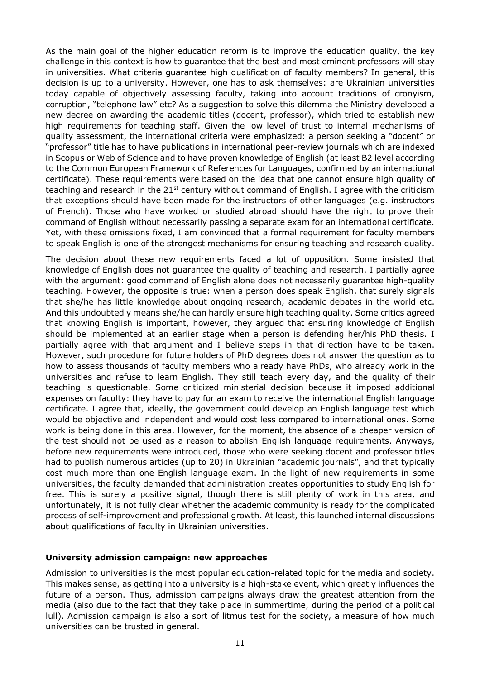As the main goal of the higher education reform is to improve the education quality, the key challenge in this context is how to guarantee that the best and most eminent professors will stay in universities. What criteria guarantee high qualification of faculty members? In general, this decision is up to a university. However, one has to ask themselves: are Ukrainian universities today capable of objectively assessing faculty, taking into account traditions of cronyism, corruption, "telephone law" etc? As a suggestion to solve this dilemma the Ministry developed a new decree on awarding the academic titles (docent, professor), which tried to establish new high requirements for teaching staff. Given the low level of trust to internal mechanisms of quality assessment, the international criteria were emphasized: a person seeking a "docent" or "professor" title has to have publications in international peer-review journals which are indexed in Scopus or Web of Science and to have proven knowledge of English (at least B2 level according to the Common European Framework of References for Languages, confirmed by an international certificate). These requirements were based on the idea that one cannot ensure high quality of teaching and research in the  $21<sup>st</sup>$  century without command of English. I agree with the criticism that exceptions should have been made for the instructors of other languages (e.g. instructors of French). Those who have worked or studied abroad should have the right to prove their command of English without necessarily passing a separate exam for an international certificate. Yet, with these omissions fixed, I am convinced that a formal requirement for faculty members to speak English is one of the strongest mechanisms for ensuring teaching and research quality.

The decision about these new requirements faced a lot of opposition. Some insisted that knowledge of English does not guarantee the quality of teaching and research. I partially agree with the argument: good command of English alone does not necessarily guarantee high-quality teaching. However, the opposite is true: when a person does speak English, that surely signals that she/he has little knowledge about ongoing research, academic debates in the world etc. And this undoubtedly means she/he can hardly ensure high teaching quality. Some critics agreed that knowing English is important, however, they argued that ensuring knowledge of English should be implemented at an earlier stage when a person is defending her/his PhD thesis. I partially agree with that argument and I believe steps in that direction have to be taken. However, such procedure for future holders of PhD degrees does not answer the question as to how to assess thousands of faculty members who already have PhDs, who already work in the universities and refuse to learn English. They still teach every day, and the quality of their teaching is questionable. Some criticized ministerial decision because it imposed additional expenses on faculty: they have to pay for an exam to receive the international English language certificate. I agree that, ideally, the government could develop an English language test which would be objective and independent and would cost less compared to international ones. Some work is being done in this area. However, for the moment, the absence of a cheaper version of the test should not be used as a reason to abolish English language requirements. Anyways, before new requirements were introduced, those who were seeking docent and professor titles had to publish numerous articles (up to 20) in Ukrainian "academic journals", and that typically cost much more than one English language exam. In the light of new requirements in some universities, the faculty demanded that administration creates opportunities to study English for free. This is surely a positive signal, though there is still plenty of work in this area, and unfortunately, it is not fully clear whether the academic community is ready for the complicated process of self-improvement and professional growth. At least, this launched internal discussions about qualifications of faculty in Ukrainian universities.

#### **University admission campaign: new approaches**

Admission to universities is the most popular education-related topic for the media and society. This makes sense, as getting into a university is a high-stake event, which greatly influences the future of a person. Thus, admission campaigns always draw the greatest attention from the media (also due to the fact that they take place in summertime, during the period of a political lull). Admission campaign is also a sort of litmus test for the society, a measure of how much universities can be trusted in general.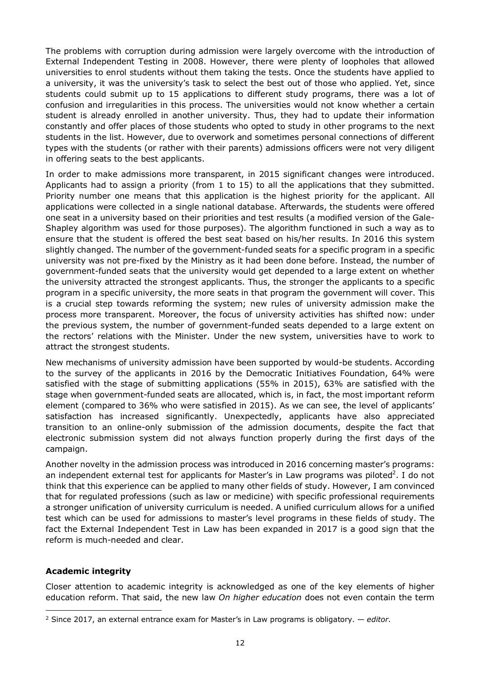The problems with corruption during admission were largely overcome with the introduction of External Independent Testing in 2008. However, there were plenty of loopholes that allowed universities to enrol students without them taking the tests. Once the students have applied to a university, it was the university's task to select the best out of those who applied. Yet, since students could submit up to 15 applications to different study programs, there was a lot of confusion and irregularities in this process. The universities would not know whether a certain student is already enrolled in another university. Thus, they had to update their information constantly and offer places of those students who opted to study in other programs to the next students in the list. However, due to overwork and sometimes personal connections of different types with the students (or rather with their parents) admissions officers were not very diligent in offering seats to the best applicants.

In order to make admissions more transparent, in 2015 significant changes were introduced. Applicants had to assign a priority (from 1 to 15) to all the applications that they submitted. Priority number one means that this application is the highest priority for the applicant. All applications were collected in a single national database. Afterwards, the students were offered one seat in a university based on their priorities and test results (a modified version of the Gale-Shapley algorithm was used for those purposes). The algorithm functioned in such a way as to ensure that the student is offered the best seat based on his/her results. In 2016 this system slightly changed. The number of the government-funded seats for a specific program in a specific university was not pre-fixed by the Ministry as it had been done before. Instead, the number of government-funded seats that the university would get depended to a large extent on whether the university attracted the strongest applicants. Thus, the stronger the applicants to a specific program in a specific university, the more seats in that program the government will cover. This is a crucial step towards reforming the system; new rules of university admission make the process more transparent. Moreover, the focus of university activities has shifted now: under the previous system, the number of government-funded seats depended to a large extent on the rectors' relations with the Minister. Under the new system, universities have to work to attract the strongest students.

New mechanisms of university admission have been supported by would-be students. According to the survey of the applicants in 2016 by the Democratic Initiatives Foundation, 64% were satisfied with the stage of submitting applications (55% in 2015), 63% are satisfied with the stage when government-funded seats are allocated, which is, in fact, the most important reform element (compared to 36% who were satisfied in 2015). As we can see, the level of applicants' satisfaction has increased significantly. Unexpectedly, applicants have also appreciated transition to an online-only submission of the admission documents, despite the fact that electronic submission system did not always function properly during the first days of the campaign.

Another novelty in the admission process was introduced in 2016 concerning master's programs: an independent external test for applicants for Master's in Law programs was [piloted](#page-11-0)<sup>2</sup>. I do not think that this experience can be applied to many other fields of study. However, I am convinced that for regulated professions (such as law or medicine) with specific professional requirements a stronger unification of university curriculum is needed. A unified curriculum allows for a unified test which can be used for admissions to master's level programs in these fields of study. The fact the External Independent Test in Law has been expanded in 2017 is a good sign that the reform is much-needed and clear.

#### **Academic integrity**

Closer attention to academic integrity is acknowledged as one of the key elements of higher education reform. That said, the new law *On higher education* does not even contain the term

<span id="page-11-0"></span> $\overline{a}$ <sup>2</sup> Since 2017, an external entrance exam for Master's in Law programs is obligatory. — *editor*.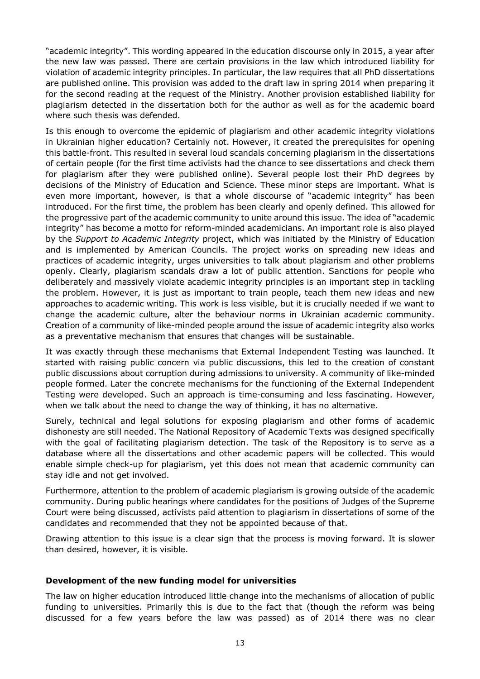"academic integrity". This wording appeared in the education discourse only in 2015, a year after the new law was passed. There are certain provisions in the law which introduced liability for violation of academic integrity principles. In particular, the law requires that all PhD dissertations are published online. This provision was added to the draft law in spring 2014 when preparing it for the second reading at the request of the Ministry. Another provision established liability for plagiarism detected in the dissertation both for the author as well as for the academic board where such thesis was defended.

Is this enough to overcome the epidemic of plagiarism and other academic integrity violations in Ukrainian higher education? Certainly not. However, it created the prerequisites for opening this battle-front. This resulted in several loud scandals concerning plagiarism in the dissertations of certain people (for the first time activists had the chance to see dissertations and check them for plagiarism after they were published online). Several people lost their PhD degrees by decisions of the Ministry of Education and Science. These minor steps are important. What is even more important, however, is that a whole discourse of "academic integrity" has been introduced. For the first time, the problem has been clearly and openly defined. This allowed for the progressive part of the academic community to unite around this issue. The idea of "academic integrity" has become a motto for reform-minded academicians. An important role is also played by the *Support to Academic Integrity* project, which was initiated by the Ministry of Education and is implemented by American Councils. The project works on spreading new ideas and practices of academic integrity, urges universities to talk about plagiarism and other problems openly. Clearly, plagiarism scandals draw a lot of public attention. Sanctions for people who deliberately and massively violate academic integrity principles is an important step in tackling the problem. However, it is just as important to train people, teach them new ideas and new approaches to academic writing. This work is less visible, but it is crucially needed if we want to change the academic culture, alter the behaviour norms in Ukrainian academic community. Creation of a community of like-minded people around the issue of academic integrity also works as a preventative mechanism that ensures that changes will be sustainable.

It was exactly through these mechanisms that External Independent Testing was launched. It started with raising public concern via public discussions, this led to the creation of constant public discussions about corruption during admissions to university. A community of like-minded people formed. Later the concrete mechanisms for the functioning of the External Independent Testing were developed. Such an approach is time-consuming and less fascinating. However, when we talk about the need to change the way of thinking, it has no alternative.

Surely, technical and legal solutions for exposing plagiarism and other forms of academic dishonesty are still needed. The National Repository of Academic Texts was designed specifically with the goal of facilitating plagiarism detection. The task of the Repository is to serve as a database where all the dissertations and other academic papers will be collected. This would enable simple check-up for plagiarism, yet this does not mean that academic community can stay idle and not get involved.

Furthermore, attention to the problem of academic plagiarism is growing outside of the academic community. During public hearings where candidates for the positions of Judges of the Supreme Court were being discussed, activists paid attention to plagiarism in dissertations of some of the candidates and recommended that they not be appointed because of that.

Drawing attention to this issue is a clear sign that the process is moving forward. It is slower than desired, however, it is visible.

#### **Development of the new funding model for universities**

The law on higher education introduced little change into the mechanisms of allocation of public funding to universities. Primarily this is due to the fact that (though the reform was being discussed for a few years before the law was passed) as of 2014 there was no clear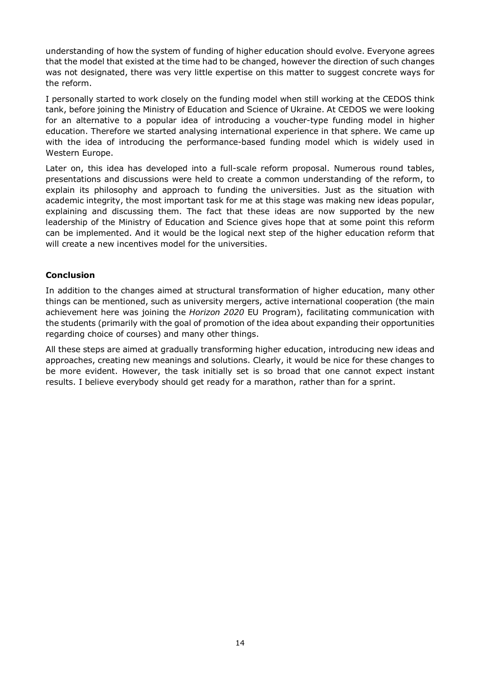understanding of how the system of funding of higher education should evolve. Everyone agrees that the model that existed at the time had to be changed, however the direction of such changes was not designated, there was very little expertise on this matter to suggest concrete ways for the reform.

I personally started to work closely on the funding model when still working at the CEDOS think tank, before joining the Ministry of Education and Science of Ukraine. At CEDOS we were looking for an alternative to a popular idea of introducing a voucher-type funding model in higher education. Therefore we started analysing international experience in that sphere. We came up with the idea of introducing the performance-based funding model which is widely used in Western Europe.

Later on, this idea has developed into a full-scale reform proposal. Numerous round tables, presentations and discussions were held to create a common understanding of the reform, to explain its philosophy and approach to funding the universities. Just as the situation with academic integrity, the most important task for me at this stage was making new ideas popular, explaining and discussing them. The fact that these ideas are now supported by the new leadership of the Ministry of Education and Science gives hope that at some point this reform can be implemented. And it would be the logical next step of the higher education reform that will create a new incentives model for the universities.

### **Conclusion**

In addition to the changes aimed at structural transformation of higher education, many other things can be mentioned, such as university mergers, active international cooperation (the main achievement here was joining the *Horizon 2020* EU Program), facilitating communication with the students (primarily with the goal of promotion of the idea about expanding their opportunities regarding choice of courses) and many other things.

All these steps are aimed at gradually transforming higher education, introducing new ideas and approaches, creating new meanings and solutions. Clearly, it would be nice for these changes to be more evident. However, the task initially set is so broad that one cannot expect instant results. I believe everybody should get ready for a marathon, rather than for a sprint.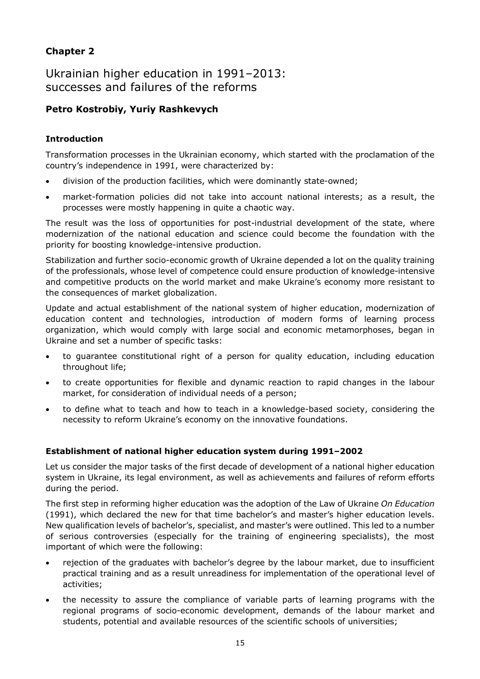### **Chapter 2**

Ukrainian higher education in 1991–2013: successes and failures of the reforms

### **Petro Kostrobiy, Yuriy Rashkevych**

### **Introduction**

Transformation processes in the Ukrainian economy, which started with the proclamation of the country's independence in 1991, were characterized by:

- division of the production facilities, which were dominantly state-owned;
- market-formation policies did not take into account national interests; as a result, the processes were mostly happening in quite a chaotic way.

The result was the loss of opportunities for post-industrial development of the state, where modernization of the national education and science could become the foundation with the priority for boosting knowledge-intensive production.

Stabilization and further socio-economic growth of Ukraine depended a lot on the quality training of the professionals, whose level of competence could ensure production of knowledge-intensive and competitive products on the world market and make Ukraine's economy more resistant to the consequences of market globalization.

Update and actual establishment of the national system of higher education, modernization of education content and technologies, introduction of modern forms of learning process organization, which would comply with large social and economic metamorphoses, began in Ukraine and set a number of specific tasks:

- to guarantee constitutional right of a person for quality education, including education throughout life;
- to create opportunities for flexible and dynamic reaction to rapid changes in the labour market, for consideration of individual needs of a person;
- to define what to teach and how to teach in a knowledge-based society, considering the necessity to reform Ukraine's economy on the innovative foundations.

### **Establishment of national higher education system during 1991–2002**

Let us consider the major tasks of the first decade of development of a national higher education system in Ukraine, its legal environment, as well as achievements and failures of reform efforts during the period.

The first step in reforming higher education was the adoption of the Law of Ukraine *On Education* (1991), which declared the new for that time bachelor's and master's higher education levels. New qualification levels of bachelor's, specialist, and master's were outlined. This led to a number of serious controversies (especially for the training of engineering specialists), the most important of which were the following:

- rejection of the graduates with bachelor's degree by the labour market, due to insufficient practical training and as a result unreadiness for implementation of the operational level of activities;
- the necessity to assure the compliance of variable parts of learning programs with the regional programs of socio-economic development, demands of the labour market and students, potential and available resources of the scientific schools of universities;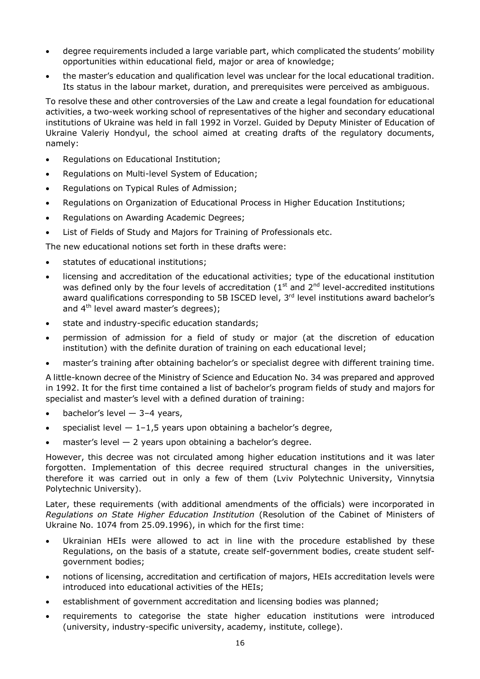- degree requirements included a large variable part, which complicated the students' mobility opportunities within educational field, major or area of knowledge;
- the master's education and qualification level was unclear for the local educational tradition. Its status in the labour market, duration, and prerequisites were perceived as ambiguous.

To resolve these and other controversies of the Law and create a legal foundation for educational activities, a two-week working school of representatives of the higher and secondary educational institutions of Ukraine was held in fall 1992 in Vorzel. Guided by Deputy Minister of Education of Ukraine Valeriy Hondyul, the school aimed at creating drafts of the regulatory documents, namely:

- Regulations on Educational Institution;
- Regulations on Multi-level System of Education;
- Regulations on Typical Rules of Admission;
- Regulations on Organization of Educational Process in Higher Education Institutions;
- Regulations on Awarding Academic Degrees;
- List of Fields of Study and Majors for Training of Professionals etc.

The new educational notions set forth in these drafts were:

- statutes of educational institutions;
- licensing and accreditation of the educational activities; type of the educational institution was defined only by the four levels of accreditation ( $1<sup>st</sup>$  and  $2<sup>nd</sup>$  level-accredited institutions award qualifications corresponding to 5B ISCED level, 3<sup>rd</sup> level institutions award bachelor's and 4<sup>th</sup> level award master's degrees);
- state and industry-specific education standards;
- permission of admission for a field of study or major (at the discretion of education institution) with the definite duration of training on each educational level;
- master's training after obtaining bachelor's or specialist degree with different training time.

A little-known decree of the Ministry of Science and Education No. 34 was prepared and approved in 1992. It for the first time contained a list of bachelor's program fields of study and majors for specialist and master's level with a defined duration of training:

- $\bullet$  bachelor's level  $-$  3-4 years,
- specialist level  $-1-1.5$  years upon obtaining a bachelor's degree,
- master's level 2 years upon obtaining a bachelor's degree.

However, this decree was not circulated among higher education institutions and it was later forgotten. Implementation of this decree required structural changes in the universities, therefore it was carried out in only a few of them (Lviv Polytechnic University, Vinnytsia Polytechnic University).

Later, these requirements (with additional amendments of the officials) were incorporated in *Regulations on State Higher Education Institution* (Resolution of the Cabinet of Ministers of Ukraine No. 1074 from 25.09.1996), in which for the first time:

- Ukrainian HEIs were allowed to act in line with the procedure established by these Regulations, on the basis of a statute, create self-government bodies, create student selfgovernment bodies;
- notions of licensing, accreditation and certification of majors, HEIs accreditation levels were introduced into educational activities of the HEIs;
- establishment of government accreditation and licensing bodies was planned;
- requirements to categorise the state higher education institutions were introduced (university, industry-specific university, academy, institute, college).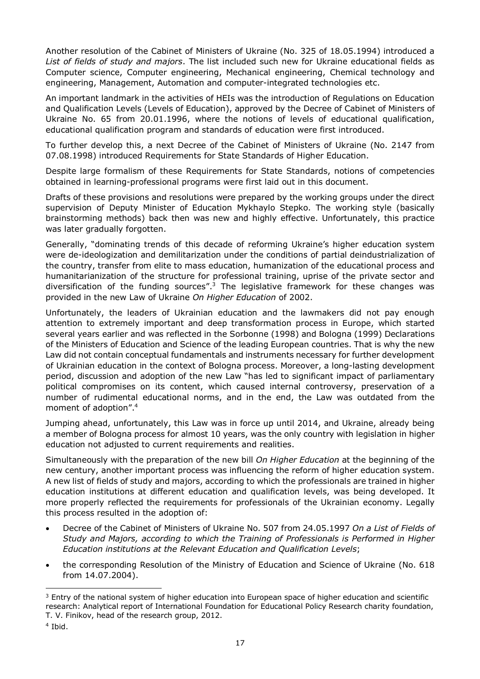Another resolution of the Cabinet of Ministers of Ukraine (No. 325 of 18.05.1994) introduced a *List of fields of study and majors*. The list included such new for Ukraine educational fields as Computer science, Computer engineering, Mechanical engineering, Chemical technology and engineering, Management, Automation and computer-integrated technologies etc.

An important landmark in the activities of HEIs was the introduction of Regulations on Education and Qualification Levels (Levels of Education), approved by the Decree of Cabinet of Ministers of Ukraine No. 65 from 20.01.1996, where the notions of levels of educational qualification, educational qualification program and standards of education were first introduced.

To further develop this, a next Decree of the Cabinet of Ministers of Ukraine (No. 2147 from 07.08.1998) introduced Requirements for State Standards of Higher Education.

Despite large formalism of these Requirements for State Standards, notions of competencies obtained in learning-professional programs were first laid out in this document.

Drafts of these provisions and resolutions were prepared by the working groups under the direct supervision of Deputy Minister of Education Mykhaylo Stepko. The working style (basically brainstorming methods) back then was new and highly effective. Unfortunately, this practice was later gradually forgotten.

Generally, "dominating trends of this decade of reforming Ukraine's higher education system were de-ideologization and demilitarization under the conditions of partial deindustrialization of the country, transfer from elite to mass education, humanization of the educational process and humanitarianization of the structure for professional training, uprise of the private sector and diversification of the funding source[s".](#page-16-0)<sup>3</sup> The legislative framework for these changes was provided in the new Law of Ukraine *On Higher Education* of 2002.

Unfortunately, the leaders of Ukrainian education and the lawmakers did not pay enough attention to extremely important and deep transformation process in Europe, which started several years earlier and was reflected in the Sorbonne (1998) and Bologna (1999) Declarations of the Ministers of Education and Science of the leading European countries. That is why the new Law did not contain conceptual fundamentals and instruments necessary for further development of Ukrainian education in the context of Bologna process. Moreover, a long-lasting development period, discussion and adoption of the new Law "has led to significant impact of parliamentary political compromises on its content, which caused internal controversy, preservation of a number of rudimental educational norms, and in the end, the Law was outdated from the moment of adoptio[n".](#page-16-1) 4

Jumping ahead, unfortunately, this Law was in force up until 2014, and Ukraine, already being a member of Bologna process for almost 10 years, was the only country with legislation in higher education not adjusted to current requirements and realities.

Simultaneously with the preparation of the new bill *On Higher Education* at the beginning of the new century, another important process was influencing the reform of higher education system. A new list of fields of study and majors, according to which the professionals are trained in higher education institutions at different education and qualification levels, was being developed. It more properly reflected the requirements for professionals of the Ukrainian economy. Legally this process resulted in the adoption of:

- Decree of the Cabinet of Ministers of Ukraine No. 507 from 24.05.1997 *On a List of Fields of Study and Majors, according to which the Training of Professionals is Performed in Higher Education institutions at the Relevant Education and Qualification Levels*;
- the corresponding Resolution of the Ministry of Education and Science of Ukraine (No. 618 from 14.07.2004).

<span id="page-16-0"></span> $\overline{a}$ <sup>3</sup> Entry of the national system of higher education into European space of higher education and scientific research: Analytical report of International Foundation for Educational Policy Research charity foundation,

T. V. Finikov, head of the research group, 2012.

<span id="page-16-1"></span><sup>4</sup> Ibid.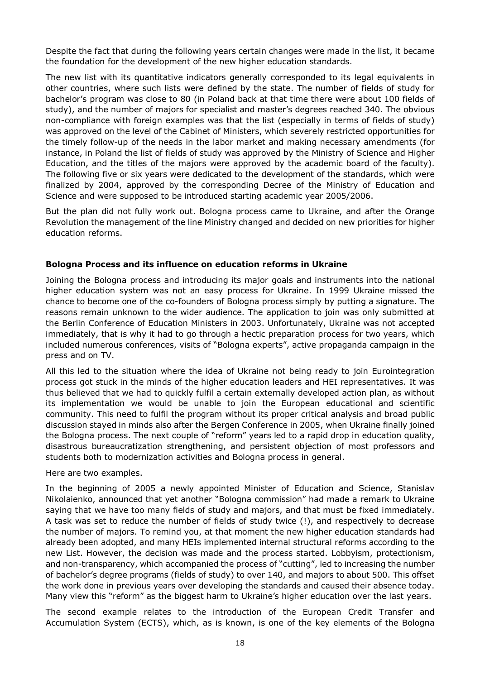Despite the fact that during the following years certain changes were made in the list, it became the foundation for the development of the new higher education standards.

The new list with its quantitative indicators generally corresponded to its legal equivalents in other countries, where such lists were defined by the state. The number of fields of study for bachelor's program was close to 80 (in Poland back at that time there were about 100 fields of study), and the number of majors for specialist and master's degrees reached 340. The obvious non-compliance with foreign examples was that the list (especially in terms of fields of study) was approved on the level of the Cabinet of Ministers, which severely restricted opportunities for the timely follow-up of the needs in the labor market and making necessary amendments (for instance, in Poland the list of fields of study was approved by the Ministry of Science and Higher Education, and the titles of the majors were approved by the academic board of the faculty). The following five or six years were dedicated to the development of the standards, which were finalized by 2004, approved by the corresponding Decree of the Ministry of Education and Science and were supposed to be introduced starting academic year 2005/2006.

But the plan did not fully work out. Bologna process came to Ukraine, and after the Orange Revolution the management of the line Ministry changed and decided on new priorities for higher education reforms.

#### **Bologna Process and its influence on education reforms in Ukraine**

Joining the Bologna process and introducing its major goals and instruments into the national higher education system was not an easy process for Ukraine. In 1999 Ukraine missed the chance to become one of the co-founders of Bologna process simply by putting a signature. The reasons remain unknown to the wider audience. The application to join was only submitted at the Berlin Conference of Education Ministers in 2003. Unfortunately, Ukraine was not accepted immediately, that is why it had to go through a hectic preparation process for two years, which included numerous conferences, visits of "Bologna experts", active propaganda campaign in the press and on TV.

All this led to the situation where the idea of Ukraine not being ready to join Eurointegration process got stuck in the minds of the higher education leaders and HEI representatives. It was thus believed that we had to quickly fulfil a certain externally developed action plan, as without its implementation we would be unable to join the European educational and scientific community. This need to fulfil the program without its proper critical analysis and broad public discussion stayed in minds also after the Bergen Conference in 2005, when Ukraine finally joined the Bologna process. The next couple of "reform" years led to a rapid drop in education quality, disastrous bureaucratization strengthening, and persistent objection of most professors and students both to modernization activities and Bologna process in general.

Here are two examples.

In the beginning of 2005 a newly appointed Minister of Education and Science, Stanislav Nikolaienko, announced that yet another "Bologna commission" had made a remark to Ukraine saying that we have too many fields of study and majors, and that must be fixed immediately. A task was set to reduce the number of fields of study twice (!), and respectively to decrease the number of majors. To remind you, at that moment the new higher education standards had already been adopted, and many HEIs implemented internal structural reforms according to the new List. However, the decision was made and the process started. Lobbyism, protectionism, and non-transparency, which accompanied the process of "cutting", led to increasing the number of bachelor's degree programs (fields of study) to over 140, and majors to about 500. This offset the work done in previous years over developing the standards and caused their absence today. Many view this "reform" as the biggest harm to Ukraine's higher education over the last years.

The second example relates to the introduction of the European Credit Transfer and Accumulation System (ECTS), which, as is known, is one of the key elements of the Bologna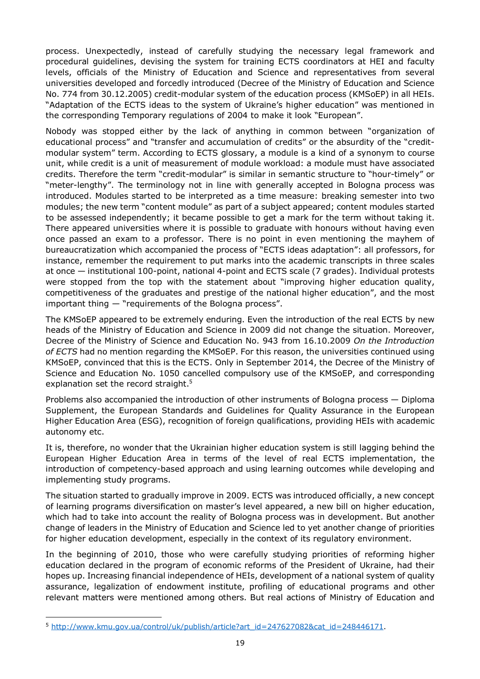process. Unexpectedly, instead of carefully studying the necessary legal framework and procedural guidelines, devising the system for training ECTS coordinators at HEI and faculty levels, officials of the Ministry of Education and Science and representatives from several universities developed and forcedly introduced (Decree of the Ministry of Education and Science No. 774 from 30.12.2005) credit-modular system of the education process (KMSoEP) in all HEIs. "Adaptation of the ECTS ideas to the system of Ukraine's higher education" was mentioned in the corresponding Temporary regulations of 2004 to make it look "European".

Nobody was stopped either by the lack of anything in common between "organization of educational process" and "transfer and accumulation of credits" or the absurdity of the "creditmodular system" term. According to ECTS glossary, a module is a kind of a synonym to course unit, while credit is a unit of measurement of module workload: a module must have associated credits. Therefore the term "credit-modular" is similar in semantic structure to "hour-timely" or "meter-lengthy". The terminology not in line with generally accepted in Bologna process was introduced. Modules started to be interpreted as a time measure: breaking semester into two modules; the new term "content module" as part of a subject appeared; content modules started to be assessed independently; it became possible to get a mark for the term without taking it. There appeared universities where it is possible to graduate with honours without having even once passed an exam to a professor. There is no point in even mentioning the mayhem of bureaucratization which accompanied the process of "ECTS ideas adaptation": all professors, for instance, remember the requirement to put marks into the academic transcripts in three scales at once — institutional 100-point, national 4-point and ECTS scale (7 grades). Individual protests were stopped from the top with the statement about "improving higher education quality, competitiveness of the graduates and prestige of the national higher education", and the most important thing — "requirements of the Bologna process".

The KMSoEP appeared to be extremely enduring. Even the introduction of the real ECTS by new heads of the Ministry of Education and Science in 2009 did not change the situation. Moreover, Decree of the Ministry of Science and Education No. 943 from 16.10.2009 *On the Introduction of ECTS* had no mention regarding the KMSoEP. For this reason, the universities continued using KMSoEP, convinced that this is the ECTS. Only in September 2014, the Decree of the Ministry of Science and Education No. 1050 cancelled compulsory use of the KMSoEP, and corresponding explanation set the record [straight.](#page-18-0)<sup>5</sup>

Problems also accompanied the introduction of other instruments of Bologna process — Diploma Supplement, the European Standards and Guidelines for Quality Assurance in the European Higher Education Area (ESG), recognition of foreign qualifications, providing HEIs with academic autonomy etc.

It is, therefore, no wonder that the Ukrainian higher education system is still lagging behind the European Higher Education Area in terms of the level of real ECTS implementation, the introduction of competency-based approach and using learning outcomes while developing and implementing study programs.

The situation started to gradually improve in 2009. ECTS was introduced officially, a new concept of learning programs diversification on master's level appeared, a new bill on higher education, which had to take into account the reality of Bologna process was in development. But another change of leaders in the Ministry of Education and Science led to yet another change of priorities for higher education development, especially in the context of its regulatory environment.

In the beginning of 2010, those who were carefully studying priorities of reforming higher education declared in the program of economic reforms of the President of Ukraine, had their hopes up. Increasing financial independence of HEIs, development of a national system of quality assurance, legalization of endowment institute, profiling of educational programs and other relevant matters were mentioned among others. But real actions of Ministry of Education and

 $\overline{a}$ 

<span id="page-18-0"></span><sup>5</sup> [http://www.kmu.gov.ua/control/uk/publish/article?art\\_id=247627082&cat\\_id=248446171.](http://www.kmu.gov.ua/control/uk/publish/article?art_id=247627082&cat_id=248446171)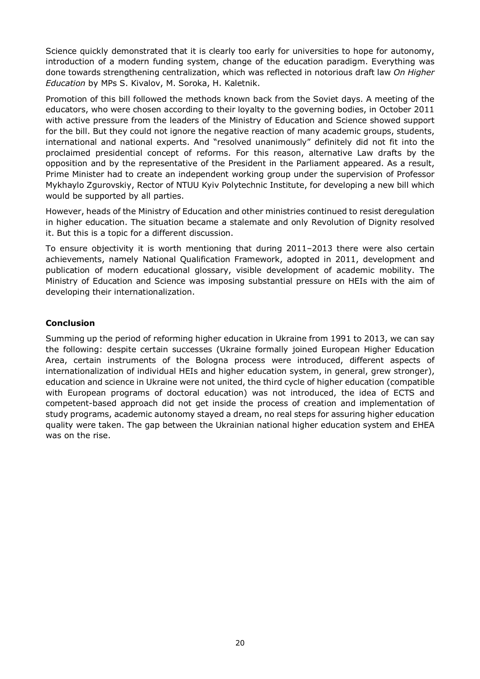Science quickly demonstrated that it is clearly too early for universities to hope for autonomy, introduction of a modern funding system, change of the education paradigm. Everything was done towards strengthening centralization, which was reflected in notorious draft law *On Higher Education* by MPs S. Kivalov, M. Soroka, H. Kaletnik.

Promotion of this bill followed the methods known back from the Soviet days. A meeting of the educators, who were chosen according to their loyalty to the governing bodies, in October 2011 with active pressure from the leaders of the Ministry of Education and Science showed support for the bill. But they could not ignore the negative reaction of many academic groups, students, international and national experts. And "resolved unanimously" definitely did not fit into the proclaimed presidential concept of reforms. For this reason, alternative Law drafts by the opposition and by the representative of the President in the Parliament appeared. As a result, Prime Minister had to create an independent working group under the supervision of Professor Mykhaylo Zgurovskiy, Rector of NTUU Kyiv Polytechnic Institute, for developing a new bill which would be supported by all parties.

However, heads of the Ministry of Education and other ministries continued to resist deregulation in higher education. The situation became a stalemate and only Revolution of Dignity resolved it. But this is a topic for a different discussion.

To ensure objectivity it is worth mentioning that during 2011–2013 there were also certain achievements, namely National Qualification Framework, adopted in 2011, development and publication of modern educational glossary, visible development of academic mobility. The Ministry of Education and Science was imposing substantial pressure on HEIs with the aim of developing their internationalization.

### **Conclusion**

Summing up the period of reforming higher education in Ukraine from 1991 to 2013, we can say the following: despite certain successes (Ukraine formally joined European Higher Education Area, certain instruments of the Bologna process were introduced, different aspects of internationalization of individual HEIs and higher education system, in general, grew stronger), education and science in Ukraine were not united, the third cycle of higher education (compatible with European programs of doctoral education) was not introduced, the idea of ECTS and competent-based approach did not get inside the process of creation and implementation of study programs, academic autonomy stayed a dream, no real steps for assuring higher education quality were taken. The gap between the Ukrainian national higher education system and EHEA was on the rise.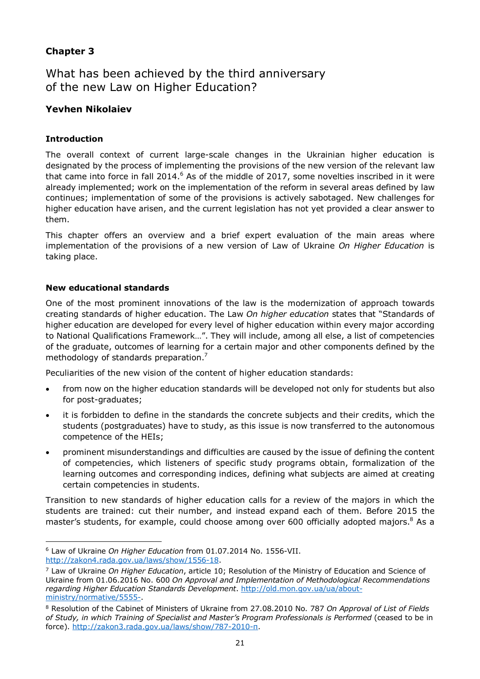### **Chapter 3**

What has been achieved by the third anniversary of the new Law on Higher Education?

### **Yevhen Nikolaiev**

### **Introduction**

The overall context of current large-scale changes in the Ukrainian higher education is designated by the process of implementing the provisions of the new version of the relevant law that came into force in fall [2014.](#page-20-0)<sup>6</sup> As of the middle of 2017, some novelties inscribed in it were already implemented; work on the implementation of the reform in several areas defined by law continues; implementation of some of the provisions is actively sabotaged. New challenges for higher education have arisen, and the current legislation has not yet provided a clear answer to them.

This chapter offers an overview and a brief expert evaluation of the main areas where implementation of the provisions of a new version of Law of Ukraine *On Higher Education* is taking place.

#### **New educational standards**

One of the most prominent innovations of the law is the modernization of approach towards creating standards of higher education. The Law *On higher education* states that "Standards of higher education are developed for every level of higher education within every major according to National Qualifications Framework…". They will include, among all else, a list of competencies of the graduate, outcomes of learning for a certain major and other components defined by the methodology of standards [preparation.](#page-20-1)<sup>7</sup>

Peculiarities of the new vision of the content of higher education standards:

- from now on the higher education standards will be developed not only for students but also for post-graduates;
- it is forbidden to define in the standards the concrete subjects and their credits, which the students (postgraduates) have to study, as this issue is now transferred to the autonomous competence of the HEIs;
- prominent misunderstandings and difficulties are caused by the issue of defining the content of competencies, which listeners of specific study programs obtain, formalization of the learning outcomes and corresponding indices, defining what subjects are aimed at creating certain competencies in students.

Transition to new standards of higher education calls for a review of the majors in which the students are trained: cut their number, and instead expand each of them. Before 2015 the master's students, for example, could choose among over 600 officially adopted [majors.](#page-20-2)<sup>8</sup> As a

<span id="page-20-0"></span> $\overline{a}$ <sup>6</sup> Law of Ukraine *On Higher Education* from 01.07.2014 No. 1556-VII. <http://zakon4.rada.gov.ua/laws/show/1556-18>.

<span id="page-20-1"></span><sup>7</sup> Law of Ukraine *On Higher Education*, article 10; Resolution of the Ministry of Eduсation and Science of Ukraine from 01.06.2016 No. 600 *On Approval and Implementation of Methodological Recommendations regarding Higher Education Standards Development*. [http://old.mon.gov.ua/ua/about](http://old.mon.gov.ua/ua/about-ministry/normative/5555-)ministry/normative/5555-.

<span id="page-20-2"></span><sup>8</sup> Resolution of the Cabinet of Ministers of Ukraine from 27.08.2010 No. 787 *On Approval of List of Fields of Study, in which Training of Specialist and Master's Program Professionals is Performed* (ceased to be in force). [http://zakon3.rada.gov.ua/laws/show/787-2010-п.](http://zakon3.rada.gov.ua/laws/show/787-2010-�)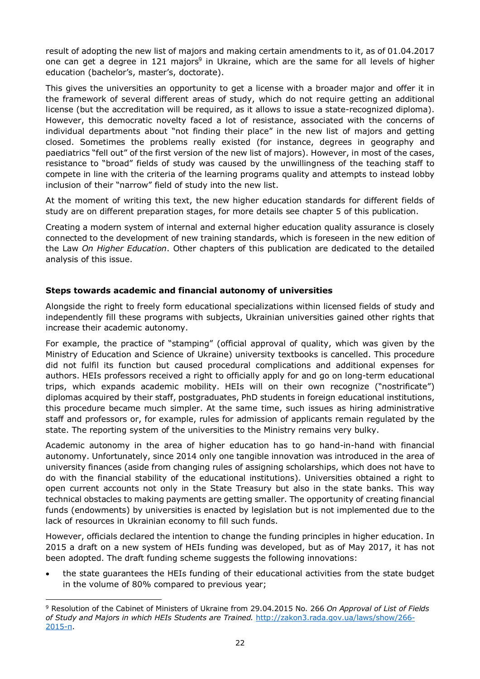result of adopting the new list of majors and making certain amendments to it, as of 01.04.2017 one can get a degree in 121 [majors](#page-21-0)<sup>9</sup> in Ukraine, which are the same for all levels of higher education (bachelor's, master's, doctorate).

This gives the universities an opportunity to get a license with a broader major and offer it in the framework of several different areas of study, which do not require getting an additional license (but the accreditation will be required, as it allows to issue a state-recognized diploma). However, this democratic novelty faced a lot of resistance, associated with the concerns of individual departments about "not finding their place" in the new list of majors and getting closed. Sometimes the problems really existed (for instance, degrees in geography and paediatrics "fell out" of the first version of the new list of majors). However, in most of the cases, resistance to "broad" fields of study was caused by the unwillingness of the teaching staff to compete in line with the criteria of the learning programs quality and attempts to instead lobby inclusion of their "narrow" field of study into the new list.

At the moment of writing this text, the new higher education standards for different fields of study are on different preparation stages, for more details see chapter 5 of this publication.

Creating a modern system of internal and external higher education quality assurance is closely connected to the development of new training standards, which is foreseen in the new edition of the Law *On Higher Education*. Other chapters of this publication are dedicated to the detailed analysis of this issue.

#### **Steps towards academic and financial autonomy of universities**

Alongside the right to freely form educational specializations within licensed fields of study and independently fill these programs with subjects, Ukrainian universities gained other rights that increase their academic autonomy.

For example, the practice of "stamping" (official approval of quality, which was given by the Ministry of Education and Science of Ukraine) university textbooks is cancelled. This procedure did not fulfil its function but caused procedural complications and additional expenses for authors. HEIs professors received a right to officially apply for and go on long-term educational trips, which expands academic mobility. HEIs will on their own recognize ("nostrificate") diplomas acquired by their staff, postgraduates, PhD students in foreign educational institutions, this procedure became much simpler. At the same time, such issues as hiring administrative staff and professors or, for example, rules for admission of applicants remain regulated by the state. The reporting system of the universities to the Ministry remains very bulky.

Academic autonomy in the area of higher education has to go hand-in-hand with financial autonomy. Unfortunately, since 2014 only one tangible innovation was introduced in the area of university finances (aside from changing rules of assigning scholarships, which does not have to do with the financial stability of the educational institutions). Universities obtained a right to open current accounts not only in the State Treasury but also in the state banks. This way technical obstacles to making payments are getting smaller. The opportunity of creating financial funds (endowments) by universities is enacted by legislation but is not implemented due to the lack of resources in Ukrainian economy to fill such funds.

However, officials declared the intention to change the funding principles in higher education. In 2015 a draft on a new system of HEIs funding was developed, but as of May 2017, it has not been adopted. The draft funding scheme suggests the following innovations:

 the state guarantees the HEIs funding of their educational activities from the state budget in the volume of 80% compared to previous year;

<span id="page-21-0"></span> $\overline{a}$ <sup>9</sup> Resolution of the Cabinet of Ministers of Ukraine from 29.04.2015 No. 266 *On Approval of List of Fields of Study and Majors in which HEIs Students are Trained.* [http://zakon3.rada.gov.ua/laws/show/266](http://zakon3.rada.gov.ua/laws/show/266-2015-�)- 2015-п.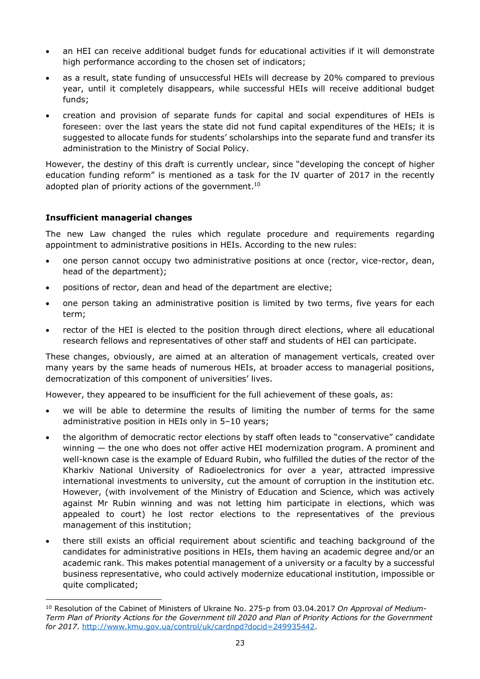- an HEI can receive additional budget funds for educational activities if it will demonstrate high performance according to the chosen set of indicators;
- as a result, state funding of unsuccessful HEIs will decrease by 20% compared to previous year, until it completely disappears, while successful HEIs will receive additional budget funds;
- creation and provision of separate funds for capital and social expenditures of HEIs is foreseen: over the last years the state did not fund capital expenditures of the HEIs; it is suggested to allocate funds for students' scholarships into the separate fund and transfer its administration to the Ministry of Social Policy.

However, the destiny of this draft is currently unclear, since "developing the concept of higher education funding reform" is mentioned as a task for the IV quarter of 2017 in the recently adopted plan of priority actions of the [government.](#page-22-0)<sup>10</sup>

### **Insufficient managerial changes**

The new Law changed the rules which regulate procedure and requirements regarding appointment to administrative positions in HEIs. According to the new rules:

- one person cannot occupy two administrative positions at once (rector, vice-rector, dean, head of the department);
- positions of rector, dean and head of the department are elective;
- one person taking an administrative position is limited by two terms, five years for each term;
- rector of the HEI is elected to the position through direct elections, where all educational research fellows and representatives of other staff and students of HEI can participate.

These changes, obviously, are aimed at an alteration of management verticals, created over many years by the same heads of numerous HEIs, at broader access to managerial positions, democratization of this component of universities' lives.

However, they appeared to be insufficient for the full achievement of these goals, as:

- we will be able to determine the results of limiting the number of terms for the same administrative position in HEIs only in 5–10 years;
- the algorithm of democratic rector elections by staff often leads to "conservative" candidate winning — the one who does not offer active HEI modernization program. A prominent and well-known case is the example of Eduard Rubin, who fulfilled the duties of the rector of the Kharkiv National University of Radioelectronics for over a year, attracted impressive international investments to university, cut the amount of corruption in the institution etc. However, (with involvement of the Ministry of Education and Science, which was actively against Mr Rubin winning and was not letting him participate in elections, which was appealed to court) he lost rector elections to the representatives of the previous management of this institution;
- there still exists an official requirement about scientific and teaching background of the candidates for administrative positions in HEIs, them having an academic degree and/or an academic rank. This makes potential management of a university or a faculty by a successful business representative, who could actively modernize educational institution, impossible or quite complicated;

<span id="page-22-0"></span> $\overline{a}$ <sup>10</sup> Resolution of the Cabinet of Ministers of Ukraine No. 275-p from 03.04.2017 *On Approval of Medium-Term Plan of Priority Actions for the Government till 2020 and Plan of Priority Actions for the Government for 2017*. <http://www.kmu.gov.ua/control/uk/cardnpd?docid=249935442>.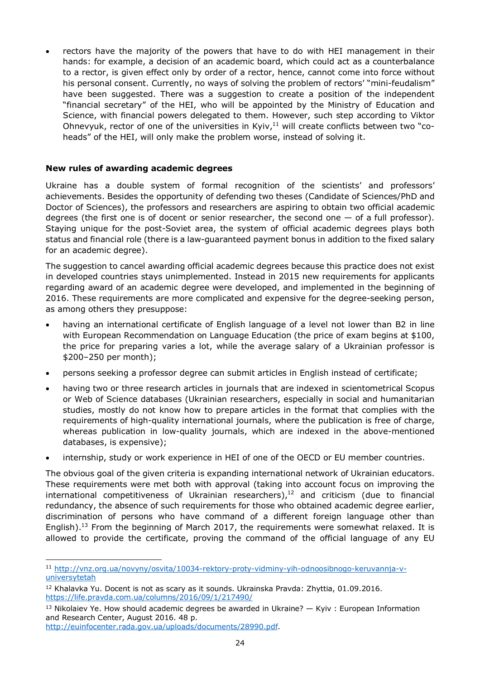• rectors have the majority of the powers that have to do with HEI management in their hands: for example, a decision of an academic board, which could act as a counterbalance to a rector, is given effect only by order of a rector, hence, cannot come into force without his personal consent. Currently, no ways of solving the problem of rectors' "mini-feudalism" have been suggested. There was a suggestion to create a position of the independent "financial secretary" of the HEI, who will be appointed by the Ministry of Education and Science, with financial powers delegated to them. However, such step according to Viktor Ohnevyuk, rector of one of the universities in Kyiv, $11$  will create conflicts between two "coheads" of the HEI, will only make the problem worse, instead of solving it.

### **New rules of awarding academic degrees**

Ukraine has a double system of formal recognition of the scientists' and professors' achievements. Besides the opportunity of defending two theses (Candidate of Sciences/PhD and Doctor of Sciences), the professors and researchers are aspiring to obtain two official academic degrees (the first one is of docent or senior researcher, the second one  $-$  of a full professor). Staying unique for the post-Soviet area, the system of official academic degrees plays both status and financial role (there is a law-guaranteed payment bonus in addition to the fixed salary for an academic degree).

The suggestion to cancel awarding official academic degrees because this practice does not exist in developed countries stays unimplemented. Instead in 2015 new requirements for applicants regarding award of an academic degree were developed, and implemented in the beginning of 2016. These requirements are more complicated and expensive for the degree-seeking person, as among others they presuppose:

- having an international certificate of English language of a level not lower than B2 in line with European Recommendation on Language Education (the price of exam begins at \$100, the price for preparing varies a lot, while the average salary of a Ukrainian professor is \$200–250 per month);
- persons seeking a professor degree can submit articles in English instead of certificate;
- having two or three research articles in journals that are indexed in scientometrical Scopus or Web of Science databases (Ukrainian researchers, especially in social and humanitarian studies, mostly do not know how to prepare articles in the format that complies with the requirements of high-quality international journals, where the publication is free of charge, whereas publication in low-quality journals, which are indexed in the above-mentioned databases, is expensive);
- internship, study or work experience in HEI of one of the OECD or EU member countries.

The obvious goal of the given criteria is expanding international network of Ukrainian educators. These requirements were met both with approval (taking into account focus on improving the international competitiveness of Ukrainian researcher[s\),](#page-23-1) <sup>12</sup> and criticism (due to financial redundancy, the absence of such requirements for those who obtained academic degree earlier, discrimination of persons who have command of a different foreign language other than Englis[h\).](#page-23-2)<sup>13</sup> From the beginning of March 2017, the requirements were somewhat relaxed. It is allowed to provide the certificate, proving the command of the official language of any EU

<span id="page-23-0"></span> $\overline{a}$ <sup>11</sup> [http://vnz.org.ua/novyny/osvita/10034-rektory-proty-vidminy-yih-odnoosibnogo-keruvannja-v](http://vnz.org.ua/novyny/osvita/10034-rektory-proty-vidminy-yih-odnoosibnogo-keruvannja-v-universytetah)universytetah

<span id="page-23-1"></span> $12$  Khalavka Yu. Docent is not as scary as it sounds. Ukrainska Pravda: Zhyttia, 01.09.2016. <https://life.pravda.com.ua/columns/2016/09/1/217490/>

<span id="page-23-2"></span> $13$  Nikolaiev Ye. How should academic degrees be awarded in Ukraine?  $-$  Kyiv : European Information and Research Center, August 2016. 48 p.

<http://euinfocenter.rada.gov.ua/uploads/documents/28990.pdf>.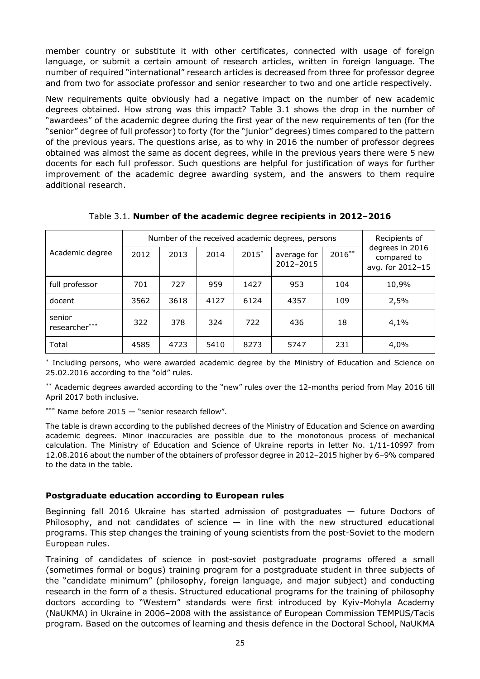member country or substitute it with other certificates, connected with usage of foreign language, or submit a certain amount of research articles, written in foreign language. The number of required "international" research articles is decreased from three for professor degree and from two for associate professor and senior researcher to two and one article respectively.

New requirements quite obviously had a negative impact on the number of new academic degrees obtained. How strong was this impact? Table 3.1 shows the drop in the number of "awardees" of the academic degree during the first year of the new requirements of ten (for the "senior" degree of full professor) to forty (for the "junior" degrees) times compared to the pattern of the previous years. The questions arise, as to why in 2016 the number of professor degrees obtained was almost the same as docent degrees, while in the previous years there were 5 new docents for each full professor. Such questions are helpful for justification of ways for further improvement of the academic degree awarding system, and the answers to them require additional research.

|                         | Number of the received academic degrees, persons |      |      |         |                          |           | Recipients of                                      |
|-------------------------|--------------------------------------------------|------|------|---------|--------------------------|-----------|----------------------------------------------------|
| Academic degree         | 2012                                             | 2013 | 2014 | $2015*$ | average for<br>2012-2015 | $2016***$ | degrees in 2016<br>compared to<br>avg. for 2012-15 |
| full professor          | 701                                              | 727  | 959  | 1427    | 953                      | 104       | 10,9%                                              |
| docent                  | 3562                                             | 3618 | 4127 | 6124    | 4357                     | 109       | 2,5%                                               |
| senior<br>researcher*** | 322                                              | 378  | 324  | 722     | 436                      | 18        | 4,1%                                               |
| Total                   | 4585                                             | 4723 | 5410 | 8273    | 5747                     | 231       | 4,0%                                               |

Table 3.1. **Number of the academic degree recipients in 2012–2016**

\* Including persons, who were awarded academic degree by the Ministry of Education and Science on 25.02.2016 according to the "old" rules.

\*\* Academic degrees awarded according to the "new" rules over the 12-months period from May 2016 till April 2017 both inclusive.

\*\*\* Name before  $2015 -$  "senior research fellow".

The table is drawn according to the published decrees of the Ministry of Education and Science on awarding academic degrees. Minor inaccuracies are possible due to the monotonous process of mechanical calculation. The Ministry of Education and Science of Ukraine reports in letter No. 1/11-10997 from 12.08.2016 about the number of the obtainers of professor degree in 2012–2015 higher by 6–9% compared to the data in the table.

#### **Postgraduate education according to European rules**

Beginning fall 2016 Ukraine has started admission of postgraduates — future Doctors of Philosophy, and not candidates of science  $-$  in line with the new structured educational programs. This step changes the training of young scientists from the post-Soviet to the modern European rules.

Training of candidates of science in post-soviet postgraduate programs offered a small (sometimes formal or bogus) training program for a postgraduate student in three subjects of the "candidate minimum" (philosophy, foreign language, and major subject) and conducting research in the form of a thesis. Structured educational programs for the training of philosophy doctors according to "Western" standards were first introduced by Kyiv-Mohyla Academy (NaUKMA) in Ukraine in 2006–2008 with the assistance of European Commission TEMPUS/Tacis program. Based on the outcomes of learning and thesis defence in the Doctoral School, NaUKMA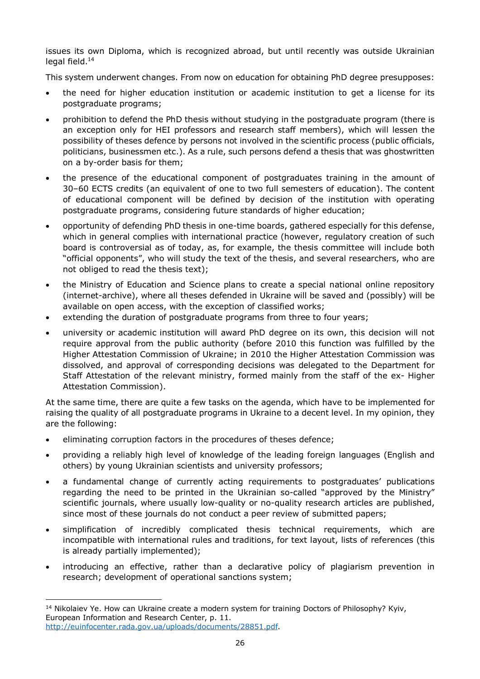issues its own Diploma, which is recognized abroad, but until recently was outside Ukrainian legal [field.](#page-25-0) 14

This system underwent changes. From now on education for obtaining PhD degree presupposes:

- the need for higher education institution or academic institution to get a license for its postgraduate programs;
- prohibition to defend the PhD thesis without studying in the postgraduate program (there is an exception only for HEI professors and research staff members), which will lessen the possibility of theses defence by persons not involved in the scientific process (public officials, politicians, businessmen etc.). As a rule, such persons defend a thesis that was ghostwritten on a by-order basis for them;
- the presence of the educational component of postgraduates training in the amount of 30–60 ECTS credits (an equivalent of one to two full semesters of education). The content of educational component will be defined by decision of the institution with operating postgraduate programs, considering future standards of higher education;
- opportunity of defending PhD thesis in one-time boards, gathered especially for this defense, which in general complies with international practice (however, regulatory creation of such board is controversial as of today, as, for example, the thesis committee will include both "official opponents", who will study the text of the thesis, and several researchers, who are not obliged to read the thesis text);
- the Ministry of Education and Science plans to create a special national online repository (internet-archive), where all theses defended in Ukraine will be saved and (possibly) will be available on open access, with the exception of classified works;
- extending the duration of postgraduate programs from three to four years;
- university or academic institution will award PhD degree on its own, this decision will not require approval from the public authority (before 2010 this function was fulfilled by the Higher Attestation Commission of Ukraine; in 2010 the Higher Attestation Commission was dissolved, and approval of corresponding decisions was delegated to the Department for Staff Attestation of the relevant ministry, formed mainly from the staff of the ex- Higher Attestation Commission).

At the same time, there are quite a few tasks on the agenda, which have to be implemented for raising the quality of all postgraduate programs in Ukraine to a decent level. In my opinion, they are the following:

- eliminating corruption factors in the procedures of theses defence;
- providing a reliably high level of knowledge of the leading foreign languages (English and others) by young Ukrainian scientists and university professors;
- a fundamental change of currently acting requirements to postgraduates' publications regarding the need to be printed in the Ukrainian so-called "approved by the Ministry" scientific journals, where usually low-quality or no-quality research articles are published, since most of these journals do not conduct a peer review of submitted papers;
- simplification of incredibly complicated thesis technical requirements, which are incompatible with international rules and traditions, for text layout, lists of references (this is already partially implemented);
- introducing an effective, rather than a declarative policy of plagiarism prevention in research; development of operational sanctions system;

<span id="page-25-0"></span> $\overline{a}$ <sup>14</sup> Nikolaiev Ye. How can Ukraine create a modern system for training Doctors of Philosophy? Кyiv, European Information and Research Center, p. 11. <http://euinfocenter.rada.gov.ua/uploads/documents/28851.pdf>.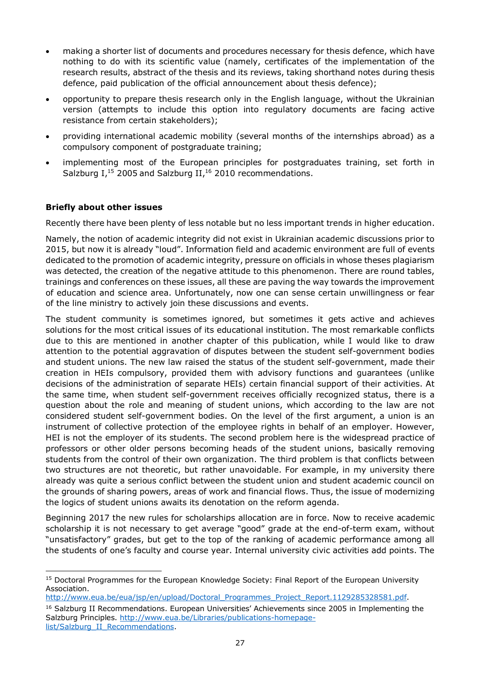- making a shorter list of documents and procedures necessary for thesis defence, which have nothing to do with its scientific value (namely, certificates of the implementation of the research results, abstract of the thesis and its reviews, taking shorthand notes during thesis defence, paid publication of the official announcement about thesis defence);
- opportunity to prepare thesis research only in the English language, without the Ukrainian version (attempts to include this option into regulatory documents are facing active resistance from certain stakeholders);
- providing international academic mobility (several months of the internships abroad) as a compulsory component of postgraduate training;
- implementing most of the European principles for postgraduates training, set forth in Salzburg I,<sup>[15](#page-26-0)</sup> 2005 and Salzburg II,<sup>[16](#page-26-1)</sup> 2010 recommendations.

### **Briefly about other issues**

Recently there have been plenty of less notable but no less important trends in higher education.

Namely, the notion of academic integrity did not exist in Ukrainian academic discussions prior to 2015, but now it is already "loud". Information field and academic environment are full of events dedicated to the promotion of academic integrity, pressure on officials in whose theses plagiarism was detected, the creation of the negative attitude to this phenomenon. There are round tables, trainings and conferences on these issues, all these are paving the way towards the improvement of education and science area. Unfortunately, now one can sense certain unwillingness or fear of the line ministry to actively join these discussions and events.

The student community is sometimes ignored, but sometimes it gets active and achieves solutions for the most critical issues of its educational institution. The most remarkable conflicts due to this are mentioned in another chapter of this publication, while I would like to draw attention to the potential aggravation of disputes between the student self-government bodies and student unions. The new law raised the status of the student self-government, made their creation in HEIs compulsory, provided them with advisory functions and guarantees (unlike decisions of the administration of separate HEIs) certain financial support of their activities. At the same time, when student self-government receives officially recognized status, there is a question about the role and meaning of student unions, which according to the law are not considered student self-government bodies. On the level of the first argument, a union is an instrument of collective protection of the employee rights in behalf of an employer. However, HEI is not the employer of its students. The second problem here is the widespread practice of professors or other older persons becoming heads of the student unions, basically removing students from the control of their own organization. The third problem is that conflicts between two structures are not theoretic, but rather unavoidable. For example, in my university there already was quite a serious conflict between the student union and student academic council on the grounds of sharing powers, areas of work and financial flows. Thus, the issue of modernizing the logics of student unions awaits its denotation on the reform agenda.

Beginning 2017 the new rules for scholarships allocation are in force. Now to receive academic scholarship it is not necessary to get average "good" grade at the end-of-term exam, without "unsatisfactory" grades, but get to the top of the ranking of academic performance among all the students of one's faculty and course year. Internal university civic activities add points. The

<span id="page-26-1"></span>[http://www.eua.be/eua/jsp/en/upload/Doctoral\\_Programmes\\_Project\\_Report.1129285328581.pdf](http://www.eua.be/eua/jsp/en/upload/Doctoral_Programmes_Project_Report.1129285328581.pdf). <sup>16</sup> Salzburg II Recommendations. European Universities' Achievements since 2005 in Implementing the Salzburg Principles. [http://www.eua.be/Libraries/publications-homepage](http://www.eua.be/Libraries/publications-homepage-list/Salzburg_II_Recommendations)list/Salzburg\_II\_Recommendations.

<span id="page-26-0"></span> $\overline{a}$ <sup>15</sup> Doctoral Programmes for the European Knowledge Society: Final Report of the European University Association.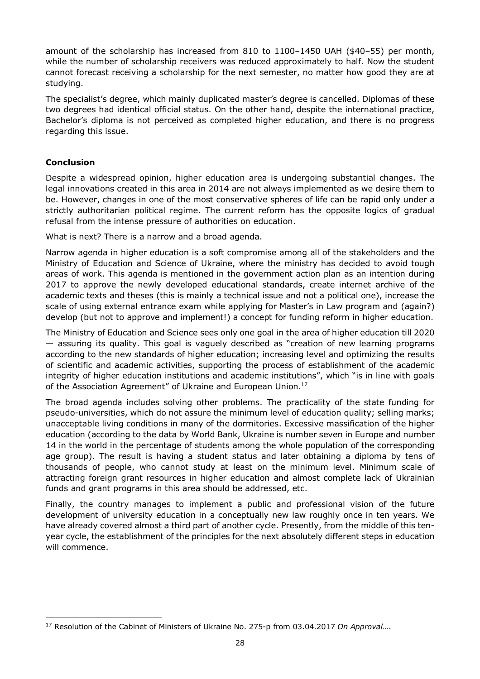amount of the scholarship has increased from 810 to 1100–1450 UAH (\$40–55) per month, while the number of scholarship receivers was reduced approximately to half. Now the student cannot forecast receiving a scholarship for the next semester, no matter how good they are at studying.

The specialist's degree, which mainly duplicated master's degree is cancelled. Diplomas of these two degrees had identical official status. On the other hand, despite the international practice, Bachelor's diploma is not perceived as completed higher education, and there is no progress regarding this issue.

### **Conclusion**

Despite a widespread opinion, higher education area is undergoing substantial changes. The legal innovations created in this area in 2014 are not always implemented as we desire them to be. However, changes in one of the most conservative spheres of life can be rapid only under a strictly authoritarian political regime. The current reform has the opposite logics of gradual refusal from the intense pressure of authorities on education.

What is next? There is a narrow and a broad agenda.

Narrow agenda in higher education is a soft compromise among all of the stakeholders and the Ministry of Education and Science of Ukraine, where the ministry has decided to avoid tough areas of work. This agenda is mentioned in the government action plan as an intention during 2017 to approve the newly developed educational standards, create internet archive of the academic texts and theses (this is mainly a technical issue and not a political one), increase the scale of using external entrance exam while applying for Master's in Law program and (again?) develop (but not to approve and implement!) a concept for funding reform in higher education.

The Ministry of Education and Science sees only one goal in the area of higher education till 2020 — assuring its quality. This goal is vaguely described as "creation of new learning programs according to the new standards of higher education; increasing level and optimizing the results of scientific and academic activities, supporting the process of establishment of the academic integrity of higher education institutions and academic institutions", which "is in line with goals of the Association Agreement" of Ukraine and European [Union.](#page-27-0)<sup>17</sup>

The broad agenda includes solving other problems. The practicality of the state funding for pseudo-universities, which do not assure the minimum level of education quality; selling marks; unacceptable living conditions in many of the dormitories. Excessive massification of the higher education (according to the data by World Bank, Ukraine is number seven in Europe and number 14 in the world in the percentage of students among the whole population of the corresponding age group). The result is having a student status and later obtaining a diploma by tens of thousands of people, who cannot study at least on the minimum level. Minimum scale of attracting foreign grant resources in higher education and almost complete lack of Ukrainian funds and grant programs in this area should be addressed, etc.

Finally, the country manages to implement a public and professional vision of the future development of university education in a conceptually new law roughly once in ten years. We have already covered almost a third part of another cycle. Presently, from the middle of this tenyear cycle, the establishment of the principles for the next absolutely different steps in education will commence.

<span id="page-27-0"></span> $\overline{a}$ <sup>17</sup> Resolution of the Cabinet of Ministers of Ukraine No. 275-p from 03.04.2017 *On Approval*….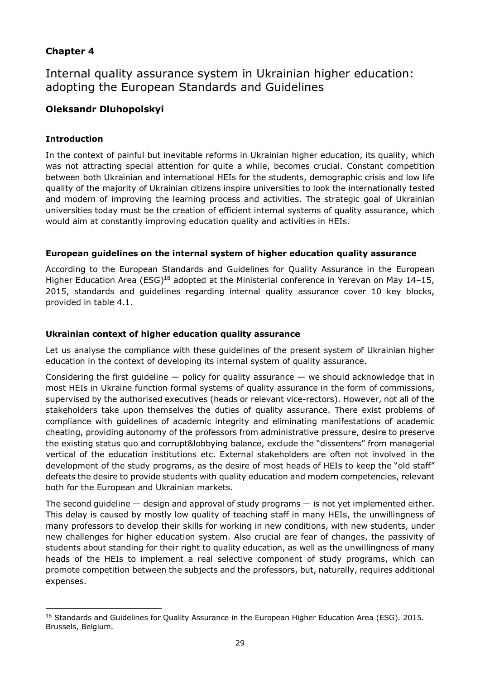### **Chapter 4**

Internal quality assurance system in Ukrainian higher education: adopting the European Standards and Guidelines

### **Oleksandr Dluhopolskyi**

### **Introduction**

In the context of painful but inevitable reforms in Ukrainian higher education, its quality, which was not attracting special attention for quite a while, becomes crucial. Constant competition between both Ukrainian and international HEIs for the students, demographic crisis and low life quality of the majority of Ukrainian citizens inspire universities to look the internationally tested and modern of improving the learning process and activities. The strategic goal of Ukrainian universities today must be the creation of efficient internal systems of quality assurance, which would aim at constantly improving education quality and activities in HEIs.

### **European guidelines on the internal system of higher education quality assurance**

According to the European Standards and Guidelines for Quality Assurance in the European Higher Education Area (ESG)<sup>[18](#page-28-0)</sup> adopted at the Ministerial conference in Yerevan on May 14-15, 2015, standards and guidelines regarding internal quality assurance cover 10 key blocks, provided in table 4.1.

### **Ukrainian context of higher education quality assurance**

Let us analyse the compliance with these guidelines of the present system of Ukrainian higher education in the context of developing its internal system of quality assurance.

Considering the first quideline  $-$  policy for quality assurance  $-$  we should acknowledge that in most HEIs in Ukraine function formal systems of quality assurance in the form of commissions, supervised by the authorised executives (heads or relevant vice-rectors). However, not all of the stakeholders take upon themselves the duties of quality assurance. There exist problems of compliance with guidelines of academic integrity and eliminating manifestations of academic cheating, providing autonomy of the professors from administrative pressure, desire to preserve the existing status quo and corrupt&lobbying balance, exclude the "dissenters" from managerial vertical of the education institutions etc. External stakeholders are often not involved in the development of the study programs, as the desire of most heads of HEIs to keep the "old staff" defeats the desire to provide students with quality education and modern competencies, relevant both for the European and Ukrainian markets.

The second guideline — design and approval of study programs — is not yet implemented either. This delay is caused by mostly low quality of teaching staff in many HEIs, the unwillingness of many professors to develop their skills for working in new conditions, with new students, under new challenges for higher education system. Also crucial are fear of changes, the passivity of students about standing for their right to quality education, as well as the unwillingness of many heads of the HEIs to implement a real selective component of study programs, which can promote competition between the subjects and the professors, but, naturally, requires additional expenses.

<span id="page-28-0"></span> $\overline{a}$ <sup>18</sup> Standards and Guidelines for Quality Assurance in the European Higher Education Area (ESG). 2015. Brussels, Belgium.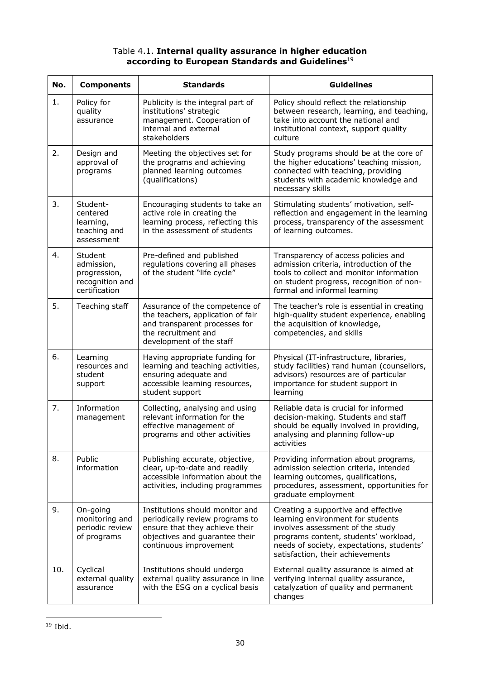### Table 4.1. **Internal quality assurance in higher education according to European Standards and [Guidelines](#page-29-0)**<sup>19</sup>

| No. | <b>Components</b>                                                         | <b>Standards</b>                                                                                                                                                 | <b>Guidelines</b>                                                                                                                                                                                                                      |
|-----|---------------------------------------------------------------------------|------------------------------------------------------------------------------------------------------------------------------------------------------------------|----------------------------------------------------------------------------------------------------------------------------------------------------------------------------------------------------------------------------------------|
| 1.  | Policy for<br>quality<br>assurance                                        | Publicity is the integral part of<br>institutions' strategic<br>management. Cooperation of<br>internal and external<br>stakeholders                              | Policy should reflect the relationship<br>between research, learning, and teaching,<br>take into account the national and<br>institutional context, support quality<br>culture                                                         |
| 2.  | Design and<br>approval of<br>programs                                     | Meeting the objectives set for<br>the programs and achieving<br>planned learning outcomes<br>(qualifications)                                                    | Study programs should be at the core of<br>the higher educations' teaching mission,<br>connected with teaching, providing<br>students with academic knowledge and<br>necessary skills                                                  |
| 3.  | Student-<br>centered<br>learning,<br>teaching and<br>assessment           | Encouraging students to take an<br>active role in creating the<br>learning process, reflecting this<br>in the assessment of students                             | Stimulating students' motivation, self-<br>reflection and engagement in the learning<br>process, transparency of the assessment<br>of learning outcomes.                                                                               |
| 4.  | Student<br>admission,<br>progression,<br>recognition and<br>certification | Pre-defined and published<br>regulations covering all phases<br>of the student "life cycle"                                                                      | Transparency of access policies and<br>admission criteria, introduction of the<br>tools to collect and monitor information<br>on student progress, recognition of non-<br>formal and informal learning                                 |
| 5.  | Teaching staff                                                            | Assurance of the competence of<br>the teachers, application of fair<br>and transparent processes for<br>the recruitment and<br>development of the staff          | The teacher's role is essential in creating<br>high-quality student experience, enabling<br>the acquisition of knowledge,<br>competencies, and skills                                                                                  |
| 6.  | Learning<br>resources and<br>student<br>support                           | Having appropriate funding for<br>learning and teaching activities,<br>ensuring adequate and<br>accessible learning resources,<br>student support                | Physical (IT-infrastructure, libraries,<br>study facilities) rand human (counsellors,<br>advisors) resources are of particular<br>importance for student support in<br>learning                                                        |
| 7.  | Information<br>management                                                 | Collecting, analysing and using<br>relevant information for the<br>effective management of<br>programs and other activities                                      | Reliable data is crucial for informed<br>decision-making. Students and staff<br>should be equally involved in providing,<br>analysing and planning follow-up<br>activities                                                             |
| 8.  | Public<br>information                                                     | Publishing accurate, objective,<br>clear, up-to-date and readily<br>accessible information about the<br>activities, including programmes                         | Providing information about programs,<br>admission selection criteria, intended<br>learning outcomes, qualifications,<br>procedures, assessment, opportunities for<br>graduate employment                                              |
| 9.  | On-going<br>monitoring and<br>periodic review<br>of programs              | Institutions should monitor and<br>periodically review programs to<br>ensure that they achieve their<br>objectives and guarantee their<br>continuous improvement | Creating a supportive and effective<br>learning environment for students<br>involves assessment of the study<br>programs content, students' workload,<br>needs of society, expectations, students'<br>satisfaction, their achievements |
| 10. | Cyclical<br>external quality<br>assurance                                 | Institutions should undergo<br>external quality assurance in line<br>with the ESG on a cyclical basis                                                            | External quality assurance is aimed at<br>verifying internal quality assurance,<br>catalyzation of quality and permanent<br>changes                                                                                                    |

<span id="page-29-0"></span> $\overline{a}$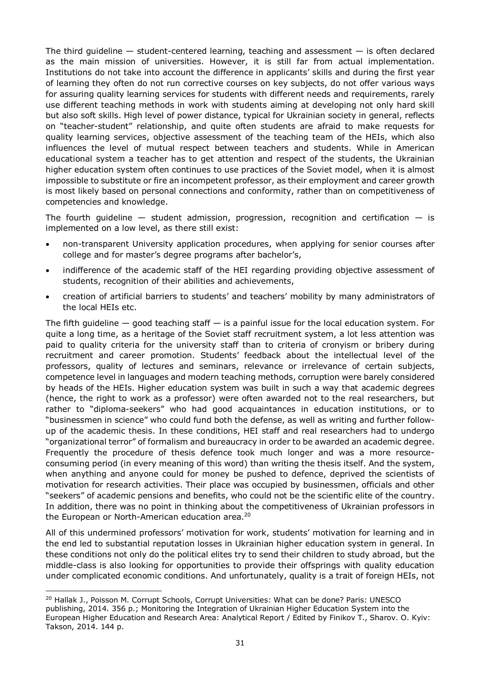The third quideline  $-$  student-centered learning, teaching and assessment  $-$  is often declared as the main mission of universities. However, it is still far from actual implementation. Institutions do not take into account the difference in applicants' skills and during the first year of learning they often do not run corrective courses on key subjects, do not offer various ways for assuring quality learning services for students with different needs and requirements, rarely use different teaching methods in work with students aiming at developing not only hard skill but also soft skills. High level of power distance, typical for Ukrainian society in general, reflects on "teacher-student" relationship, and quite often students are afraid to make requests for quality learning services, objective assessment of the teaching team of the HEIs, which also influences the level of mutual respect between teachers and students. While in American educational system a teacher has to get attention and respect of the students, the Ukrainian higher education system often continues to use practices of the Soviet model, when it is almost impossible to substitute or fire an incompetent professor, as their employment and career growth is most likely based on personal connections and conformity, rather than on competitiveness of competencies and knowledge.

The fourth quideline  $-$  student admission, progression, recognition and certification  $-$  is implemented on a low level, as there still exist:

- non-transparent University application procedures, when applying for senior courses after college and for master's degree programs after bachelor's,
- indifference of the academic staff of the HEI regarding providing objective assessment of students, recognition of their abilities and achievements,
- creation of artificial barriers to students' and teachers' mobility by many administrators of the local HEIs etc.

The fifth quideline  $-$  good teaching staff  $-$  is a painful issue for the local education system. For quite a long time, as a heritage of the Soviet staff recruitment system, a lot less attention was paid to quality criteria for the university staff than to criteria of cronyism or bribery during recruitment and career promotion. Students' feedback about the intellectual level of the professors, quality of lectures and seminars, relevance or irrelevance of certain subjects, competence level in languages and modern teaching methods, corruption were barely considered by heads of the HEIs. Higher education system was built in such a way that academic degrees (hence, the right to work as a professor) were often awarded not to the real researchers, but rather to "diploma-seekers" who had good acquaintances in education institutions, or to "businessmen in science" who could fund both the defense, as well as writing and further followup of the academic thesis. In these conditions, HEI staff and real researchers had to undergo "organizational terror" of formalism and bureaucracy in order to be awarded an academic degree. Frequently the procedure of thesis defence took much longer and was a more resourceconsuming period (in every meaning of this word) than writing the thesis itself. And the system, when anything and anyone could for money be pushed to defence, deprived the scientists of motivation for research activities. Their place was occupied by businessmen, officials and other "seekers" of academic pensions and benefits, who could not be the scientific elite of the country. In addition, there was no point in thinking about the competitiveness of Ukrainian professors in the European or North-American education [area.](#page-30-0)<sup>20</sup>

All of this undermined professors' motivation for work, students' motivation for learning and in the end led to substantial reputation losses in Ukrainian higher education system in general. In these conditions not only do the political elites try to send their children to study abroad, but the middle-class is also looking for opportunities to provide their offsprings with quality education under complicated economic conditions. And unfortunately, quality is a trait of foreign HEIs, not

<span id="page-30-0"></span> $\overline{a}$ <sup>20</sup> Hallak J., Poisson M. Corrupt Schools, Corrupt Universities: What can be done? Paris: UNESCO publishing, 2014. 356 p.; Monitoring the Integration of Ukrainian Higher Education System into the European Higher Education and Research Area: Analytical Report / Edited by Finikov T., Sharov. O. Кyiv: Takson, 2014. 144 p.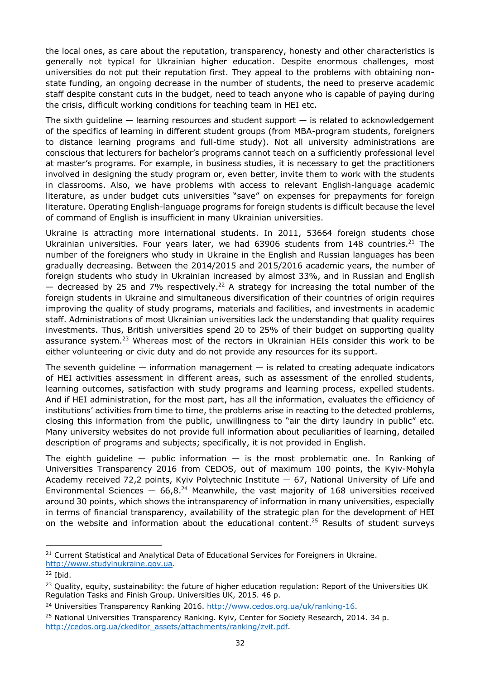the local ones, as care about the reputation, transparency, honesty and other characteristics is generally not typical for Ukrainian higher education. Despite enormous challenges, most universities do not put their reputation first. They appeal to the problems with obtaining nonstate funding, an ongoing decrease in the number of students, the need to preserve academic staff despite constant cuts in the budget, need to teach anyone who is capable of paying during the crisis, difficult working conditions for teaching team in HEI etc.

The sixth quideline  $-$  learning resources and student support  $-$  is related to acknowledgement of the specifics of learning in different student groups (from MBA-program students, foreigners to distance learning programs and full-time study). Not all university administrations are conscious that lecturers for bachelor's programs cannot teach on a sufficiently professional level at master's programs. For example, in business studies, it is necessary to get the practitioners involved in designing the study program or, even better, invite them to work with the students in classrooms. Also, we have problems with access to relevant English-language academic literature, as under budget cuts universities "save" on expenses for prepayments for foreign literature. Operating English-language programs for foreign students is difficult because the level of command of English is insufficient in many Ukrainian universities.

Ukraine is attracting more international students. In 2011, 53664 foreign students chose Ukrainian universities. Four years later, we had  $63906$  students from 148 [countries.](#page-31-0)<sup>21</sup> The number of the foreigners who study in Ukraine in the English and Russian languages has been gradually decreasing. Between the 2014/2015 and 2015/2016 academic years, the number of foreign students who study in Ukrainian increased by almost 33%, and in Russian and English  $-$  decreased by 25 and 7% [respectively.](#page-31-1)<sup>22</sup> A strategy for increasing the total number of the foreign students in Ukraine and simultaneous diversification of their countries of origin requires improving the quality of study programs, materials and facilities, and investments in academic staff. Administrations of most Ukrainian universities lack the understanding that quality requires investments. Thus, British universities spend 20 to 25% of their budget on supporting quality assurance [system.](#page-31-2)<sup>23</sup> Whereas most of the rectors in Ukrainian HEIs consider this work to be either volunteering or civic duty and do not provide any resources for its support.

The seventh quideline  $-$  information management  $-$  is related to creating adequate indicators of HEI activities assessment in different areas, such as assessment of the enrolled students, learning outcomes, satisfaction with study programs and learning process, expelled students. And if HEI administration, for the most part, has all the information, evaluates the efficiency of institutions' activities from time to time, the problems arise in reacting to the detected problems, closing this information from the public, unwillingness to "air the dirty laundry in public" etc. Many university websites do not provide full information about peculiarities of learning, detailed description of programs and subjects; specifically, it is not provided in English.

The eighth guideline  $-$  public information  $-$  is the most problematic one. In Ranking of Universities Transparency 2016 from CEDOS, out of maximum 100 points, the Kyiv-Mohyla Academy received 72,2 points, Kyiv Polytechnic Institute — 67, National University of Life and Environmental Sciences  $-66.8^{24}$  Meanwhile, the vast majority of 168 universities received around 30 points, which shows the intransparency of information in many universities, especially in terms of financial transparency, availability of the strategic plan for the development of HEI on the website and information about the educational [content.](#page-31-4)<sup>25</sup> Results of student surveys

 $\overline{a}$ 

<span id="page-31-0"></span><sup>&</sup>lt;sup>21</sup> Current Statistical and Analytical Data of Educational Services for Foreigners in Ukraine.

[http://www.studyinukraine.gov.ua.](http://www.studyinukraine.gov.ua/)

<span id="page-31-1"></span> $22$  Ibid.

<span id="page-31-2"></span><sup>&</sup>lt;sup>23</sup> Quality, equity, sustainability: the future of higher education regulation: Report of the Universities UK Regulation Tasks and Finish Group. Universities UK, 2015. 46 p.

<span id="page-31-3"></span><sup>24</sup> Universities Transparency Ranking 2016. [http://www.cedos.org.ua/uk/ranking-16.](http://www.cedos.org.ua/uk/ranking-16)

<span id="page-31-4"></span><sup>&</sup>lt;sup>25</sup> National Universities Transparency Ranking. Kyiv, Center for Society Research, 2014. 34 p. [http://cedos.org.ua/ckeditor\\_assets/attachments/ranking/zvit.pdf](http://cedos.org.ua/ckeditor_assets/attachments/ranking/zvit.pdf).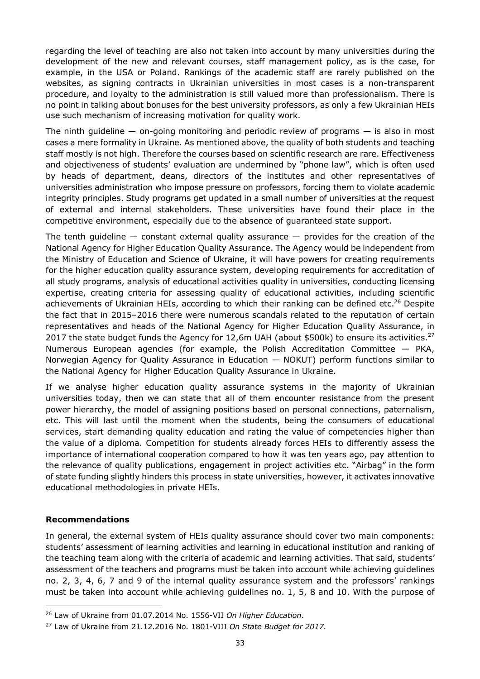regarding the level of teaching are also not taken into account by many universities during the development of the new and relevant courses, staff management policy, as is the case, for example, in the USA or Poland. Rankings of the academic staff are rarely published on the websites, as signing contracts in Ukrainian universities in most cases is a non-transparent procedure, and loyalty to the administration is still valued more than professionalism. There is no point in talking about bonuses for the best university professors, as only a few Ukrainian HEIs use such mechanism of increasing motivation for quality work.

The ninth quideline  $-$  on-going monitoring and periodic review of programs  $-$  is also in most cases a mere formality in Ukraine. As mentioned above, the quality of both students and teaching staff mostly is not high. Therefore the courses based on scientific research are rare. Effectiveness and objectiveness of students' evaluation are undermined by "phone law", which is often used by heads of department, deans, directors of the institutes and other representatives of universities administration who impose pressure on professors, forcing them to violate academic integrity principles. Study programs get updated in a small number of universities at the request of external and internal stakeholders. These universities have found their place in the competitive environment, especially due to the absence of guaranteed state support.

The tenth quideline  $-$  constant external quality assurance  $-$  provides for the creation of the National Agency for Higher Education Quality Assurance. The Agency would be independent from the Ministry of Education and Science of Ukraine, it will have powers for creating requirements for the higher education quality assurance system, developing requirements for accreditation of all study programs, analysis of educational activities quality in universities, conducting licensing expertise, creating criteria for assessing quality of educational activities, including scientific achievements of Ukrainian HEIs, according to which their ranking can be defined [etc.](#page-32-0)<sup>26</sup> Despite the fact that in 2015–2016 there were numerous scandals related to the reputation of certain representatives and heads of the National Agency for Higher Education Quality Assurance, in 2017 the state budget funds the Agency for 12,6m UAH (about \$500k) to ensure its [activities.](#page-32-1)<sup>27</sup> Numerous European agencies (for example, the Polish Accreditation Committee — PKA, Norwegian Agency for Quality Assurance in Education — NOKUT) perform functions similar to the National Agency for Higher Education Quality Assurance in Ukraine.

If we analyse higher education quality assurance systems in the majority of Ukrainian universities today, then we can state that all of them encounter resistance from the present power hierarchy, the model of assigning positions based on personal connections, paternalism, etc. This will last until the moment when the students, being the consumers of educational services, start demanding quality education and rating the value of competencies higher than the value of a diploma. Competition for students already forces HEIs to differently assess the importance of international cooperation compared to how it was ten years ago, pay attention to the relevance of quality publications, engagement in project activities etc. "Airbag" in the form of state funding slightly hinders this process in state universities, however, it activates innovative educational methodologies in private HEIs.

#### **Recommendations**

 $\overline{a}$ 

In general, the external system of HEIs quality assurance should cover two main components: students' assessment of learning activities and learning in educational institution and ranking of the teaching team along with the criteria of academic and learning activities. That said, students' assessment of the teachers and programs must be taken into account while achieving guidelines no. 2, 3, 4, 6, 7 and 9 of the internal quality assurance system and the professors' rankings must be taken into account while achieving guidelines no. 1, 5, 8 and 10. With the purpose of

<span id="page-32-0"></span><sup>26</sup> Law of Ukraine from 01.07.2014 No. 1556-VII *On Higher Education*.

<span id="page-32-1"></span><sup>27</sup> Law of Ukraine from 21.12.2016 No. 1801-VIII *On State Budget for 2017*.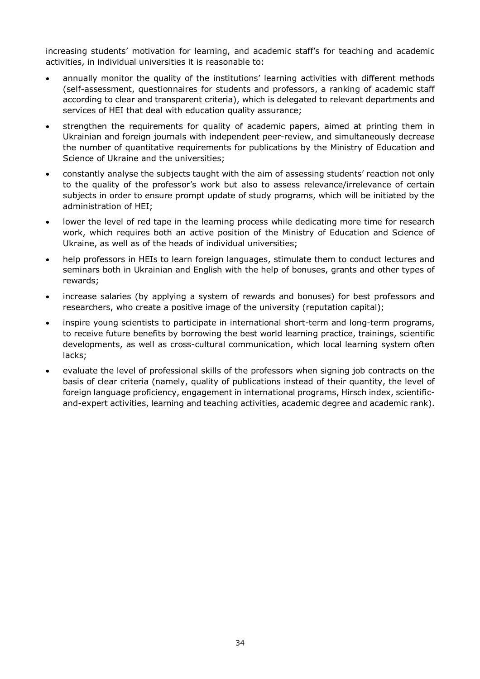increasing students' motivation for learning, and academic staff's for teaching and academic activities, in individual universities it is reasonable to:

- annually monitor the quality of the institutions' learning activities with different methods (self-assessment, questionnaires for students and professors, a ranking of academic staff according to clear and transparent criteria), which is delegated to relevant departments and services of HEI that deal with education quality assurance;
- strengthen the requirements for quality of academic papers, aimed at printing them in Ukrainian and foreign journals with independent peer-review, and simultaneously decrease the number of quantitative requirements for publications by the Ministry of Education and Science of Ukraine and the universities;
- constantly analyse the subjects taught with the aim of assessing students' reaction not only to the quality of the professor's work but also to assess relevance/irrelevance of certain subjects in order to ensure prompt update of study programs, which will be initiated by the administration of HEI;
- lower the level of red tape in the learning process while dedicating more time for research work, which requires both an active position of the Ministry of Education and Science of Ukraine, as well as of the heads of individual universities;
- help professors in HEIs to learn foreign languages, stimulate them to conduct lectures and seminars both in Ukrainian and English with the help of bonuses, grants and other types of rewards;
- increase salaries (by applying a system of rewards and bonuses) for best professors and researchers, who create a positive image of the university (reputation capital);
- inspire young scientists to participate in international short-term and long-term programs, to receive future benefits by borrowing the best world learning practice, trainings, scientific developments, as well as cross-cultural communication, which local learning system often lacks;
- evaluate the level of professional skills of the professors when signing job contracts on the basis of clear criteria (namely, quality of publications instead of their quantity, the level of foreign language proficiency, engagement in international programs, Hirsch index, scientificand-expert activities, learning and teaching activities, academic degree and academic rank).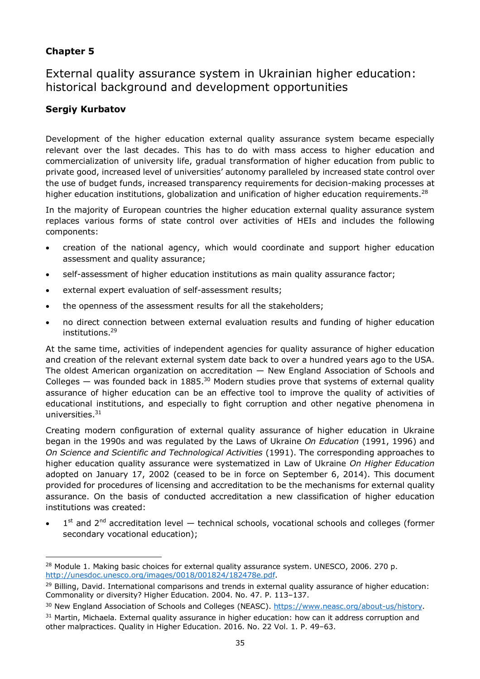### **Chapter 5**

External quality assurance system in Ukrainian higher education: historical background and development opportunities

### **Sergiy Kurbatov**

Development of the higher education external quality assurance system became especially relevant over the last decades. This has to do with mass access to higher education and commercialization of university life, gradual transformation of higher education from public to private good, increased level of universities' autonomy paralleled by increased state control over the use of budget funds, increased transparency requirements for decision-making processes at higher education institutions, globalization and unification of higher education [requirements.](#page-34-0)<sup>28</sup>

In the majority of European countries the higher education external quality assurance system replaces various forms of state control over activities of HEIs and includes the following components:

- creation of the national agency, which would coordinate and support higher education assessment and quality assurance;
- self-assessment of higher education institutions as main quality assurance factor;
- external expert evaluation of self-assessment results;
- the openness of the assessment results for all the stakeholders:
- no direct connection between external evaluation results and funding of higher education [institutions.](#page-34-1) 29

At the same time, activities of independent agencies for quality assurance of higher education and creation of the relevant external system date back to over a hundred years ago to the USA. The oldest American organization on accreditation — New England Association of Schools and Colleges  $-$  was founded back in [1885.](#page-34-2)<sup>30</sup> Modern studies prove that systems of external quality assurance of higher education can be an effective tool to improve the quality of activities of educational institutions, and especially to fight corruption and other negative phenomena in [universities.](#page-34-3) 31

Creating modern configuration of external quality assurance of higher education in Ukraine began in the 1990s and was regulated by the Laws of Ukraine *On Education* (1991, 1996) and *On Science and Scientific and Technological Activities* (1991). The corresponding approaches to higher education quality assurance were systematized in Law of Ukraine *On Higher Education* adopted on January 17, 2002 (ceased to be in force on September 6, 2014). This document provided for procedures of licensing and accreditation to be the mechanisms for external quality assurance. On the basis of conducted accreditation a new classification of higher education institutions was created:

 $\bullet$  1<sup>st</sup> and 2<sup>nd</sup> accreditation level — technical schools, vocational schools and colleges (former secondary vocational education);

<span id="page-34-3"></span><sup>31</sup> Martin, Michaela. External quality assurance in higher education: how can it address corruption and other malpractices. Quality in Higher Education. 2016. No. 22 Vol. 1. P. 49–63.

<span id="page-34-0"></span> $\overline{a}$  $28$  Module 1. Making basic choices for external quality assurance system. UNESCO, 2006. 270 p. <http://unesdoc.unesco.org/images/0018/001824/182478e.pdf>.

<span id="page-34-1"></span><sup>&</sup>lt;sup>29</sup> Billing, David. International comparisons and trends in external quality assurance of higher education: Commonality or diversity? Higher Education. 2004. No. 47. P. 113–137.

<span id="page-34-2"></span><sup>&</sup>lt;sup>30</sup> New England Association of Schools and Colleges (NEASC). [https://www.neasc.org/about-us/history.](https://www.neasc.org/about-us/history)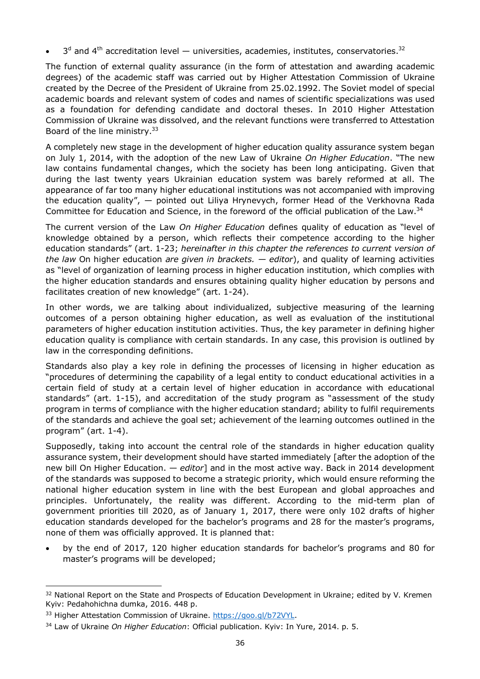•  $3<sup>d</sup>$  and 4<sup>th</sup> accreditation level — universities, academies, institutes, [conservatories.](#page-35-0)<sup>32</sup>

The function of external quality assurance (in the form of attestation and awarding academic degrees) of the academic staff was carried out by Higher Attestation Commission of Ukraine created by the Decree of the President of Ukraine from 25.02.1992. The Soviet model of special academic boards and relevant system of codes and names of scientific specializations was used as a foundation for defending candidate and doctoral theses. In 2010 Higher Attestation Commission of Ukraine was dissolved, and the relevant functions were transferred to Attestation Board of the line [ministry.](#page-35-1)<sup>33</sup>

A completely new stage in the development of higher education quality assurance system began on July 1, 2014, with the adoption of the new Law of Ukraine *On Higher Education*. "The new law contains fundamental changes, which the society has been long anticipating. Given that during the last twenty years Ukrainian education system was barely reformed at all. The appearance of far too many higher educational institutions was not accompanied with improving the education quality", — pointed out Liliya Hrynevych, former Head of the Verkhovna Rada Committee for Education and Science, in the foreword of the official publication of the [Law.](#page-35-2)<sup>34</sup>

The current version of the Law *On Higher Education* defines quality of education as "level of knowledge obtained by a person, which reflects their competence according to the higher education standards" (art. 1-23; *hereinafter in this chapter the references to current version of the law* On higher education *are given in brackets. — editor*), and quality of learning activities as "level of organization of learning process in higher education institution, which complies with the higher education standards and ensures obtaining quality higher education by persons and facilitates creation of new knowledge" (art. 1-24).

In other words, we are talking about individualized, subjective measuring of the learning outcomes of a person obtaining higher education, as well as evaluation of the institutional parameters of higher education institution activities. Thus, the key parameter in defining higher education quality is compliance with certain standards. In any case, this provision is outlined by law in the corresponding definitions.

Standards also play a key role in defining the processes of licensing in higher education as "procedures of determining the capability of a legal entity to conduct educational activities in a certain field of study at a certain level of higher education in accordance with educational standards" (art. 1-15), and accreditation of the study program as "assessment of the study program in terms of compliance with the higher education standard; ability to fulfil requirements of the standards and achieve the goal set; achievement of the learning outcomes outlined in the program" (art. 1-4).

Supposedly, taking into account the central role of the standards in higher education quality assurance system, their development should have started immediately [after the adoption of the new bill On Higher Education. — *editor*] and in the most active way. Back in 2014 development of the standards was supposed to become a strategic priority, which would ensure reforming the national higher education system in line with the best European and global approaches and principles. Unfortunately, the reality was different. According to the mid-term plan of government priorities till 2020, as of January 1, 2017, there were only 102 drafts of higher education standards developed for the bachelor's programs and 28 for the master's programs, none of them was officially approved. It is planned that:

 by the end of 2017, 120 higher education standards for bachelor's programs and 80 for master's programs will be developed;

<span id="page-35-0"></span> $\overline{a}$ <sup>32</sup> National Report on the State and Prospects of Education Development in Ukraine; edited by V. Kremen Kyiv: Pedahohichna dumka, 2016. 448 p.

<span id="page-35-1"></span><sup>33</sup> Higher Attestation Commission of Ukraine.<https://goo.gl/b72VYL>.

<span id="page-35-2"></span><sup>34</sup> Law of Ukraine *On Higher Education*: Official publication. Kyiv: In Yure, 2014. p. 5.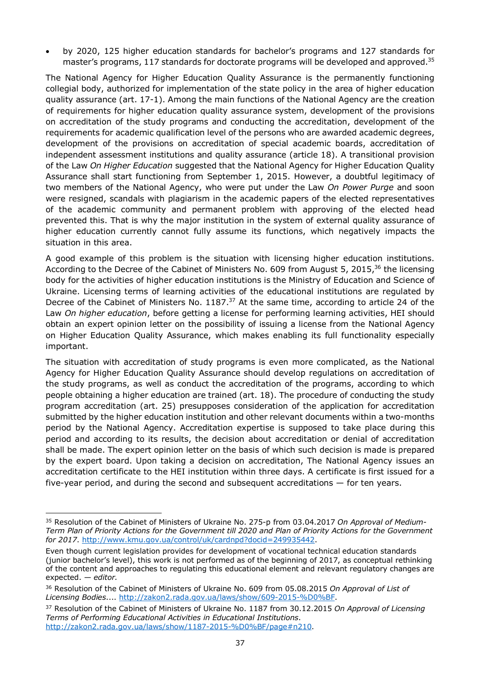by 2020, 125 higher education standards for bachelor's programs and 127 standards for master's programs, 117 standards for doctorate programs will be developed and [approved.](#page-36-0)<sup>35</sup>

The National Agency for Higher Education Quality Assurance is the permanently functioning collegial body, authorized for implementation of the state policy in the area of higher education quality assurance (art. 17-1). Among the main functions of the National Agency are the creation of requirements for higher education quality assurance system, development of the provisions on accreditation of the study programs and conducting the accreditation, development of the requirements for academic qualification level of the persons who are awarded academic degrees, development of the provisions on accreditation of special academic boards, accreditation of independent assessment institutions and quality assurance (article 18). A transitional provision of the Law *On Higher Education* suggested that the National Agency for Higher Education Quality Assurance shall start functioning from September 1, 2015. However, a doubtful legitimacy of two members of the National Agency, who were put under the Law *On Power Purge* and soon were resigned, scandals with plagiarism in the academic papers of the elected representatives of the academic community and permanent problem with approving of the elected head prevented this. That is why the major institution in the system of external quality assurance of higher education currently cannot fully assume its functions, which negatively impacts the situation in this area.

A good example of this problem is the situation with licensing higher education institutions. According to the Decree of the Cabinet of Ministers No. 609 from August 5, 2015,<sup>[36](#page-36-1)</sup> the licensing body for the activities of higher education institutions is the Ministry of Education and Science of Ukraine. Licensing terms of learning activities of the educational institutions are regulated by Decree of the Cabinet of Ministers No.  $1187<sup>37</sup>$  At the same time, according to article 24 of the Law *On higher education*, before getting a license for performing learning activities, HEI should obtain an expert opinion letter on the possibility of issuing a license from the National Agency on Higher Education Quality Assurance, which makes enabling its full functionality especially important.

The situation with accreditation of study programs is even more complicated, as the National Agency for Higher Education Quality Assurance should develop regulations on accreditation of the study programs, as well as conduct the accreditation of the programs, according to which people obtaining a higher education are trained (art. 18). The procedure of conducting the study program accreditation (art. 25) presupposes consideration of the application for accreditation submitted by the higher education institution and other relevant documents within a two-months period by the National Agency. Accreditation expertise is supposed to take place during this period and according to its results, the decision about accreditation or denial of accreditation shall be made. The expert opinion letter on the basis of which such decision is made is prepared by the expert board. Upon taking a decision on accreditation, The National Agency issues an accreditation certificate to the HEI institution within three days. A certificate is first issued for a five-year period, and during the second and subsequent accreditations — for ten years.

<span id="page-36-0"></span> $\overline{a}$ <sup>35</sup> Resolution of the Cabinet of Ministers of Ukraine No. 275-p from 03.04.2017 *On Approval of Medium-Term Plan of Priority Actions for the Government till 2020 and Plan of Priority Actions for the Government for 2017*. <http://www.kmu.gov.ua/control/uk/cardnpd?docid=249935442>.

Even though current legislation provides for development of vocational technical education standards (junior bachelor's level), this work is not performed as of the beginning of 2017, as conceptual rethinking of the content and approaches to regulating this educational element and relevant regulatory changes are expected. — *editor.*

<span id="page-36-1"></span><sup>36</sup> Resolution of the Cabinet of Ministers of Ukraine No. 609 from 05.08.2015 *On Approval of List of Licensing Bodies*.... [http://zakon2.rada.gov.ua/laws/show/609-2015-%D0%BF.](http://zakon2.rada.gov.ua/laws/show/609-2015-%D0%BF)

<span id="page-36-2"></span><sup>37</sup> Resolution of the Cabinet of Ministers of Ukraine No. 1187 from 30.12.2015 *On Approval of Licensing Terms of Performing Educational Activities in Educational Institutions*. [http://zakon2.rada.gov.ua/laws/show/1187-2015-%D0%BF/page#n210](http://zakon2.rada.gov.ua/laws/show/1187-2015-%D0%BF/page).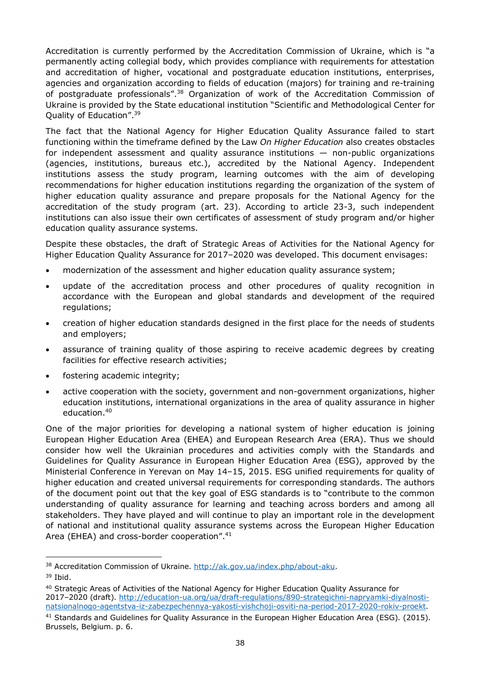Accreditation is currently performed by the Accreditation Commission of Ukraine, which is "a permanently acting collegial body, which provides compliance with requirements for attestation and accreditation of higher, vocational and postgraduate education institutions, enterprises, agencies and organization according to fields of education (majors) for training and re-training of postgraduate professional[s".](#page-37-0)<sup>38</sup> Organization of work of the Accreditation Commission of Ukraine is provided by the State educational institution "Scientific and Methodological Center for Quality of Educatio[n".](#page-37-1)<sup>39</sup>

The fact that the National Agency for Higher Education Quality Assurance failed to start functioning within the timeframe defined by the Law *On Higher Education* also creates obstacles for independent assessment and quality assurance institutions — non-public organizations (agencies, institutions, bureaus etc.), accredited by the National Agency. Independent institutions assess the study program, learning outcomes with the aim of developing recommendations for higher education institutions regarding the organization of the system of higher education quality assurance and prepare proposals for the National Agency for the accreditation of the study program (art. 23). According to article 23-3, such independent institutions can also issue their own certificates of assessment of study program and/or higher education quality assurance systems.

Despite these obstacles, the draft of Strategic Areas of Activities for the National Agency for Higher Education Quality Assurance for 2017–2020 was developed. This document envisages:

- modernization of the assessment and higher education quality assurance system;
- update of the accreditation process and other procedures of quality recognition in accordance with the European and global standards and development of the required regulations;
- creation of higher education standards designed in the first place for the needs of students and employers;
- assurance of training quality of those aspiring to receive academic degrees by creating facilities for effective research activities;
- fostering academic integrity;
- active cooperation with the society, government and non-government organizations, higher education institutions, international organizations in the area of quality assurance in higher [education.](#page-37-2) 40

One of the major priorities for developing a national system of higher education is joining European Higher Education Area (EHEA) and European Research Area (ERA). Thus we should consider how well the Ukrainian procedures and activities comply with the Standards and Guidelines for Quality Assurance in European Higher Education Area (ESG), approved by the Ministerial Conference in Yerevan on May 14–15, 2015. ESG unified requirements for quality of higher education and created universal requirements for corresponding standards. The authors of the document point out that the key goal of ESG standards is to "contribute to the common understanding of quality assurance for learning and teaching across borders and among all stakeholders. They have played and will continue to play an important role in the development of national and institutional quality assurance systems across the European Higher Education Area (EHEA) and cross-border cooperation[".](#page-37-3)<sup>41</sup>

<span id="page-37-0"></span> $\overline{a}$ <sup>38</sup> Accreditation Commission of Ukraine.<http://ak.gov.ua/index.php/about-aku>.

<span id="page-37-1"></span> $39$  Ibid.

<span id="page-37-2"></span><sup>40</sup> Strategic Areas of Activities of the National Agency for Higher Education Quality Assurance for 2017–2020 (draft). [http://education-ua.org/ua/draft-regulations/890-strategichni-napryamki-diyalnosti](http://education-ua.org/ua/draft-regulations/890-strategichni-napryamki-diyalnosti-natsionalnogo-agentstva-iz-zabezpechennya-yakosti-vishchoji-osviti-na-period-2017-2020-rokiv-proekt)natsionalnogo-agentstva-iz-zabezpechennya-yakosti-vishchoji-osviti-na-period-2017-2020-rokiv-proekt.

<span id="page-37-3"></span><sup>41</sup> Standards and Guidelines for Quality Assurance in the European Higher Education Area (ESG). (2015). Brussels, Belgium. p. 6.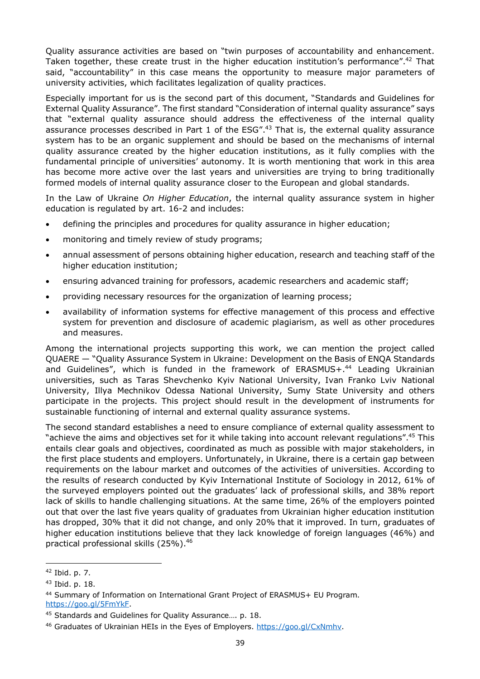Quality assurance activities are based on "twin purposes of accountability and enhancement. Taken together, these create trust in the higher education institution's performanc[e".](#page-38-0)<sup>42</sup> That said, "accountability" in this case means the opportunity to measure major parameters of university activities, which facilitates legalization of quality practices.

Especially important for us is the second part of this document, "Standards and Guidelines for External Quality Assurance". The first standard "Consideration of internal quality assurance" says that "external quality assurance should address the effectiveness of the internal quality assurance processes described in Part 1 of the ES[G".](#page-38-1)<sup>43</sup> That is, the external quality assurance system has to be an organic supplement and should be based on the mechanisms of internal quality assurance created by the higher education institutions, as it fully complies with the fundamental principle of universities' autonomy. It is worth mentioning that work in this area has become more active over the last years and universities are trying to bring traditionally formed models of internal quality assurance closer to the European and global standards.

In the Law of Ukraine *On Higher Education*, the internal quality assurance system in higher education is regulated by art. 16-2 and includes:

- defining the principles and procedures for quality assurance in higher education;
- monitoring and timely review of study programs;
- annual assessment of persons obtaining higher education, research and teaching staff of the higher education institution;
- ensuring advanced training for professors, academic researchers and academic staff;
- providing necessary resources for the organization of learning process;
- availability of information systems for effective management of this process and effective system for prevention and disclosure of academic plagiarism, as well as other procedures and measures.

Among the international projects supporting this work, we can mention the project called QUAERE — "Quality Assurance System in Ukraine: Development on the Basis of ENQA Standards and Guidelines", which is funded in the framework of ERASMU[S+.](#page-38-2)<sup>44</sup> Leading Ukrainian universities, such as Taras Shevchenko Kyiv National University, Ivan Franko Lviv National University, Illya Mechnikov Odessa National University, Sumy State University and others participate in the projects. This project should result in the development of instruments for sustainable functioning of internal and external quality assurance systems.

The second standard establishes a need to ensure compliance of external quality assessment to "achieve the aims and objectives set for it while taking into account relevant regulation[s".](#page-38-3)<sup>45</sup> This entails clear goals and objectives, coordinated as much as possible with major stakeholders, in the first place students and employers. Unfortunately, in Ukraine, there is a certain gap between requirements on the labour market and outcomes of the activities of universities. According to the results of research conducted by Kyiv International Institute of Sociology in 2012, 61% of the surveyed employers pointed out the graduates' lack of professional skills, and 38% report lack of skills to handle challenging situations. At the same time, 26% of the employers pointed out that over the last five years quality of graduates from Ukrainian higher education institution has dropped, 30% that it did not change, and only 20% that it improved. In turn, graduates of higher education institutions believe that they lack knowledge of foreign languages (46%) and practical professional skills (2[5%\).](#page-38-4) 46

 $\overline{a}$ 

<span id="page-38-0"></span><sup>42</sup> Ibid. p. 7.

<span id="page-38-1"></span><sup>43</sup> Ibid. p. 18.

<span id="page-38-2"></span><sup>44</sup> Summary of Information on International Grant Project of ERASMUS+ EU Program. [https://goo.gl/5FmYkF.](https://goo.gl/5FmYkF)

<span id="page-38-3"></span><sup>45</sup> Standards and Guidelines for Quality Assurance…. p. 18.

<span id="page-38-4"></span><sup>46</sup> Graduates of Ukrainian HEIs in the Eyes of Employers. [https://goo.gl/CxNmhv.](https://goo.gl/CxNmhv)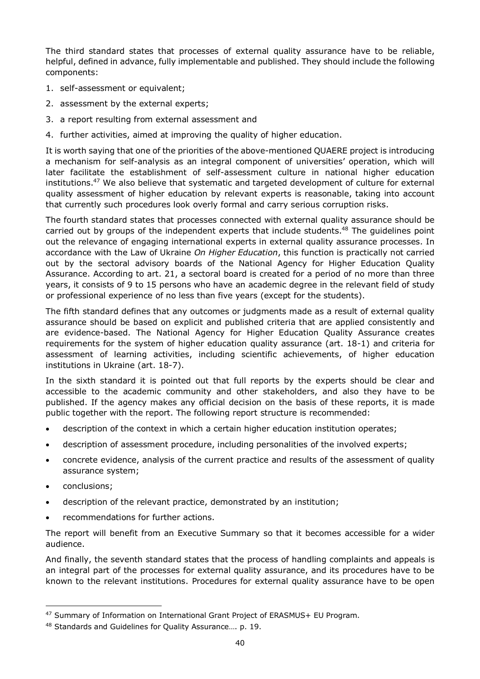The third standard states that processes of external quality assurance have to be reliable, helpful, defined in advance, fully implementable and published. They should include the following components:

- 1. self-assessment or equivalent;
- 2. assessment by the external experts;
- 3. a report resulting from external assessment and
- 4. further activities, aimed at improving the quality of higher education.

It is worth saying that one of the priorities of the above-mentioned QUAERE project is introducing a mechanism for self-analysis as an integral component of universities' operation, which will later facilitate the establishment of self-assessment culture in national higher education [institutions.](#page-39-0)<sup>47</sup> We also believe that systematic and targeted development of culture for external quality assessment of higher education by relevant experts is reasonable, taking into account that currently such procedures look overly formal and carry serious corruption risks.

The fourth standard states that processes connected with external quality assurance should be carried out by groups of the independent experts that include [students.](#page-39-1)<sup>48</sup> The guidelines point out the relevance of engaging international experts in external quality assurance processes. In accordance with the Law of Ukraine *On Higher Education*, this function is practically not carried out by the sectoral advisory boards of the National Agency for Higher Education Quality Assurance. According to art. 21, a sectoral board is created for a period of no more than three years, it consists of 9 to 15 persons who have an academic degree in the relevant field of study or professional experience of no less than five years (except for the students).

The fifth standard defines that any outcomes or judgments made as a result of external quality assurance should be based on explicit and published criteria that are applied consistently and are evidence-based. The National Agency for Higher Education Quality Assurance creates requirements for the system of higher education quality assurance (art. 18-1) and criteria for assessment of learning activities, including scientific achievements, of higher education institutions in Ukraine (art. 18-7).

In the sixth standard it is pointed out that full reports by the experts should be clear and accessible to the academic community and other stakeholders, and also they have to be published. If the agency makes any official decision on the basis of these reports, it is made public together with the report. The following report structure is recommended:

- description of the context in which a certain higher education institution operates;
- description of assessment procedure, including personalities of the involved experts;
- concrete evidence, analysis of the current practice and results of the assessment of quality assurance system;
- conclusions;

 $\overline{a}$ 

- description of the relevant practice, demonstrated by an institution;
- recommendations for further actions.

The report will benefit from an Executive Summary so that it becomes accessible for a wider audience.

And finally, the seventh standard states that the process of handling complaints and appeals is an integral part of the processes for external quality assurance, and its procedures have to be known to the relevant institutions. Procedures for external quality assurance have to be open

<span id="page-39-0"></span><sup>47</sup> Summary of Information on International Grant Project of ERASMUS+ EU Program.

<span id="page-39-1"></span><sup>48</sup> Standards and Guidelines for Quality Assurance…. p. 19.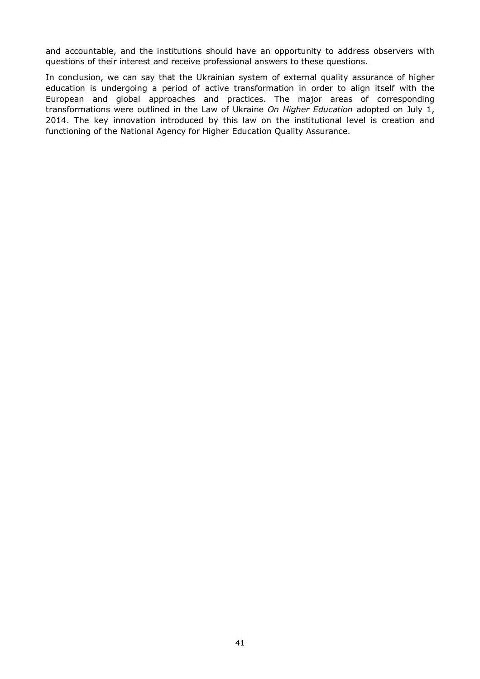and accountable, and the institutions should have an opportunity to address observers with questions of their interest and receive professional answers to these questions.

In conclusion, we can say that the Ukrainian system of external quality assurance of higher education is undergoing a period of active transformation in order to align itself with the European and global approaches and practices. The major areas of corresponding transformations were outlined in the Law of Ukraine *On Higher Education* adopted on July 1, 2014. The key innovation introduced by this law on the institutional level is creation and functioning of the National Agency for Higher Education Quality Assurance.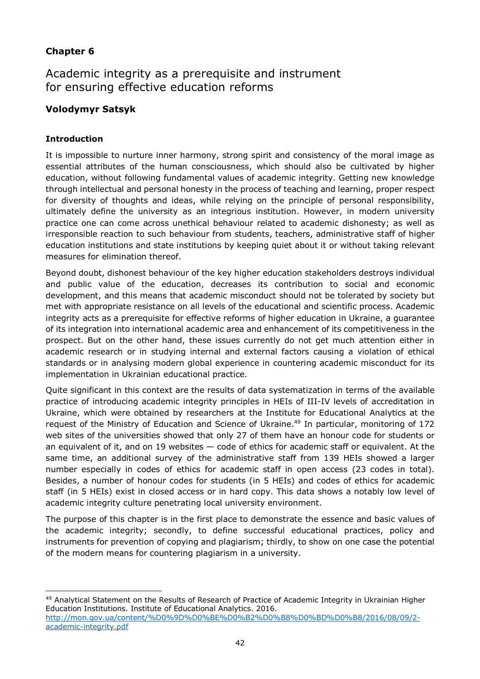### **Chapter 6**

Academic integrity as a prerequisite and instrument for ensuring effective education reforms

### **Volodymyr Satsyk**

### **Introduction**

 $\overline{a}$ 

It is impossible to nurture inner harmony, strong spirit and consistency of the moral image as essential attributes of the human consciousness, which should also be cultivated by higher education, without following fundamental values of academic integrity. Getting new knowledge through intellectual and personal honesty in the process of teaching and learning, proper respect for diversity of thoughts and ideas, while relying on the principle of personal responsibility, ultimately define the university as an integrious institution. However, in modern university practice one can come across unethical behaviour related to academic dishonesty; as well as irresponsible reaction to such behaviour from students, teachers, administrative staff of higher education institutions and state institutions by keeping quiet about it or without taking relevant measures for elimination thereof.

Beyond doubt, dishonest behaviour of the key higher education stakeholders destroys individual and public value of the education, decreases its contribution to social and economic development, and this means that academic misconduct should not be tolerated by society but met with appropriate resistance on all levels of the educational and scientific process. Academic integrity acts as a prerequisite for effective reforms of higher education in Ukraine, a guarantee of its integration into international academic area and enhancement of its competitiveness in the prospect. But on the other hand, these issues currently do not get much attention either in academic research or in studying internal and external factors causing a violation of ethical standards or in analysing modern global experience in countering academic misconduct for its implementation in Ukrainian educational practice.

Quite significant in this context are the results of data systematization in terms of the available practice of introducing academic integrity principles in HEIs of III-IV levels of accreditation in Ukraine, which were obtained by researchers at the Institute for Educational Analytics at the request of the Ministry of Education and Science of [Ukraine.](#page-41-0)<sup>49</sup> In particular, monitoring of 172 web sites of the universities showed that only 27 of them have an honour code for students or an equivalent of it, and on 19 websites — code of ethics for academic staff or equivalent. At the same time, an additional survey of the administrative staff from 139 HEIs showed a larger number especially in codes of ethics for academic staff in open access (23 codes in total). Besides, a number of honour codes for students (in 5 HEIs) and codes of ethics for academic staff (in 5 HEIs) exist in closed access or in hard copy. This data shows a notably low level of academic integrity culture penetrating local university environment.

The purpose of this chapter is in the first place to demonstrate the essence and basic values of the academic integrity; secondly, to define successful educational practices, policy and instruments for prevention of copying and plagiarism; thirdly, to show on one case the potential of the modern means for countering plagiarism in a university.

<span id="page-41-0"></span><sup>49</sup> Analytical Statement on the Results of Research of Practice of Academic Integrity in Ukrainian Higher Education Institutions. Institute of Educational Analytics. 2016. [http://mon.gov.ua/content/%D0%9D%D0%BE%D0%B2%D0%B8%D0%BD%D0%B8/2016/08/09/2](http://mon.gov.ua/content/%D0%9D%D0%BE%D0%B2%D0%B8%D0%BD%D0%B8/2016/08/09/2-academic-integrity.pdf) academic-integrity.pdf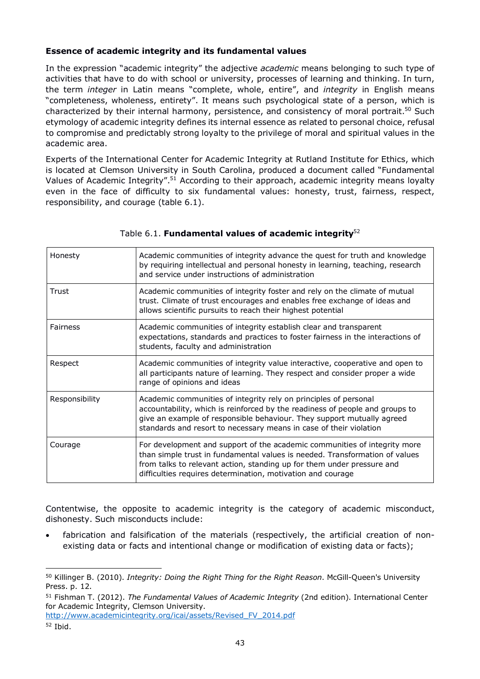### **Essence of academic integrity and its fundamental values**

In the expression "academic integrity" the adjective *academic* means belonging to such type of activities that have to do with school or university, processes of learning and thinking. In turn, the term *integer* in Latin means "complete, whole, entire", and *integrity* in English means "completeness, wholeness, entirety". It means such psychological state of a person, which is characterized by their internal harmony, persistence, and consistency of moral [portrait.](#page-42-0)<sup>50</sup> Such etymology of academic integrity defines its internal essence as related to personal choice, refusal to compromise and predictably strong loyalty to the privilege of moral and spiritual values in the academic area.

Experts of the International Center for Academic Integrity at Rutland Institute for Ethics, which is located at Clemson University in South Carolina, produced a document called "Fundamental Values of Academic Integrit[y".](#page-42-1)<sup>51</sup> According to their approach, academic integrity means loyalty even in the face of difficulty to six fundamental values: honesty, trust, fairness, respect, responsibility, and courage (table 6.1).

| Honesty         | Academic communities of integrity advance the quest for truth and knowledge<br>by requiring intellectual and personal honesty in learning, teaching, research<br>and service under instructions of administration                                                                                 |
|-----------------|---------------------------------------------------------------------------------------------------------------------------------------------------------------------------------------------------------------------------------------------------------------------------------------------------|
| Trust           | Academic communities of integrity foster and rely on the climate of mutual<br>trust. Climate of trust encourages and enables free exchange of ideas and<br>allows scientific pursuits to reach their highest potential                                                                            |
| <b>Fairness</b> | Academic communities of integrity establish clear and transparent<br>expectations, standards and practices to foster fairness in the interactions of<br>students, faculty and administration                                                                                                      |
| Respect         | Academic communities of integrity value interactive, cooperative and open to<br>all participants nature of learning. They respect and consider proper a wide<br>range of opinions and ideas                                                                                                       |
| Responsibility  | Academic communities of integrity rely on principles of personal<br>accountability, which is reinforced by the readiness of people and groups to<br>give an example of responsible behaviour. They support mutually agreed<br>standards and resort to necessary means in case of their violation  |
| Courage         | For development and support of the academic communities of integrity more<br>than simple trust in fundamental values is needed. Transformation of values<br>from talks to relevant action, standing up for them under pressure and<br>difficulties requires determination, motivation and courage |

### Table 6.1. **Fundamental values of academic [integrity](#page-42-2)**<sup>52</sup>

Contentwise, the opposite to academic integrity is the category of academic misconduct, dishonesty. Such misconducts include:

 fabrication and falsification of the materials (respectively, the artificial creation of nonexisting data or facts and intentional change or modification of existing data or facts);

[http://www.academicintegrity.org/icai/assets/Revised\\_FV\\_2014.pdf](http://www.academicintegrity.org/icai/assets/Revised_FV_2014.pdf)

 $\overline{a}$ 

<span id="page-42-0"></span><sup>50</sup> Killinger B. (2010). *Integrity: Doing the Right Thing for the Right Reason*. McGill-Queen's University Press. p. 12.

<span id="page-42-1"></span><sup>51</sup> Fishman T. (2012). *The Fundamental Values of Academic Integrity* (2nd edition). International Center for Academic Integrity, Clemson University.

<span id="page-42-2"></span><sup>52</sup> Ibid.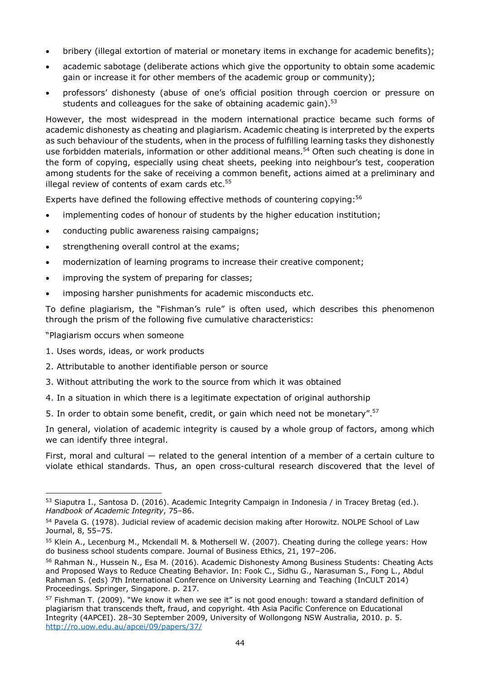- bribery (illegal extortion of material or monetary items in exchange for academic benefits);
- academic sabotage (deliberate actions which give the opportunity to obtain some academic gain or increase it for other members of the academic group or community);
- professors' dishonesty (abuse of one's official position through coercion or pressure on students and colleagues for the sake of obtaining academic gai[n\).](#page-43-0) $53$

However, the most widespread in the modern international practice became such forms of academic dishonesty as cheating and plagiarism. Academic cheating is interpreted by the experts as such behaviour of the students, when in the process of fulfilling learning tasks they dishonestly use forbidden materials, information or other additional [means.](#page-43-1) <sup>54</sup> Often such cheating is done in the form of copying, especially using cheat sheets, peeking into neighbour's test, cooperation among students for the sake of receiving a common benefit, actions aimed at a preliminary and illegal review of contents of exam cards [etc.](#page-43-2)<sup>55</sup>

Experts have defined the following effective methods of countering copying: [56](#page-43-3)

- implementing codes of honour of students by the higher education institution;
- conducting public awareness raising campaigns;
- strengthening overall control at the exams;
- modernization of learning programs to increase their creative component;
- improving the system of preparing for classes;
- imposing harsher punishments for academic misconducts etc.

To define plagiarism, the "Fishman's rule" is often used, which describes this phenomenon through the prism of the following five cumulative characteristics:

"Plagiarism occurs when someone

- 1. Uses words, ideas, or work products
- 2. Attributable to another identifiable person or source
- 3. Without attributing the work to the source from which it was obtained
- 4. In a situation in which there is a legitimate expectation of original authorship
- 5. In order to obtain some benefit, credit, or gain which need not be monetar[y".](#page-43-4)<sup>57</sup>

In general, violation of academic integrity is caused by a whole group of factors, among which we can identify three integral.

First, moral and cultural — related to the general intention of a member of a certain culture to violate ethical standards. Thus, an open cross-cultural research discovered that the level of

<span id="page-43-0"></span> $\overline{a}$ <sup>53</sup> Siaputra I., Santosa D. (2016). Academic Integrity Campaign in Indonesia / in Tracey Bretag (ed.). *Handbook of Academic Integrity*, 75–86.

<span id="page-43-1"></span><sup>54</sup> Pavela G. (1978). Judicial review of academic decision making after Horowitz. NOLPE School of Law Journal, 8, 55–75.

<span id="page-43-2"></span><sup>55</sup> Klein A., Lecenburg M., Mckendall M. & Mothersell W. (2007). Cheating during the college years: How do business school students compare. Journal of Business Ethics, 21, 197–206.

<span id="page-43-3"></span><sup>56</sup> Rahman N., Hussein N., Esa M. (2016). Academic Dishonesty Among Business Students: Cheating Acts and Proposed Ways to Reduce Cheating Behavior. In: Fook C., Sidhu G., Narasuman S., Fong L., Abdul Rahman S. (eds) 7th International Conference on University Learning and Teaching (InCULT 2014) Proceedings. Springer, Singapore. p. 217.

<span id="page-43-4"></span><sup>&</sup>lt;sup>57</sup> Fishman T. (2009). "We know it when we see it" is not good enough: toward a standard definition of plagiarism that transcends theft, fraud, and copyright. 4th Asia Pacific Conference on Educational Integrity (4APCEI). 28–30 September 2009, University of Wollongong NSW Australia, 2010. p. 5. <http://ro.uow.edu.au/apcei/09/papers/37/>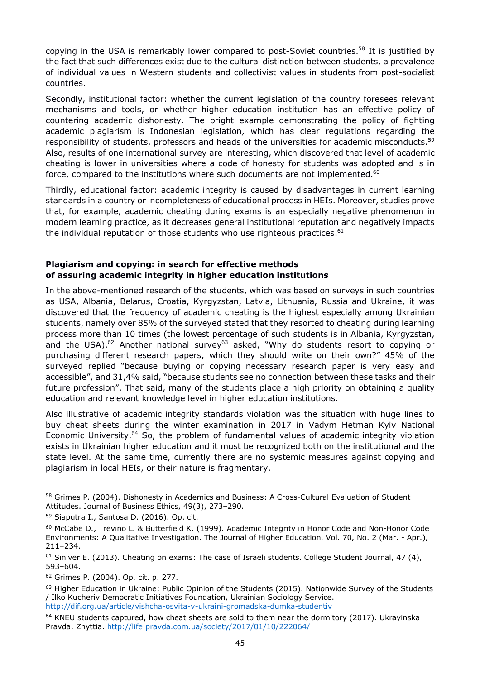copying in the USA is remarkably lower compared to post-Soviet [countries.](#page-44-0) <sup>58</sup> It is justified by the fact that such differences exist due to the cultural distinction between students, a prevalence of individual values in Western students and collectivist values in students from post-socialist countries.

Secondly, institutional factor: whether the current legislation of the country foresees relevant mechanisms and tools, or whether higher education institution has an effective policy of countering academic dishonesty. The bright example demonstrating the policy of fighting academic plagiarism is Indonesian legislation, which has clear regulations regarding the responsibility of students, professors and heads of the universities for academic [misconducts.](#page-44-1)<sup>59</sup> Also, results of one international survey are interesting, which discovered that level of academic cheating is lower in universities where a code of honesty for students was adopted and is in force, compared to the institutions where such documents are not [implemented.](#page-44-2)<sup>60</sup>

Thirdly, educational factor: academic integrity is caused by disadvantages in current learning standards in a country or incompleteness of educational process in HEIs. Moreover, studies prove that, for example, academic cheating during exams is an especially negative phenomenon in modern learning practice, as it decreases general institutional reputation and negatively impacts the individual reputation of those students who use righteous [practices.](#page-44-3)<sup>61</sup>

### **Plagiarism and copying: in search for effective methods of assuring academic integrity in higher education institutions**

In the above-mentioned research of the students, which was based on surveys in such countries as USA, Albania, Belarus, Croatia, Kyrgyzstan, Latvia, Lithuania, Russia and Ukraine, it was discovered that the frequency of academic cheating is the highest especially among Ukrainian students, namely over 85% of the surveyed stated that they resorted to cheating during learning process more than 10 times (the lowest percentage of such students is in Albania, Kyrgyzstan, and the US[A\).](#page-44-4)<sup>62</sup> Another national [survey](#page-44-5)<sup>63</sup> asked, "Why do students resort to copying or purchasing different research papers, which they should write on their own?" 45% of the surveyed replied "because buying or copying necessary research paper is very easy and accessible", and 31,4% said, "because students see no connection between these tasks and their future profession". That said, many of the students place a high priority on obtaining a quality education and relevant knowledge level in higher education institutions.

Also illustrative of academic integrity standards violation was the situation with huge lines to buy cheat sheets during the winter examination in 2017 in Vadym Hetman Kyiv National Economic [University.](#page-44-6)<sup>64</sup> So, the problem of fundamental values of academic integrity violation exists in Ukrainian higher education and it must be recognized both on the institutional and the state level. At the same time, currently there are no systemic measures against copying and plagiarism in local HEIs, or their nature is fragmentary.

<span id="page-44-0"></span> $\overline{a}$ <sup>58</sup> Grimes P. (2004). Dishonesty in Academics and Business: A Cross-Cultural Evaluation of Student Attitudes. Journal of Business Ethics, 49(3), 273–290.

<span id="page-44-1"></span><sup>59</sup> Siaputra I., Santosa D. (2016). Op. cit.

<span id="page-44-2"></span><sup>60</sup> McCabe D., Trevino L. & Butterfield K. (1999). Academic Integrity in Honor Code and Non-Honor Code Environments: A Qualitative Investigation. The Journal of Higher Education. Vol. 70, No. 2 (Mar. - Apr.), 211–234.

<span id="page-44-3"></span> $61$  Siniver E. (2013). Cheating on exams: The case of Israeli students. College Student Journal, 47 (4), 593–604.

<span id="page-44-4"></span><sup>62</sup> Grimes P. (2004). Op. cit. p. 277.

<span id="page-44-5"></span> $63$  Higher Education in Ukraine: Public Opinion of the Students (2015). Nationwide Survey of the Students / Ilko Kucheriv Democratic Initiatives Foundation, Ukrainian Sociology Service. <http://dif.org.ua/article/vishcha-osvita-v-ukraini-gromadska-dumka-studentiv>

<span id="page-44-6"></span> $64$  KNEU students captured, how cheat sheets are sold to them near the dormitory (2017). Ukrayinska Pravda. Zhyttia.<http://life.pravda.com.ua/society/2017/01/10/222064/>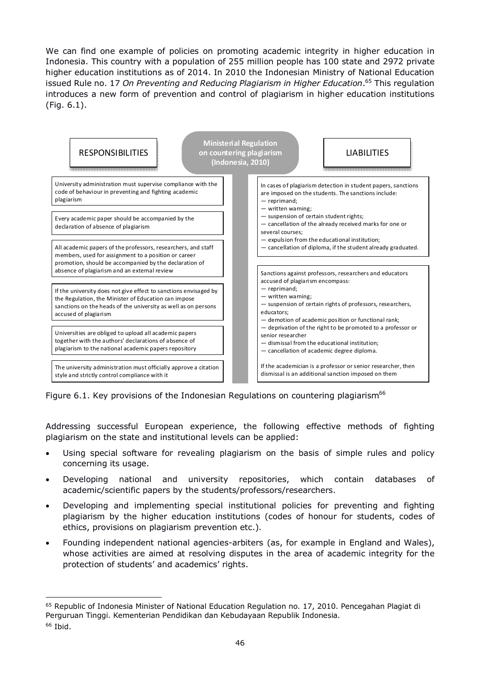We can find one example of policies on promoting academic integrity in higher education in Indonesia. This country with a population of 255 million people has 100 state and 2972 private higher education institutions as of 2014. In 2010 the Indonesian Ministry of National Education issued Rule no. 17 *On Preventing and Reducing Plagiarism in Higher [Education](#page-45-0)*. <sup>65</sup> This regulation introduces a new form of prevention and control of plagiarism in higher education institutions (Fig. 6.1).



Figure 6.1. Key provisions of the Indonesian Regulations on countering [plagiarism](#page-45-1)<sup>66</sup>

Addressing successful European experience, the following effective methods of fighting plagiarism on the state and institutional levels can be applied:

- Using special software for revealing plagiarism on the basis of simple rules and policy concerning its usage.
- Developing national and university repositories, which contain databases of academic/scientific papers by the students/professors/researchers.
- Developing and implementing special institutional policies for preventing and fighting plagiarism by the higher education institutions (codes of honour for students, codes of ethics, provisions on plagiarism prevention etc.).
- Founding independent national agencies-arbiters (as, for example in England and Wales), whose activities are aimed at resolving disputes in the area of academic integrity for the protection of students' and academics' rights.

<span id="page-45-1"></span><span id="page-45-0"></span> $\overline{a}$ <sup>65</sup> Republic of Indonesia Minister of National Education Regulation no. 17, 2010. Pencegahan Plagiat di Perguruan Tinggi. Kementerian Pendidikan dan Kebudayaan Republik Indonesia. <sup>66</sup> Ibid.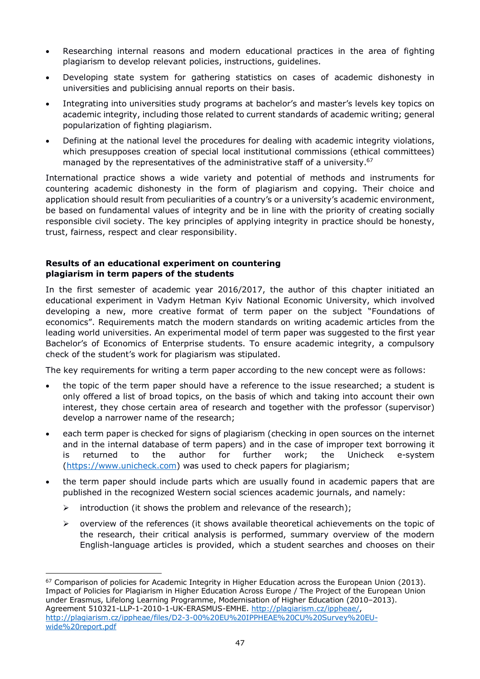- Researching internal reasons and modern educational practices in the area of fighting plagiarism to develop relevant policies, instructions, guidelines.
- Developing state system for gathering statistics on cases of academic dishonesty in universities and publicising annual reports on their basis.
- Integrating into universities study programs at bachelor's and master's levels key topics on academic integrity, including those related to current standards of academic writing; general popularization of fighting plagiarism.
- Defining at the national level the procedures for dealing with academic integrity violations, which presupposes creation of special local institutional commissions (ethical committees) managed by the representatives of the administrative staff of a [university.](#page-46-0)<sup>67</sup>

International practice shows a wide variety and potential of methods and instruments for countering academic dishonesty in the form of plagiarism and copying. Their choice and application should result from peculiarities of a country's or a university's academic environment, be based on fundamental values of integrity and be in line with the priority of creating socially responsible civil society. The key principles of applying integrity in practice should be honesty, trust, fairness, respect and clear responsibility.

#### **Results of an educational experiment on countering plagiarism in term papers of the students**

In the first semester of academic year 2016/2017, the author of this chapter initiated an educational experiment in Vadym Hetman Kyiv National Economic University, which involved developing a new, more creative format of term paper on the subject "Foundations of economics". Requirements match the modern standards on writing academic articles from the leading world universities. An experimental model of term paper was suggested to the first year Bachelor's of Economics of Enterprise students. To ensure academic integrity, a compulsory check of the student's work for plagiarism was stipulated.

The key requirements for writing a term paper according to the new concept were as follows:

- the topic of the term paper should have a reference to the issue researched; a student is only offered a list of broad topics, on the basis of which and taking into account their own interest, they chose certain area of research and together with the professor (supervisor) develop a narrower name of the research;
- each term paper is checked for signs of plagiarism (checking in open sources on the internet and in the internal database of term papers) and in the case of improper text borrowing it is returned to the author for further work; the Unicheck e-system [\(https://www.unicheck.com](https://www.unicheck.com/)) was used to check papers for plagiarism;
- the term paper should include parts which are usually found in academic papers that are published in the recognized Western social sciences academic journals, and namely:
	- $\triangleright$  introduction (it shows the problem and relevance of the research);

 $\overline{a}$ 

 $\triangleright$  overview of the references (it shows available theoretical achievements on the topic of the research, their critical analysis is performed, summary overview of the modern English-language articles is provided, which a student searches and chooses on their

<span id="page-46-0"></span><sup>&</sup>lt;sup>67</sup> Comparison of policies for Academic Integrity in Higher Education across the European Union (2013). Impact of Policies for Plagiarism in Higher Education Across Europe / The Project of the European Union under Erasmus, Lifelong Learning Programme, Modernisation of Higher Education (2010–2013). Agreement 510321-LLP-1-2010-1-UK-ERASMUS-EMHE. [http://plagiarism.cz/ippheae/,](http://plagiarism.cz/ippheae/) [http://plagiarism.cz/ippheae/files/D2-3-00%20EU%20IPPHEAE%20CU%20Survey%20EU](http://plagiarism.cz/ippheae/files/D2-3-00 EU IPPHEAE CU Survey EU-wide report.pdf)wide%20report.pdf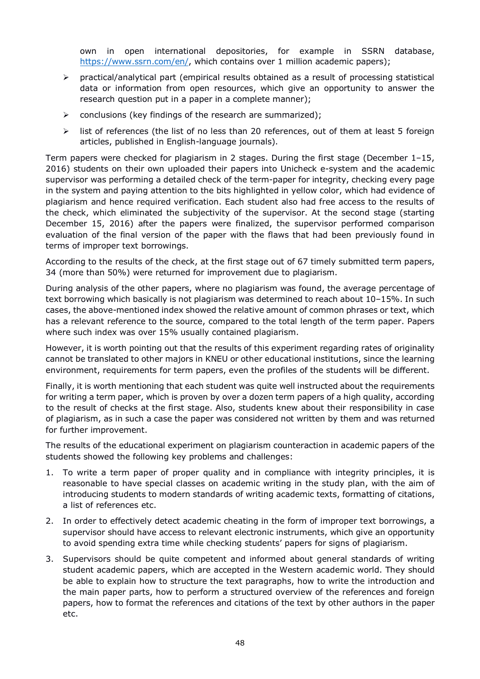own in open international depositories, for example in SSRN database, <https://www.ssrn.com/en/>, which contains over 1 million academic papers);

- practical/analytical part (empirical results obtained as a result of processing statistical data or information from open resources, which give an opportunity to answer the research question put in a paper in a complete manner);
- $\triangleright$  conclusions (key findings of the research are summarized);
- $\triangleright$  list of references (the list of no less than 20 references, out of them at least 5 foreign articles, published in English-language journals).

Term papers were checked for plagiarism in 2 stages. During the first stage (December 1–15, 2016) students on their own uploaded their papers into Unicheck e-system and the academic supervisor was performing a detailed check of the term-paper for integrity, checking every page in the system and paying attention to the bits highlighted in yellow color, which had evidence of plagiarism and hence required verification. Each student also had free access to the results of the check, which eliminated the subjectivity of the supervisor. At the second stage (starting December 15, 2016) after the papers were finalized, the supervisor performed comparison evaluation of the final version of the paper with the flaws that had been previously found in terms of improper text borrowings.

According to the results of the check, at the first stage out of 67 timely submitted term papers, 34 (more than 50%) were returned for improvement due to plagiarism.

During analysis of the other papers, where no plagiarism was found, the average percentage of text borrowing which basically is not plagiarism was determined to reach about 10–15%. In such cases, the above-mentioned index showed the relative amount of common phrases or text, which has a relevant reference to the source, compared to the total length of the term paper. Papers where such index was over 15% usually contained plagiarism.

However, it is worth pointing out that the results of this experiment regarding rates of originality cannot be translated to other majors in KNEU or other educational institutions, since the learning environment, requirements for term papers, even the profiles of the students will be different.

Finally, it is worth mentioning that each student was quite well instructed about the requirements for writing a term paper, which is proven by over a dozen term papers of a high quality, according to the result of checks at the first stage. Also, students knew about their responsibility in case of plagiarism, as in such a case the paper was considered not written by them and was returned for further improvement.

The results of the educational experiment on plagiarism counteraction in academic papers of the students showed the following key problems and challenges:

- 1. To write a term paper of proper quality and in compliance with integrity principles, it is reasonable to have special classes on academic writing in the study plan, with the aim of introducing students to modern standards of writing academic texts, formatting of citations, a list of references etc.
- 2. In order to effectively detect academic cheating in the form of improper text borrowings, a supervisor should have access to relevant electronic instruments, which give an opportunity to avoid spending extra time while checking students' papers for signs of plagiarism.
- 3. Supervisors should be quite competent and informed about general standards of writing student academic papers, which are accepted in the Western academic world. They should be able to explain how to structure the text paragraphs, how to write the introduction and the main paper parts, how to perform a structured overview of the references and foreign papers, how to format the references and citations of the text by other authors in the paper etc.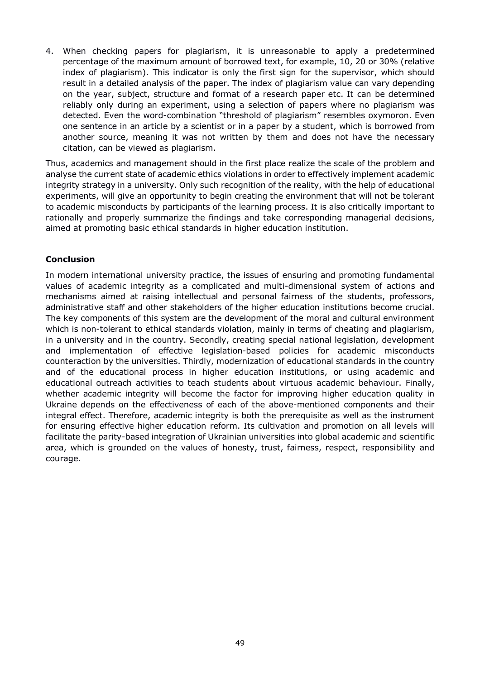4. When checking papers for plagiarism, it is unreasonable to apply a predetermined percentage of the maximum amount of borrowed text, for example, 10, 20 or 30% (relative index of plagiarism). This indicator is only the first sign for the supervisor, which should result in a detailed analysis of the paper. The index of plagiarism value can vary depending on the year, subject, structure and format of a research paper etc. It can be determined reliably only during an experiment, using a selection of papers where no plagiarism was detected. Even the word-combination "threshold of plagiarism" resembles oxymoron. Even one sentence in an article by a scientist or in a paper by a student, which is borrowed from another source, meaning it was not written by them and does not have the necessary citation, can be viewed as plagiarism.

Thus, academics and management should in the first place realize the scale of the problem and analyse the current state of academic ethics violations in order to effectively implement academic integrity strategy in a university. Only such recognition of the reality, with the help of educational experiments, will give an opportunity to begin creating the environment that will not be tolerant to academic misconducts by participants of the learning process. It is also critically important to rationally and properly summarize the findings and take corresponding managerial decisions, aimed at promoting basic ethical standards in higher education institution.

### **Conclusion**

In modern international university practice, the issues of ensuring and promoting fundamental values of academic integrity as a complicated and multi-dimensional system of actions and mechanisms aimed at raising intellectual and personal fairness of the students, professors, administrative staff and other stakeholders of the higher education institutions become crucial. The key components of this system are the development of the moral and cultural environment which is non-tolerant to ethical standards violation, mainly in terms of cheating and plagiarism, in a university and in the country. Secondly, creating special national legislation, development and implementation of effective legislation-based policies for academic misconducts counteraction by the universities. Thirdly, modernization of educational standards in the country and of the educational process in higher education institutions, or using academic and educational outreach activities to teach students about virtuous academic behaviour. Finally, whether academic integrity will become the factor for improving higher education quality in Ukraine depends on the effectiveness of each of the above-mentioned components and their integral effect. Therefore, academic integrity is both the prerequisite as well as the instrument for ensuring effective higher education reform. Its cultivation and promotion on all levels will facilitate the parity-based integration of Ukrainian universities into global academic and scientific area, which is grounded on the values of honesty, trust, fairness, respect, responsibility and courage.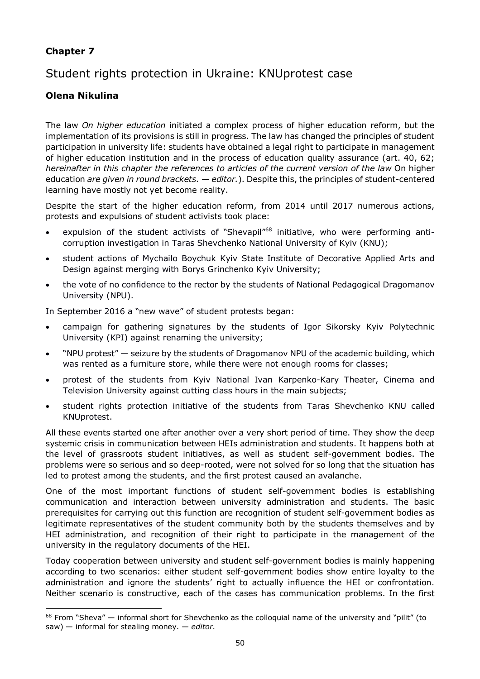### **Chapter 7**

# Student rights protection in Ukraine: KNUprotest case

### **Olena Nikulina**

The law *On higher education* initiated a complex process of higher education reform, but the implementation of its provisions is still in progress. The law has changed the principles of student participation in university life: students have obtained a legal right to participate in management of higher education institution and in the process of education quality assurance (art. 40, 62; *hereinafter in this chapter the references to articles of the current version of the law* On higher education *are given in round brackets. — editor.*). Despite this, the principles of student-centered learning have mostly not yet become reality.

Despite the start of the higher education reform, from 2014 until 2017 numerous actions, protests and expulsions of student activists took place:

- expulsion of the student activists of "Shevapil"<sup>[68](#page-49-0)</sup> initiative, who were performing anticorruption investigation in Taras Shevchenko National University of Kyiv (KNU);
- student actions of Mychailo Boychuk Kyiv State Institute of Decorative Applied Arts and Design against merging with Borys Grinchenko Kyiv University;
- the vote of no confidence to the rector by the students of National Pedagogical Dragomanov University (NPU).

In September 2016 a "new wave" of student protests began:

- campaign for gathering signatures by the students of Igor Sikorsky Kyiv Polytechnic University (KPI) against renaming the university;
- "NPU protest" seizure by the students of Dragomanov NPU of the academic building, which was rented as a furniture store, while there were not enough rooms for classes;
- protest of the students from Kyiv National Ivan Karpenko-Kary Theater, Cinema and Television University against cutting class hours in the main subjects;
- student rights protection initiative of the students from Taras Shevchenko KNU called KNUprotest.

All these events started one after another over a very short period of time. They show the deep systemic crisis in communication between HEIs administration and students. It happens both at the level of grassroots student initiatives, as well as student self-government bodies. The problems were so serious and so deep-rooted, were not solved for so long that the situation has led to protest among the students, and the first protest caused an avalanche.

One of the most important functions of student self-government bodies is establishing communication and interaction between university administration and students. The basic prerequisites for carrying out this function are recognition of student self-government bodies as legitimate representatives of the student community both by the students themselves and by HEI administration, and recognition of their right to participate in the management of the university in the regulatory documents of the HEI.

Today cooperation between university and student self-government bodies is mainly happening according to two scenarios: either student self-government bodies show entire loyalty to the administration and ignore the students' right to actually influence the HEI or confrontation. Neither scenario is constructive, each of the cases has communication problems. In the first

<span id="page-49-0"></span> $\overline{a}$  $68$  From "Sheva"  $-$  informal short for Shevchenko as the colloquial name of the university and "pilit" (to saw) — informal for stealing money. — *editor*.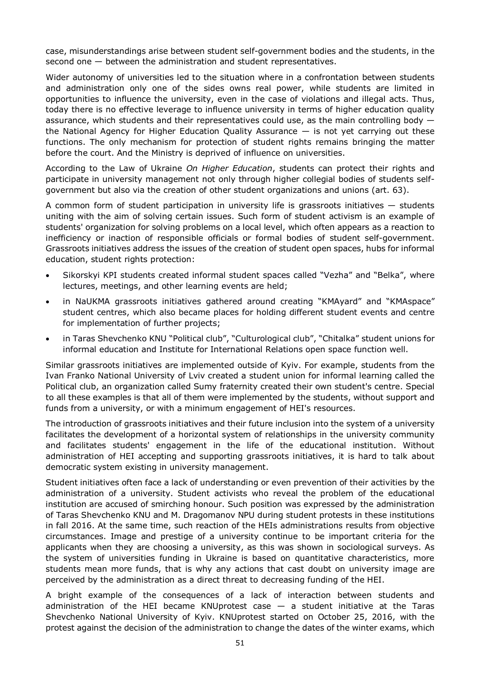case, misunderstandings arise between student self-government bodies and the students, in the second one — between the administration and student representatives.

Wider autonomy of universities led to the situation where in a confrontation between students and administration only one of the sides owns real power, while students are limited in opportunities to influence the university, even in the case of violations and illegal acts. Thus, today there is no effective leverage to influence university in terms of higher education quality assurance, which students and their representatives could use, as the main controlling body the National Agency for Higher Education Quality Assurance — is not yet carrying out these functions. The only mechanism for protection of student rights remains bringing the matter before the court. And the Ministry is deprived of influence on universities.

According to the Law of Ukraine *On Higher Education*, students can protect their rights and participate in university management not only through higher collegial bodies of students selfgovernment but also via the creation of other student organizations and unions (art. 63).

A common form of student participation in university life is grassroots initiatives — students uniting with the aim of solving certain issues. Such form of student activism is an example of students' organization for solving problems on a local level, which often appears as a reaction to inefficiency or inaction of responsible officials or formal bodies of student self-government. Grassroots initiatives address the issues of the creation of student open spaces, hubs for informal education, student rights protection:

- Sikorskyi KPI students created informal student spaces called "Vezha" and "Belka", where lectures, meetings, and other learning events are held;
- in NaUKMA grassroots initiatives gathered around creating "KMAyard" and "KMAspace" student centres, which also became places for holding different student events and centre for implementation of further projects;
- in Taras Shevchenko KNU "Political club", "Culturological club", "Chitalka" student unions for informal education and Institute for International Relations open space function well.

Similar grassroots initiatives are implemented outside of Kyiv. For example, students from the Ivan Franko National University of Lviv created a student union for informal learning called the Political club, an organization called Sumy fraternity created their own student's centre. Special to all these examples is that all of them were implemented by the students, without support and funds from a university, or with a minimum engagement of HEI's resources.

The introduction of grassroots initiatives and their future inclusion into the system of a university facilitates the development of a horizontal system of relationships in the university community and facilitates students' engagement in the life of the educational institution. Without administration of HEI accepting and supporting grassroots initiatives, it is hard to talk about democratic system existing in university management.

Student initiatives often face a lack of understanding or even prevention of their activities by the administration of a university. Student activists who reveal the problem of the educational institution are accused of smirching honour. Such position was expressed by the administration of Taras Shevchenko KNU and M. Dragomanov NPU during student protests in these institutions in fall 2016. At the same time, such reaction of the HEIs administrations results from objective circumstances. Image and prestige of a university continue to be important criteria for the applicants when they are choosing a university, as this was shown in sociological surveys. As the system of universities funding in Ukraine is based on quantitative characteristics, more students mean more funds, that is why any actions that cast doubt on university image are perceived by the administration as a direct threat to decreasing funding of the HEI.

A bright example of the consequences of a lack of interaction between students and administration of the HEI became KNUprotest case — a student initiative at the Taras Shevchenko National University of Kyiv. KNUprotest started on October 25, 2016, with the protest against the decision of the administration to change the dates of the winter exams, which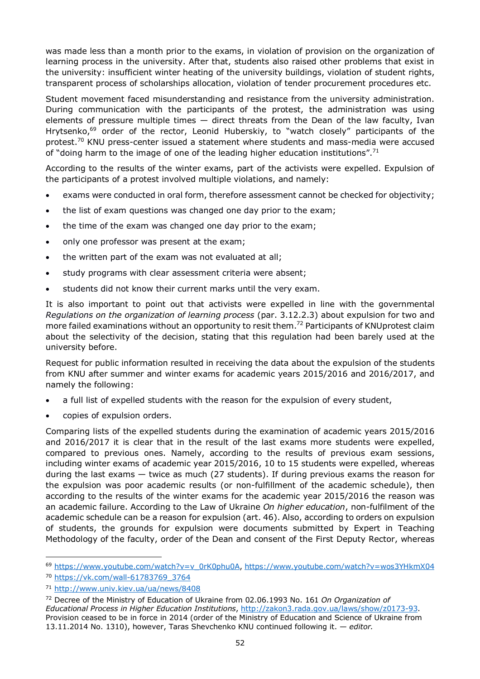was made less than a month prior to the exams, in violation of provision on the organization of learning process in the university. After that, students also raised other problems that exist in the university: insufficient winter heating of the university buildings, violation of student rights, transparent process of scholarships allocation, violation of tender procurement procedures etc.

Student movement faced misunderstanding and resistance from the university administration. During communication with the participants of the protest, the administration was using elements of pressure multiple times — direct threats from the Dean of the law faculty, Ivan Hrytsenko,<sup>[69](#page-51-0)</sup> order of the rector, Leonid Huberskiy, to "watch closely" participants of the [protest.](#page-51-1)<sup>70</sup> KNU press-center issued a statement where students and mass-media were accused of "doing harm to the image of one of the leading higher education institution[s".](#page-51-2)<sup>71</sup>

According to the results of the winter exams, part of the activists were expelled. Expulsion of the participants of a protest involved multiple violations, and namely:

- exams were conducted in oral form, therefore assessment cannot be checked for objectivity;
- the list of exam questions was changed one day prior to the exam;
- the time of the exam was changed one day prior to the exam;
- only one professor was present at the exam;
- the written part of the exam was not evaluated at all;
- study programs with clear assessment criteria were absent;
- students did not know their current marks until the very exam.

It is also important to point out that activists were expelled in line with the governmental *Regulations on the organization of learning process* (par. 3.12.2.3) about expulsion for two and more failed examinations without an opportunity to resit [them.](#page-51-3)<sup>72</sup> Participants of KNUprotest claim about the selectivity of the decision, stating that this regulation had been barely used at the university before.

Request for public information resulted in receiving the data about the expulsion of the students from KNU after summer and winter exams for academic years 2015/2016 and 2016/2017, and namely the following:

- a full list of expelled students with the reason for the expulsion of every student,
- copies of expulsion orders.

Comparing lists of the expelled students during the examination of academic years 2015/2016 and 2016/2017 it is clear that in the result of the last exams more students were expelled, compared to previous ones. Namely, according to the results of previous exam sessions, including winter exams of academic year 2015/2016, 10 to 15 students were expelled, whereas during the last exams — twice as much (27 students). If during previous exams the reason for the expulsion was poor academic results (or non-fulfillment of the academic schedule), then according to the results of the winter exams for the academic year 2015/2016 the reason was an academic failure. According to the Law of Ukraine *On higher education*, non-fulfilment of the academic schedule can be a reason for expulsion (art. 46). Also, according to orders on expulsion of students, the grounds for expulsion were documents submitted by Expert in Teaching Methodology of the faculty, order of the Dean and consent of the First Deputy Rector, whereas

<span id="page-51-0"></span> $\overline{a}$ <sup>69</sup> [https://www.youtube.com/watch?v=v\\_0rK0phu0A](https://www.youtube.com/watch?v=v_0rK0phu0A),<https://www.youtube.com/watch?v=wos3YHkmX04>

<span id="page-51-1"></span><sup>70</sup> [https://vk.com/wall-61783769\\_3764](https://vk.com/wall-61783769_3764)

<span id="page-51-2"></span><sup>71</sup> <http://www.univ.kiev.ua/ua/news/8408>

<span id="page-51-3"></span><sup>72</sup> Decree of the Ministry of Education of Ukraine from 02.06.1993 No. 161 *On Organization of Educational Process in Higher Education Institutions*, [http://zakon3.rada.gov.ua/laws/show/z0173-93.](http://zakon3.rada.gov.ua/laws/show/z0173-93) Provision ceased to be in force in 2014 (order of the Ministry of Education and Science of Ukraine from 13.11.2014 No. 1310), however, Taras Shevchenko KNU continued following it. — *editor.*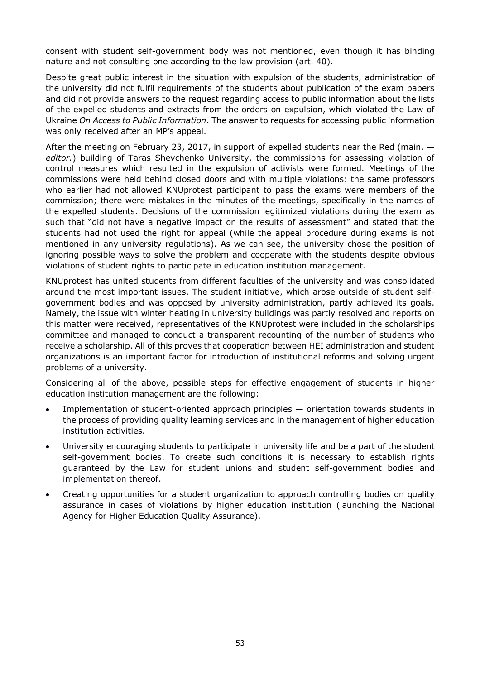consent with student self-government body was not mentioned, even though it has binding nature and not consulting one according to the law provision (art. 40).

Despite great public interest in the situation with expulsion of the students, administration of the university did not fulfil requirements of the students about publication of the exam papers and did not provide answers to the request regarding access to public information about the lists of the expelled students and extracts from the orders on expulsion, which violated the Law of Ukraine *On Access to Public Information*. The answer to requests for accessing public information was only received after an MP's appeal.

After the meeting on February 23, 2017, in support of expelled students near the Red (main.  $$ *editor.*) building of Taras Shevchenko University, the commissions for assessing violation of control measures which resulted in the expulsion of activists were formed. Meetings of the commissions were held behind closed doors and with multiple violations: the same professors who earlier had not allowed KNUprotest participant to pass the exams were members of the commission; there were mistakes in the minutes of the meetings, specifically in the names of the expelled students. Decisions of the commission legitimized violations during the exam as such that "did not have a negative impact on the results of assessment" and stated that the students had not used the right for appeal (while the appeal procedure during exams is not mentioned in any university regulations). As we can see, the university chose the position of ignoring possible ways to solve the problem and cooperate with the students despite obvious violations of student rights to participate in education institution management.

KNUprotest has united students from different faculties of the university and was consolidated around the most important issues. The student initiative, which arose outside of student selfgovernment bodies and was opposed by university administration, partly achieved its goals. Namely, the issue with winter heating in university buildings was partly resolved and reports on this matter were received, representatives of the KNUprotest were included in the scholarships committee and managed to conduct a transparent recounting of the number of students who receive a scholarship. All of this proves that cooperation between HEI administration and student organizations is an important factor for introduction of institutional reforms and solving urgent problems of a university.

Considering all of the above, possible steps for effective engagement of students in higher education institution management are the following:

- Implementation of student-oriented approach principles orientation towards students in the process of providing quality learning services and in the management of higher education institution activities.
- University encouraging students to participate in university life and be a part of the student self-government bodies. To create such conditions it is necessary to establish rights guaranteed by the Law for student unions and student self-government bodies and implementation thereof.
- Creating opportunities for a student organization to approach controlling bodies on quality assurance in cases of violations by higher education institution (launching the National Agency for Higher Education Quality Assurance).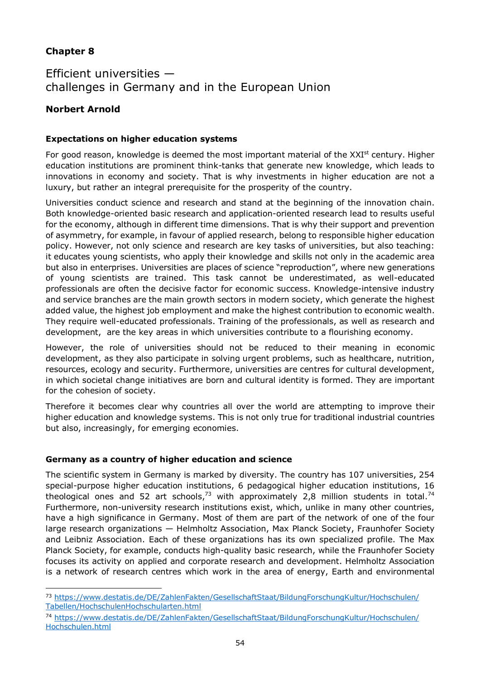### **Chapter 8**

 $\overline{a}$ 

# Efficient universities challenges in Germany and in the European Union

### **Norbert Arnold**

### **Expectations on higher education systems**

For good reason, knowledge is deemed the most important material of the XXI<sup>st</sup> century. Higher education institutions are prominent think-tanks that generate new knowledge, which leads to innovations in economy and society. That is why investments in higher education are not a luxury, but rather an integral prerequisite for the prosperity of the country.

Universities conduct science and research and stand at the beginning of the innovation chain. Both knowledge-oriented basic research and application-oriented research lead to results useful for the economy, although in different time dimensions. That is why their support and prevention of asymmetry, for example, in favour of applied research, belong to responsible higher education policy. However, not only science and research are key tasks of universities, but also teaching: it educates young scientists, who apply their knowledge and skills not only in the academic area but also in enterprises. Universities are places of science "reproduction", where new generations of young scientists are trained. This task cannot be underestimated, as well-educated professionals are often the decisive factor for economic success. Knowledge-intensive industry and service branches are the main growth sectors in modern society, which generate the highest added value, the highest job employment and make the highest contribution to economic wealth. They require well-educated professionals. Training of the professionals, as well as research and development, are the key areas in which universities contribute to a flourishing economy.

However, the role of universities should not be reduced to their meaning in economic development, as they also participate in solving urgent problems, such as healthcare, nutrition, resources, ecology and security. Furthermore, universities are centres for cultural development, in which societal change initiatives are born and cultural identity is formed. They are important for the cohesion of society.

Therefore it becomes clear why countries all over the world are attempting to improve their higher education and knowledge systems. This is not only true for traditional industrial countries but also, increasingly, for emerging economies.

### **Germany as a country of higher education and science**

The scientific system in Germany is marked by diversity. The country has 107 universities, 254 special-purpose higher education institutions, 6 pedagogical higher education institutions, 16 theological ones and 52 art schools,<sup>[73](#page-53-0)</sup> with approximately 2,8 million students in [total.](#page-53-1)<sup>74</sup> Furthermore, non-university research institutions exist, which, unlike in many other countries, have a high significance in Germany. Most of them are part of the network of one of the four large research organizations — Helmholtz Association, Max Planck Society, Fraunhofer Society and Leibniz Association. Each of these organizations has its own specialized profile. The Max Planck Society, for example, conducts high-quality basic research, while the Fraunhofer Society focuses its activity on applied and corporate research and development. Helmholtz Association is a network of research centres which work in the area of energy, Earth and environmental

<span id="page-53-0"></span><sup>73</sup> [https://www.destatis.de/DE/ZahlenFakten/GesellschaftStaat/BildungForschungKultur/Hochschulen/](https://www.destatis.de/DE/ZahlenFakten/GesellschaftStaat/BildungForschungKultur/Hochschulen/Tabellen/HochschulenHochschularten.html) Tabellen/HochschulenHochschularten.html

<span id="page-53-1"></span><sup>74</sup> [https://www.destatis.de/DE/ZahlenFakten/GesellschaftStaat/BildungForschungKultur/Hochschulen/](https://www.destatis.de/DE/ZahlenFakten/GesellschaftStaat/BildungForschungKultur/Hochschulen/Hochschulen.html) Hochschulen.html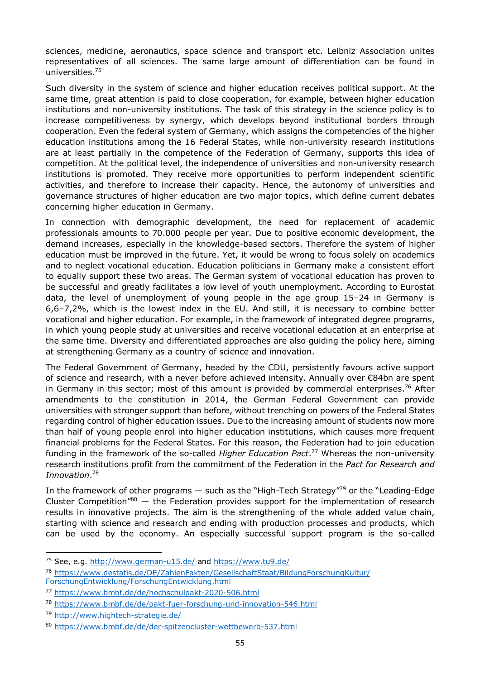sciences, medicine, aeronautics, space science and transport etc. Leibniz Association unites representatives of all sciences. The same large amount of differentiation can be found in [universities.](#page-54-0) 75

Such diversity in the system of science and higher education receives political support. At the same time, great attention is paid to close cooperation, for example, between higher education institutions and non-university institutions. The task of this strategy in the science policy is to increase competitiveness by synergy, which develops beyond institutional borders through cooperation. Even the federal system of Germany, which assigns the competencies of the higher education institutions among the 16 Federal States, while non-university research institutions are at least partially in the competence of the Federation of Germany, supports this idea of competition. At the political level, the independence of universities and non-university research institutions is promoted. They receive more opportunities to perform independent scientific activities, and therefore to increase their capacity. Hence, the autonomy of universities and governance structures of higher education are two major topics, which define current debates concerning higher education in Germany.

In connection with demographic development, the need for replacement of academic professionals amounts to 70.000 people per year. Due to positive economic development, the demand increases, especially in the knowledge-based sectors. Therefore the system of higher education must be improved in the future. Yet, it would be wrong to focus solely on academics and to neglect vocational education. Education politicians in Germany make a consistent effort to equally support these two areas. The German system of vocational education has proven to be successful and greatly facilitates a low level of youth unemployment. According to Eurostat data, the level of unemployment of young people in the age group 15–24 in Germany is 6,6–7,2%, which is the lowest index in the EU. And still, it is necessary to combine better vocational and higher education. For example, in the framework of integrated degree programs, in which young people study at universities and receive vocational education at an enterprise at the same time. Diversity and differentiated approaches are also guiding the policy here, aiming at strengthening Germany as a country of science and innovation.

The Federal Government of Germany, headed by the CDU, persistently favours active support of science and research, with a never before achieved intensity. Annually over €84bn are spent in Germany in this sector; most of this amount is provided by commercial [enterprises.](#page-54-1)<sup>76</sup> After amendments to the constitution in 2014, the German Federal Government can provide universities with stronger support than before, without trenching on powers of the Federal States regarding control of higher education issues. Due to the increasing amount of students now more than half of young people enrol into higher education institutions, which causes more frequent financial problems for the Federal States. For this reason, the Federation had to join education funding in the framework of the so-called *Higher Education [Pact](#page-54-2)*. <sup>77</sup> Whereas the non-university research institutions profit from the commitment of the Federation in the *Pact for Research and [Innovation](#page-54-3)*. 78

In the framework of other programs  $-$  such as the "High-Tech Strategy"<sup>[79](#page-54-4)</sup> or the "Leading-Edge" Cluster Competition<sup>"[80](#page-54-5)</sup> — the Federation provides support for the implementation of research results in innovative projects. The aim is the strengthening of the whole added value chain, starting with science and research and ending with production processes and products, which can be used by the economy. An especially successful support program is the so-called

<span id="page-54-0"></span> $\overline{a}$ <sup>75</sup> See, e.g. <http://www.german-u15.de/> and <https://www.tu9.de/>

<span id="page-54-1"></span><sup>76</sup> [https://www.destatis.de/DE/ZahlenFakten/GesellschaftStaat/BildungForschungKultur/](https://www.destatis.de/DE/ZahlenFakten/GesellschaftStaat/BildungForschungKultur/ForschungEntwicklung/ForschungEntwicklung.html) ForschungEntwicklung/ForschungEntwicklung.html

<span id="page-54-2"></span><sup>77</sup> <https://www.bmbf.de/de/hochschulpakt-2020-506.html>

<span id="page-54-3"></span><sup>78</sup> <https://www.bmbf.de/de/pakt-fuer-forschung-und-innovation-546.html>

<span id="page-54-4"></span><sup>79</sup> <http://www.hightech-strategie.de/>

<span id="page-54-5"></span><sup>80</sup> <https://www.bmbf.de/de/der-spitzencluster-wettbewerb-537.html>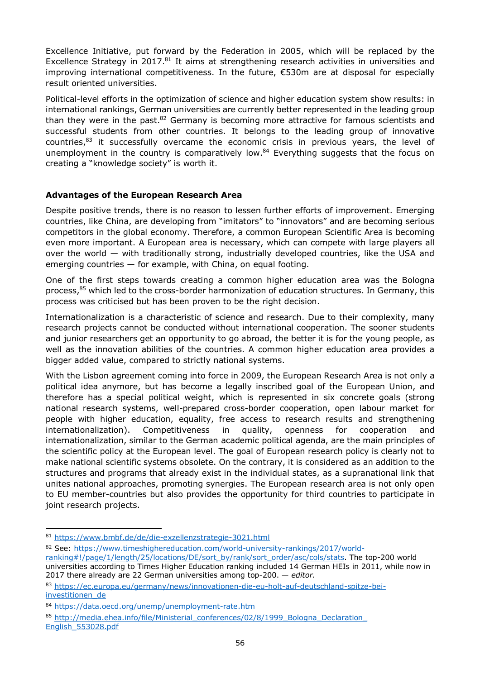Excellence Initiative, put forward by the Federation in 2005, which will be replaced by the Excellence Strategy in [2017.](#page-55-0)<sup>81</sup> It aims at strengthening research activities in universities and improving international competitiveness. In the future, €530m are at disposal for especially result oriented universities.

Political-level efforts in the optimization of science and higher education system show results: in international rankings, German universities are currently better represented in the leading group than they were in the [past.](#page-55-1)<sup>82</sup> Germany is becoming more attractive for famous scientists and successful students from other countries. It belongs to the leading group of innovative countries,<sup>[83](#page-55-2)</sup> it successfully overcame the economic crisis in previous years, the level of unemployment in the country is comparatively [low.](#page-55-3)<sup>84</sup> Everything suggests that the focus on creating a "knowledge society" is worth it.

### **Advantages of the European Research Area**

Despite positive trends, there is no reason to lessen further efforts of improvement. Emerging countries, like China, are developing from "imitators" to "innovators" and are becoming serious competitors in the global economy. Therefore, a common European Scientific Area is becoming even more important. A European area is necessary, which can compete with large players all over the world — with traditionally strong, industrially developed countries, like the USA and emerging countries — for example, with China, on equal footing.

One of the first steps towards creating a common higher education area was the Bologna process,<sup>[85](#page-55-4)</sup> which led to the cross-border harmonization of education structures. In Germany, this process was criticised but has been proven to be the right decision.

Internationalization is a characteristic of science and research. Due to their complexity, many research projects cannot be conducted without international cooperation. The sooner students and junior researchers get an opportunity to go abroad, the better it is for the young people, as well as the innovation abilities of the countries. A common higher education area provides a bigger added value, compared to strictly national systems.

With the Lisbon agreement coming into force in 2009, the European Research Area is not only a political idea anymore, but has become a legally inscribed goal of the European Union, and therefore has a special political weight, which is represented in six concrete goals (strong national research systems, well-prepared cross-border cooperation, open labour market for people with higher education, equality, free access to research results and strengthening internationalization). Competitiveness in quality, openness for cooperation and internationalization, similar to the German academic political agenda, are the main principles of the scientific policy at the European level. The goal of European research policy is clearly not to make national scientific systems obsolete. On the contrary, it is considered as an addition to the structures and programs that already exist in the individual states, as a supranational link that unites national approaches, promoting synergies. The European research area is not only open to EU member-countries but also provides the opportunity for third countries to participate in joint research projects.

<span id="page-55-1"></span>82 See: [https://www.timeshighereducation.com/world-university-rankings/2017/world](https://www.timeshighereducation.com/world-university-rankings/2017/world-ranking)-

<span id="page-55-0"></span> $\overline{a}$ <sup>81</sup> <https://www.bmbf.de/de/die-exzellenzstrategie-3021.html>

ranking#!/page/1/length/25/locations/DE/sort\_by/rank/sort\_order/asc/cols/stats. The top-200 world universities according to Times Higher Education ranking included 14 German HEIs in 2011, while now in 2017 there already are 22 German universities among top-200. — *editor.*

<span id="page-55-2"></span><sup>83</sup> [https://ec.europa.eu/germany/news/innovationen-die-eu-holt-auf-deutschland-spitze-bei](https://ec.europa.eu/germany/news/innovationen-die-eu-holt-auf-deutschland-spitze-bei-investitionen_de)investitionen de

<span id="page-55-3"></span><sup>84</sup> <https://data.oecd.org/unemp/unemployment-rate.htm>

<span id="page-55-4"></span><sup>85</sup> http://media.ehea.info/file/Ministerial\_conferences/02/8/1999\_Bologna\_Declaration English\_553028.pdf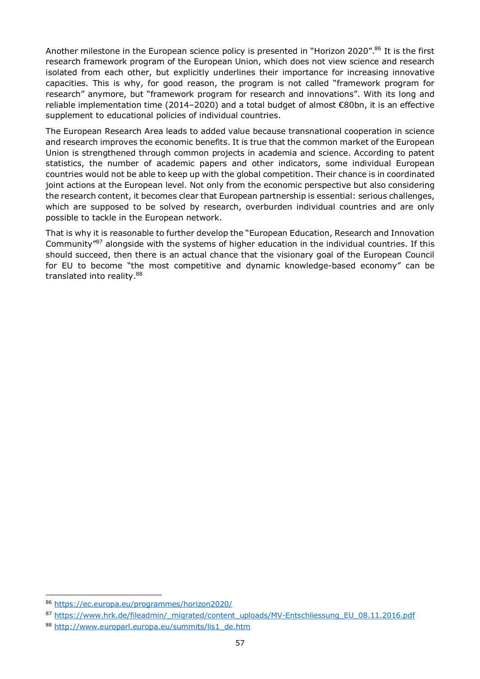Another milestone in the European science policy is presented in "Horizon 202[0".](#page-56-0)<sup>86</sup> It is the first research framework program of the European Union, which does not view science and research isolated from each other, but explicitly underlines their importance for increasing innovative capacities. This is why, for good reason, the program is not called "framework program for research" anymore, but "framework program for research and innovations". With its long and reliable implementation time (2014–2020) and a total budget of almost €80bn, it is an effective supplement to educational policies of individual countries.

The European Research Area leads to added value because transnational cooperation in science and research improves the economic benefits. It is true that the common market of the European Union is strengthened through common projects in academia and science. According to patent statistics, the number of academic papers and other indicators, some individual European countries would not be able to keep up with the global competition. Their chance is in coordinated joint actions at the European level. Not only from the economic perspective but also considering the research content, it becomes clear that European partnership is essential: serious challenges, which are supposed to be solved by research, overburden individual countries and are only possible to tackle in the European network.

That is why it is reasonable to further develop the "European Education, Research and Innovation Community"[87](#page-56-1) alongside with the systems of higher education in the individual countries. If this should succeed, then there is an actual chance that the visionary goal of the European Council for EU to become "the most competitive and dynamic knowledge-based economy" can be translated into [reality.](#page-56-2)<sup>88</sup>

 $\overline{a}$ 

<span id="page-56-0"></span><sup>86</sup> <https://ec.europa.eu/programmes/horizon2020/>

<span id="page-56-1"></span><sup>87</sup> [https://www.hrk.de/fileadmin/\\_migrated/content\\_uploads/MV-Entschliessung\\_EU\\_08.11.2016.pdf](https://www.hrk.de/fileadmin/_migrated/content_uploads/MV-Entschliessung_EU_08.11.2016.pdf)

<span id="page-56-2"></span><sup>88</sup> [http://www.europarl.europa.eu/summits/lis1\\_de.htm](http://www.europarl.europa.eu/summits/lis1_de.htm)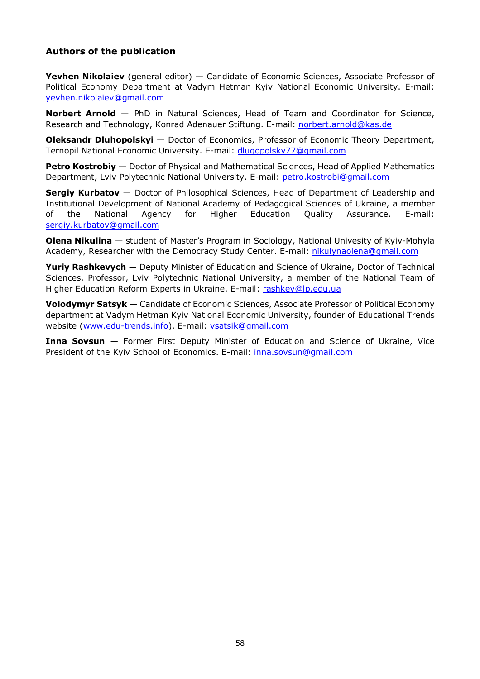### **Authors of the publication**

**Yevhen Nikolaiev** (general editor) — Candidate of Economic Sciences, Associate Professor of Political Economy Department at Vadym Hetman Kyiv National Economic University. E-mail: [yevhen.nikolaiev@gmail.com](mailto:yevhen.nikolaiev@gmail.com)

**Norbert Arnold** — PhD in Natural Sciences, Head of Team and Coordinator for Science, Research and Technology, Konrad Adenauer Stiftung. E-mail: [norbert.arnold@kas.de](mailto:norbert.arnold@kas.de)

**Oleksandr Dluhopolskyi** — Doctor of Economics, Professor of Economic Theory Department, Ternopil National Economic University. E-mail: [dlugopolsky77@gmail.com](mailto:dlugopolsky77@gmail.com)

**Petro Kostrobiy** — Doctor of Physical and Mathematical Sciences, Head of Applied Mathematics Department, Lviv Polytechnic National University. E-mail: [petro.kostrobi@gmail.com](mailto:petro.kostrobi@gmail.com)

**Sergiy Kurbatov** — Doctor of Philosophical Sciences, Head of Department of Leadership and Institutional Development of National Academy of Pedagogical Sciences of Ukraine, a member of the National Agency for Higher Education Quality Assurance. E-mail: [sergiy.kurbatov@gmail.com](mailto:sergiy.kurbatov@gmail.com)

**Olena Nikulina** — student of Master's Program in Sociology, National Univesity of Kyiv-Mohyla Academy, Researcher with the Democracy Study Center. E-mail: [nikulynaolena@gmail.com](mailto:nikulynaolena@gmail.com)

**Yuriy Rashkevych** — Deputy Minister of Education and Science of Ukraine, Doctor of Technical Sciences, Professor, Lviv Polytechnic National University, a member of the National Team of Higher Education Reform Experts in Ukraine. E-mail: [rashkev@lp.edu.ua](mailto:rashkev@lp.edu.ua)

**Volodymyr Satsyk** — Candidate of Economic Sciences, Associate Professor of Political Economy department at Vadym Hetman Kyiv National Economic University, founder of Educational Trends website [\(www.edu-trends.info](http://www.edu-trends.info/)). E-mail: [vsatsik@gmail.com](mailto:vsatsik@gmail.com)

**Inna Sovsun** — Former First Deputy Minister of Education and Science of Ukraine, Vice President of the Kyiv School of Economics. E-mail: [inna.sovsun@gmail.com](mailto:inna.sovsun@gmail.com)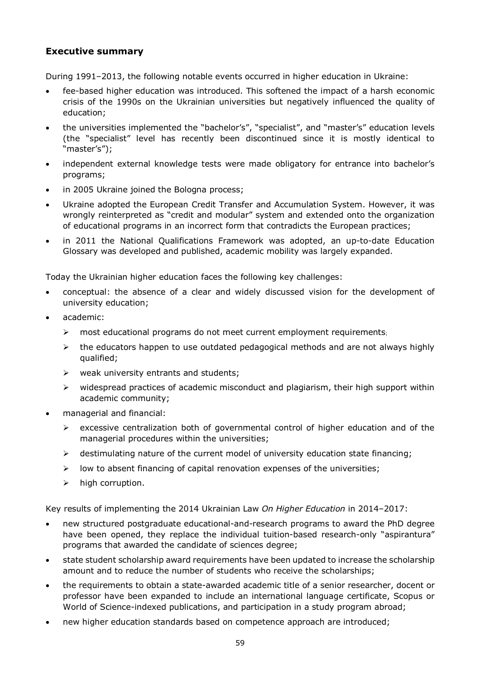### **Executive summary**

During 1991–2013, the following notable events occurred in higher education in Ukraine:

- fee-based higher education was introduced. This softened the impact of a harsh economic crisis of the 1990s on the Ukrainian universities but negatively influenced the quality of education;
- the universities implemented the "bachelor's", "specialist", and "master's" education levels (the "specialist" level has recently been discontinued since it is mostly identical to "master's");
- independent external knowledge tests were made obligatory for entrance into bachelor's programs;
- in 2005 Ukraine joined the Bologna process;
- Ukraine adopted the European Credit Transfer and Accumulation System. However, it was wrongly reinterpreted as "credit and modular" system and extended onto the organization of educational programs in an incorrect form that contradicts the European practices;
- in 2011 the National Qualifications Framework was adopted, an up-to-date Education Glossary was developed and published, academic mobility was largely expanded.

Today the Ukrainian higher education faces the following key challenges:

- conceptual: the absence of a clear and widely discussed vision for the development of university education;
- academic:
	- $\triangleright$  most educational programs do not meet current employment requirements;
	- $\triangleright$  the educators happen to use outdated pedagogical methods and are not always highly qualified;
	- $\triangleright$  weak university entrants and students;
	- $\triangleright$  widespread practices of academic misconduct and plagiarism, their high support within academic community;
- managerial and financial:
	- $\triangleright$  excessive centralization both of governmental control of higher education and of the managerial procedures within the universities;
	- $\triangleright$  destimulating nature of the current model of university education state financing;
	- $\triangleright$  low to absent financing of capital renovation expenses of the universities;
	- $\triangleright$  high corruption.

Key results of implementing the 2014 Ukrainian Law *On Higher Education* in 2014–2017:

- new structured postgraduate educational-and-research programs to award the PhD degree have been opened, they replace the individual tuition-based research-only "aspirantura" programs that awarded the candidate of sciences degree;
- state student scholarship award requirements have been updated to increase the scholarship amount and to reduce the number of students who receive the scholarships;
- the requirements to obtain a state-awarded academic title of a senior researcher, docent or professor have been expanded to include an international language certificate, Scopus or World of Science-indexed publications, and participation in a study program abroad;
- new higher education standards based on competence approach are introduced;